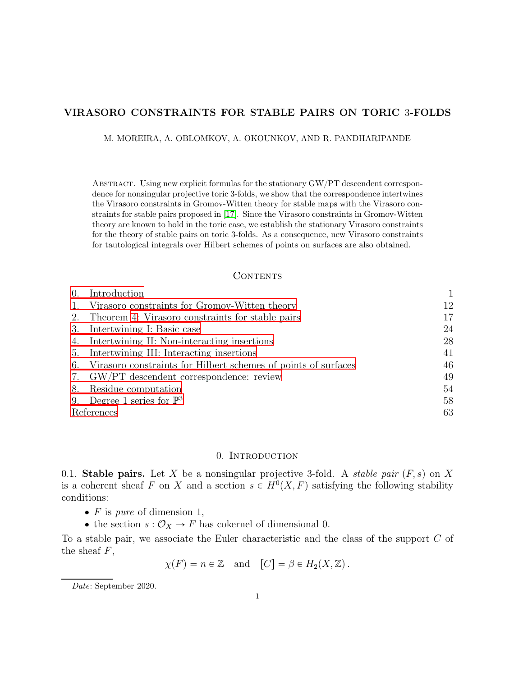## VIRASORO CONSTRAINTS FOR STABLE PAIRS ON TORIC 3-FOLDS

M. MOREIRA, A. OBLOMKOV, A. OKOUNKOV, AND R. PANDHARIPANDE

Abstract. Using new explicit formulas for the stationary GW{PT descendent correspondence for nonsingular projective toric 3-folds, we show that the correspondence intertwines the Virasoro constraints in Gromov-Witten theory for stable maps with the Virasoro constraints for stable pairs proposed in [\[17\]](#page-63-0). Since the Virasoro constraints in Gromov-Witten theory are known to hold in the toric case, we establish the stationary Virasoro constraints for the theory of stable pairs on toric 3-folds. As a consequence, new Virasoro constraints for tautological integrals over Hilbert schemes of points on surfaces are also obtained.

#### **CONTENTS**

| $\overline{0}$ . | Introduction                                                      |    |
|------------------|-------------------------------------------------------------------|----|
|                  | Virasoro constraints for Gromov-Witten theory                     | 12 |
|                  | 2. Theorem 4: Virasoro constraints for stable pairs               | 17 |
|                  | 3. Intertwining I: Basic case                                     | 24 |
|                  | 4. Intertwining II: Non-interacting insertions                    | 28 |
|                  | 5. Intertwining III: Interacting insertions                       | 41 |
|                  | 6. Virasoro constraints for Hilbert schemes of points of surfaces | 46 |
|                  | 7. GW/PT descendent correspondence: review                        | 49 |
|                  | 8. Residue computation                                            | 54 |
|                  | 9. Degree 1 series for $\mathbb{P}^3$                             | 58 |
| References       |                                                                   | 63 |

## 0. INTRODUCTION

<span id="page-0-1"></span><span id="page-0-0"></span>0.1. Stable pairs. Let X be a nonsingular projective 3-fold. A stable pair  $(F, s)$  on X is a coherent sheaf F on X and a section  $s \in H^0(X, F)$  satisfying the following stability conditions:

- $\bullet$  F is pure of dimension 1,
- the section  $s: \mathcal{O}_X \to F$  has cokernel of dimensional 0.

To a stable pair, we associate the Euler characteristic and the class of the support C of the sheaf  $F$ ,

$$
\chi(F) = n \in \mathbb{Z}
$$
 and  $[C] = \beta \in H_2(X, \mathbb{Z})$ .

Date: September 2020.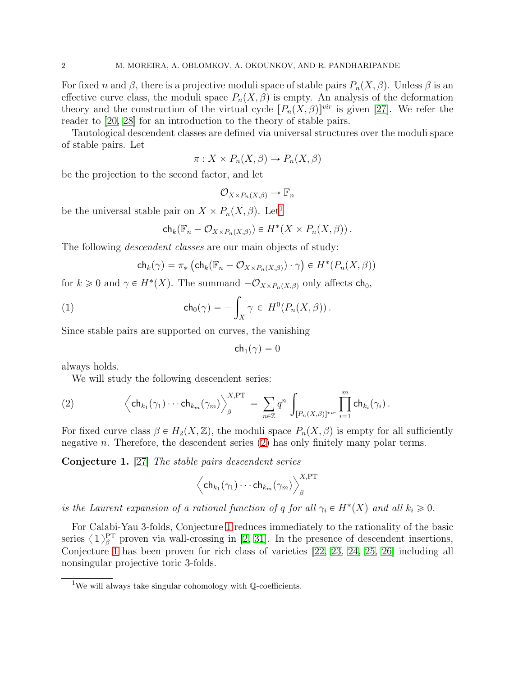For fixed n and  $\beta$ , there is a projective moduli space of stable pairs  $P_n(X, \beta)$ . Unless  $\beta$  is an effective curve class, the moduli space  $P_n(X, \beta)$  is empty. An analysis of the deformation theory and the construction of the virtual cycle  $[P_n(X, \beta)]^{vir}$  is given [\[27\]](#page-63-1). We refer the reader to [\[20,](#page-63-2) [28\]](#page-63-3) for an introduction to the theory of stable pairs.

Tautological descendent classes are defined via universal structures over the moduli space of stable pairs. Let

$$
\pi: X \times P_n(X, \beta) \to P_n(X, \beta)
$$

be the projection to the second factor, and let

$$
\mathcal{O}_{X \times P_n(X,\beta)} \to \mathbb{F}_n
$$

be the universal stable pair on  $X \times P_n(X, \beta)$ . Let<sup>[1](#page-1-0)</sup>

$$
\mathsf{ch}_k(\mathbb{F}_n-\mathcal{O}_{X\times P_n(X,\beta)})\in H^*(X\times P_n(X,\beta)).
$$

The following *descendent classes* are our main objects of study:

<span id="page-1-3"></span>
$$
\mathsf{ch}_k(\gamma) = \pi_* \left( \mathsf{ch}_k(\mathbb{F}_n - \mathcal{O}_{X \times P_n(X,\beta)}) \cdot \gamma \right) \in H^*(P_n(X,\beta))
$$

for  $k \geq 0$  and  $\gamma \in H^*(X)$ . The summand  $-\mathcal{O}_{X \times P_n(X,\beta)}$  only affects  $\mathsf{ch}_0$ ,

(1) 
$$
\mathsf{ch}_0(\gamma) = -\int_X \gamma \in H^0(P_n(X,\beta)).
$$

Since stable pairs are supported on curves, the vanishing

$$
\mathsf{ch}_1(\gamma)=0
$$

always holds.

<span id="page-1-1"></span>We will study the following descendent series:

(2) 
$$
\left\langle \mathsf{ch}_{k_1}(\gamma_1)\cdots \mathsf{ch}_{k_m}(\gamma_m) \right\rangle_{\beta}^{X,\mathrm{PT}} = \sum_{n\in\mathbb{Z}} q^n \int_{[P_n(X,\beta)]^{vir}} \prod_{i=1}^m \mathsf{ch}_{k_i}(\gamma_i).
$$

For fixed curve class  $\beta \in H_2(X, \mathbb{Z})$ , the moduli space  $P_n(X, \beta)$  is empty for all sufficiently negative n. Therefore, the descendent series  $(2)$  has only finitely many polar terms.

<span id="page-1-2"></span>Conjecture 1. [\[27\]](#page-63-1) The stable pairs descendent series

$$
\left\langle\mathsf{ch}_{k_1}(\gamma_1)\cdots\mathsf{ch}_{k_m}(\gamma_m)\right\rangle_{\beta}^{X,\operatorname{PT}}
$$

is the Laurent expansion of a rational function of q for all  $\gamma_i \in H^*(X)$  and all  $k_i \geq 0$ .

For Calabi-Yau 3-folds, Conjecture [1](#page-1-2) reduces immediately to the rationality of the basic series  $\langle 1 \rangle^{\text{PT}}_{\beta}$  proven via wall-crossing in [\[2,](#page-62-1) [31\]](#page-63-4). In the presence of descendent insertions, Conjecture [1](#page-1-2) has been proven for rich class of varieties [\[22,](#page-63-5) [23,](#page-63-6) [24,](#page-63-7) [25,](#page-63-8) [26\]](#page-63-9) including all nonsingular projective toric 3-folds.

<span id="page-1-0"></span><sup>&</sup>lt;sup>1</sup>We will always take singular cohomology with  $\mathbb{Q}$ -coefficients.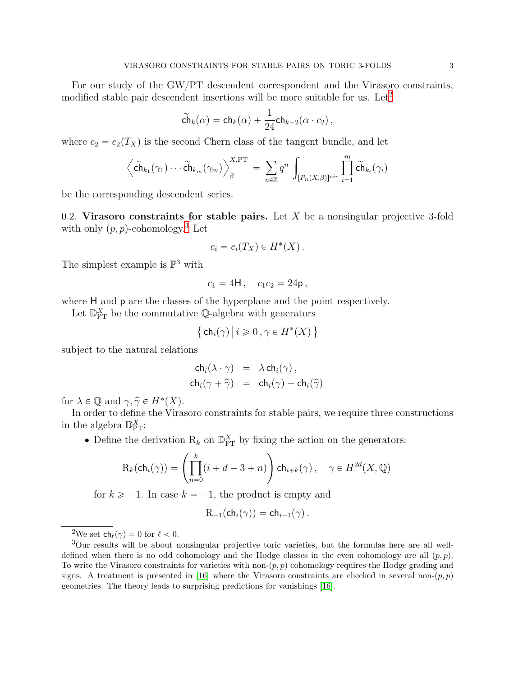For our study of the GW/PT descendent correspondent and the Virasoro constraints, modified stable pair descendent insertions will be more suitable for us. Let<sup>[2](#page-2-0)</sup>

$$
\widetilde{\mathsf{ch}}_k(\alpha) = \mathsf{ch}_k(\alpha) + \frac{1}{24} \mathsf{ch}_{k-2}(\alpha \cdot c_2),
$$

where  $c_2 = c_2(T_X)$  is the second Chern class of the tangent bundle, and let

$$
\left\langle \widetilde{\mathsf{ch}}_{k_1}(\gamma_1)\cdots \widetilde{\mathsf{ch}}_{k_m}(\gamma_m) \right\rangle_{\beta}^{X,\mathrm{PT}} = \sum_{n\in\mathbb{Z}} q^n \int_{[P_n(X,\beta)]^{vir}} \prod_{i=1}^m \widetilde{\mathsf{ch}}_{k_i}(\gamma_i)
$$

<span id="page-2-2"></span>be the corresponding descendent series.

0.2. Virasoro constraints for stable pairs. Let  $X$  be a nonsingular projective 3-fold with only  $(p, p)$ -cohomology.<sup>[3](#page-2-1)</sup> Let

$$
c_i = c_i(T_X) \in H^*(X) .
$$

The simplest example is  $\mathbb{P}^3$  with

$$
c_1 = 4H, \quad c_1c_2 = 24p,
$$

where H and p are the classes of the hyperplane and the point respectively.

Let  $\mathbb{D}_{\text{PT}}^X$  be the commutative Q-algebra with generators

$$
\big\{\operatorname{ch}_i(\gamma)\,\big|\, i\geqslant 0\,, \gamma\in H^*(X)\,\big\}
$$

subject to the natural relations

$$
ch_i(\lambda \cdot \gamma) = \lambda ch_i(\gamma),
$$
  
\n
$$
ch_i(\gamma + \widehat{\gamma}) = ch_i(\gamma) + ch_i(\widehat{\gamma})
$$

for  $\lambda \in \mathbb{Q}$  and  $\gamma, \hat{\gamma} \in H^*(X)$ .<br>In extended define the Vine

In order to define the Virasoro constraints for stable pairs, we require three constructions in the algebra  $\mathbb{D}_{\text{PT}}^X$ :

• Define the derivation  $R_k$  on  $\mathbb{D}_{PT}^X$  by fixing the action on the generators:

$$
\mathrm{R}_k(\mathrm{ch}_i(\gamma)) = \left(\prod_{n=0}^k (i+d-3+n)\right) \mathrm{ch}_{i+k}(\gamma)\,, \quad \gamma \in H^{2d}(X,\mathbb{Q})
$$

for  $k \ge -1$ . In case  $k = -1$ , the product is empty and

$$
R_{-1}(ch_i(\gamma)) = ch_{i-1}(\gamma).
$$

<span id="page-2-0"></span><sup>2</sup>We set  $ch_{\ell}(\gamma) = 0$  for  $\ell < 0$ .

<span id="page-2-1"></span><sup>3</sup>Our results will be about nonsingular projective toric varieties, but the formulas here are all welldefined when there is no odd cohomology and the Hodge classes in the even cohomology are all  $(p, p)$ . To write the Virasoro constraints for varieties with non- $(p, p)$  cohomology requires the Hodge grading and signs. A treatment is presented in [\[16\]](#page-63-10) where the Virasoro constraints are checked in several non- $(p, p)$ geometries. The theory leads to surprising predictions for vanishings [\[16\]](#page-63-10).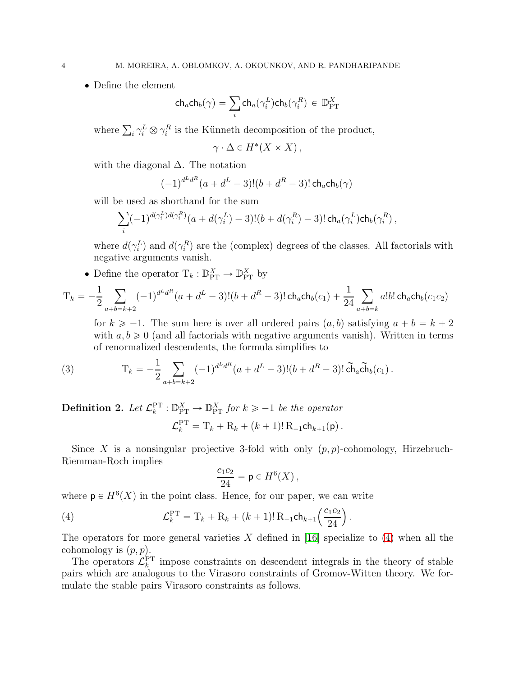• Define the element

$$
\mathsf{ch}_a \mathsf{ch}_b(\gamma) = \sum_i \mathsf{ch}_a(\gamma_i^L) \mathsf{ch}_b(\gamma_i^R) \in \mathbb{D}_{\operatorname{PT}}^X
$$

where  $\sum_i \gamma_i^L \otimes \gamma_i^R$  is the Künneth decomposition of the product,

$$
\gamma \cdot \Delta \in H^*(X \times X),
$$

with the diagonal  $\Delta$ . The notation

$$
(-1)^{d^L d^R} (a + d^L - 3)!(b + d^R - 3)!
$$
 ch<sub>a</sub>ch<sub>b</sub>( $\gamma$ )

will be used as shorthand for the sum

$$
\sum_i (-1)^{d(\gamma_i^L)d(\gamma_i^R)}(a+d(\gamma_i^L)-3)!(b+d(\gamma_i^R)-3)!\operatorname{ch}_a(\gamma_i^L)\operatorname{ch}_b(\gamma_i^R),
$$

where  $d(\gamma_i^L)$  and  $d(\gamma_i^R)$  are the (complex) degrees of the classes. All factorials with negative arguments vanish.

• Define the operator  $T_k : \mathbb{D}_{PT}^X \to \mathbb{D}_{PT}^X$  by

$$
T_k = -\frac{1}{2} \sum_{a+b=k+2} (-1)^{d^L d^R} (a+d^L-3)!(b+d^R-3)!\operatorname{ch}_a \operatorname{ch}_b(c_1) + \frac{1}{24} \sum_{a+b=k} a!b! \operatorname{ch}_a \operatorname{ch}_b(c_1c_2)
$$

<span id="page-3-1"></span>for  $k \ge -1$ . The sum here is over all ordered pairs  $(a, b)$  satisfying  $a + b = k + 2$ with  $a, b \ge 0$  (and all factorials with negative arguments vanish). Written in terms of renormalized descendents, the formula simplifies to

(3) 
$$
T_k = -\frac{1}{2} \sum_{a+b=k+2} (-1)^{d^L d^R} (a + d^L - 3)!(b + d^R - 3)!\tilde{c} \tilde{h}_a \tilde{c} \tilde{h}_b(c_1).
$$

**Definition 2.** Let  $\mathcal{L}_k^{\text{PT}} : \mathbb{D}_{\text{PT}}^X \to \mathbb{D}_{\text{PT}}^X$  for  $k \geq -1$  be the operator  $\mathcal{L}_k^{\text{PT}} = \mathrm{T}_k + \mathrm{R}_k + (k+1)! \, \mathrm{R}_{-1} \mathsf{ch}_{k+1}(\mathsf{p})$ .

Since X is a nonsingular projective 3-fold with only  $(p, p)$ -cohomology, Hirzebruch-Riemman-Roch implies

<span id="page-3-0"></span>
$$
\frac{c_1c_2}{24} = \mathsf{p} \in H^6(X)\,,
$$

where  $p \in H^6(X)$  in the point class. Hence, for our paper, we can write

(4) 
$$
\mathcal{L}_k^{\text{PT}} = \mathbf{T}_k + \mathbf{R}_k + (k+1)! \mathbf{R}_{-1} \mathsf{ch}_{k+1} \left( \frac{c_1 c_2}{24} \right).
$$

The operators for more general varieties X defined in [\[16\]](#page-63-10) specialize to  $(4)$  when all the cohomology is  $(p, p)$ .

The operators  $\mathcal{L}_k^{\text{PT}}$  impose constraints on descendent integrals in the theory of stable pairs which are analogous to the Virasoro constraints of Gromov-Witten theory. We formulate the stable pairs Virasoro constraints as follows.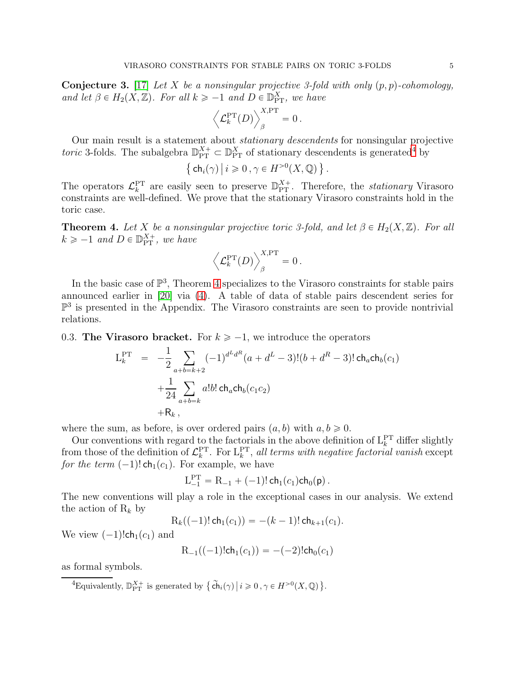<span id="page-4-2"></span>**Conjecture 3.** [\[17\]](#page-63-0) Let X be a nonsingular projective 3-fold with only  $(p, p)$ -cohomology, and let  $\beta \in H_2(X, \mathbb{Z})$ . For all  $k \ge -1$  and  $D \in \mathbb{D}_{\text{PT}}^X$ , we have

$$
\left\langle \mathcal{L}^{\rm PT}_k(D)\right\rangle_{\beta}^{X,\rm PT}=0\,.
$$

Our main result is a statement about stationary descendents for nonsingular projective toric 3-folds. The subalgebra  $\mathbb{D}_{PT}^{X+} \subset \mathbb{D}_{PT}^{X}$  of stationary descendents is generated<sup>[4](#page-4-1)</sup> by

$$
\left\{\,\text{ch}_i(\gamma)\,\middle|\, i\geqslant 0\,, \gamma\in H^{>0}(X,{\mathbb{Q}})\,\right\}.
$$

The operators  $\mathcal{L}_k^{\text{PT}}$  are easily seen to preserve  $\mathbb{D}_{\text{PT}}^{X+}$ . Therefore, the *stationary* Virasoro constraints are well-defined. We prove that the stationary Virasoro constraints hold in the toric case.

<span id="page-4-0"></span>**Theorem 4.** Let X be a nonsingular projective toric 3-fold, and let  $\beta \in H_2(X, \mathbb{Z})$ . For all  $k \ge -1$  and  $D \in \mathbb{D}_{\rm PT}^{X+}$ , we have

$$
\left\langle \mathcal{L}^{\rm PT}_k(D)\right\rangle_{\beta}^{X,\rm PT}=0\,.
$$

In the basic case of  $\mathbb{P}^3$ , Theorem [4](#page-4-0) specializes to the Virasoro constraints for stable pairs announced earlier in [\[20\]](#page-63-2) via [\(4\)](#page-3-0). A table of data of stable pairs descendent series for  $\mathbb{P}^3$  is presented in the Appendix. The Virasoro constraints are seen to provide nontrivial relations.

<span id="page-4-3"></span>0.3. The Virasoro bracket. For  $k \ge -1$ , we introduce the operators

$$
L_k^{PT} = -\frac{1}{2} \sum_{a+b=k+2} (-1)^{d^L d^R} (a + d^L - 3)!(b + d^R - 3)! \operatorname{ch}_a \operatorname{ch}_b(c_1) + \frac{1}{24} \sum_{a+b=k} a!b! \operatorname{ch}_a \operatorname{ch}_b(c_1 c_2) + R_k,
$$

where the sum, as before, is over ordered pairs  $(a, b)$  with  $a, b \ge 0$ .

Our conventions with regard to the factorials in the above definition of  $L_k^{\text{PT}}$  differ slightly from those of the definition of  $\mathcal{L}_k^{\text{PT}}$ . For  $L_k^{\text{PT}}$ , all terms with negative factorial vanish except for the term  $(-1)!$  ch<sub>1</sub> $(c_1)$ . For example, we have

$$
L_{-1}^{\rm PT} = R_{-1} + (-1)! \, \mathsf{ch}_1(c_1) \mathsf{ch}_0(\mathsf{p}) \, .
$$

The new conventions will play a role in the exceptional cases in our analysis. We extend the action of  $R_k$  by

$$
R_k((-1)!\,ch_1(c_1)) = -(k-1)!\,ch_{k+1}(c_1).
$$

We view  $(-1)!$ ch<sub>1</sub> $(c_1)$  and

$$
R_{-1}((-1)!ch_1(c_1)) = -(-2)!ch_0(c_1)
$$

as formal symbols.

<span id="page-4-1"></span><sup>4</sup>Equivalently,  $\mathbb{D}_{\text{PT}}^{X+}$  is generated by  $\{\widetilde{\text{ch}}_i(\gamma) \mid i \geqslant 0, \gamma \in H^{>0}(X, \mathbb{Q})\}.$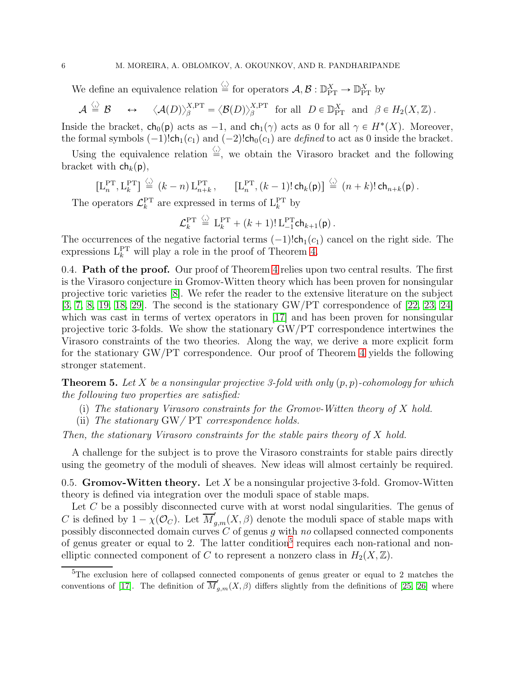We define an equivalence relation  $\stackrel{\langle . \rangle}{=}$  for operators  $\mathcal{A}, \mathcal{B} : \mathbb{D}_{PT}^X \to \mathbb{D}_{PT}^X$  by

$$
\mathcal{A} \stackrel{\langle \cdot \rangle}{=} \mathcal{B} \quad \leftrightarrow \quad \langle \mathcal{A}(D) \rangle_{\beta}^{X,\text{PT}} = \langle \mathcal{B}(D) \rangle_{\beta}^{X,\text{PT}} \text{ for all } D \in \mathbb{D}_{\text{PT}}^X \text{ and } \beta \in H_2(X,\mathbb{Z})\,.
$$

Inside the bracket,  $ch_0(p)$  acts as  $-1$ , and  $ch_1(\gamma)$  acts as 0 for all  $\gamma \in H^*(X)$ . Moreover, the formal symbols  $(-1)!$ ch<sub>1</sub> $(c_1)$  and  $(-2)!$ ch<sub>0</sub> $(c_1)$  are *defined* to act as 0 inside the bracket.

Using the equivalence relation  $\frac{\langle \cdot \rangle}{\langle \cdot \rangle}$ , we obtain the Virasoro bracket and the following bracket with  $\mathsf{ch}_k(\mathsf{p})$ ,

$$
\left[\mathbf{L}_n^{\mathrm{PT}}, \mathbf{L}_k^{\mathrm{PT}}\right] \stackrel{\langle . \rangle}{=} (k-n) \, \mathbf{L}_{n+k}^{\mathrm{PT}}, \qquad \left[\mathbf{L}_n^{\mathrm{PT}}, (k-1)! \, \mathsf{ch}_k(\mathsf{p})\right] \stackrel{\langle . \rangle}{=} (n+k)! \, \mathsf{ch}_{n+k}(\mathsf{p})\,.
$$

The operators  $\mathcal{L}_k^{\text{PT}}$  are expressed in terms of  $L_k^{\text{PT}}$  by

$$
\mathcal{L}_k^{\mathrm{PT}} \stackrel{\langle \cdot \rangle}{=} \mathrm{L}_k^{\mathrm{PT}} + (k+1)! \, \mathrm{L}_{-1}^{\mathrm{PT}} \mathsf{ch}_{k+1}(\mathsf{p}) \, .
$$

The occurrences of the negative factorial terms  $(-1)!$ ch<sub>1</sub> $(c_1)$  cancel on the right side. The expressions  $L_k^{PT}$  will play a role in the proof of Theorem [4.](#page-4-0)

0.4. **Path of the proof.** Our proof of Theorem [4](#page-4-0) relies upon two central results. The first is the Virasoro conjecture in Gromov-Witten theory which has been proven for nonsingular projective toric varieties [\[8\]](#page-62-2). We refer the reader to the extensive literature on the subject [\[3,](#page-62-3) [7,](#page-62-4) [8,](#page-62-2) [19,](#page-63-11) [18,](#page-63-12) [29\]](#page-63-13). The second is the stationary GW/PT correspondence of [\[22,](#page-63-5) [23,](#page-63-6) [24\]](#page-63-7) which was cast in terms of vertex operators in [\[17\]](#page-63-0) and has been proven for nonsingular projective toric 3-folds. We show the stationary GW/PT correspondence intertwines the Virasoro constraints of the two theories. Along the way, we derive a more explicit form for the stationary GW/PT correspondence. Our proof of Theorem [4](#page-4-0) yields the following stronger statement.

**Theorem 5.** Let X be a nonsingular projective 3-fold with only  $(p, p)$ -cohomology for which the following two properties are satisfied:

- (i) The stationary Virasoro constraints for the Gromov-Witten theory of X hold.
- (ii) The stationary  $\text{GW}/\text{PT}$  correspondence holds.

Then, the stationary Virasoro constraints for the stable pairs theory of X hold.

A challenge for the subject is to prove the Virasoro constraints for stable pairs directly using the geometry of the moduli of sheaves. New ideas will almost certainly be required.

<span id="page-5-1"></span>0.5. Gromov-Witten theory. Let X be a nonsingular projective 3-fold. Gromov-Witten theory is defined via integration over the moduli space of stable maps.

Let  $C$  be a possibly disconnected curve with at worst nodal singularities. The genus of C is defined by  $1 - \chi(\mathcal{O}_C)$ . Let  $\overline{M}'_{g,m}(X,\beta)$  denote the moduli space of stable maps with possibly disconnected domain curves  $C$  of genus  $g$  with no collapsed connected components of genus greater or equal to 2. The latter condition<sup>[5](#page-5-0)</sup> requires each non-rational and nonelliptic connected component of C to represent a nonzero class in  $H_2(X, \mathbb{Z})$ .

<span id="page-5-0"></span><sup>&</sup>lt;sup>5</sup>The exclusion here of collapsed connected components of genus greater or equal to 2 matches the conventions of [\[17\]](#page-63-0). The definition of  $\overline{M}'_{g,m}(X,\beta)$  differs slightly from the definitions of [\[25,](#page-63-8) [26\]](#page-63-9) where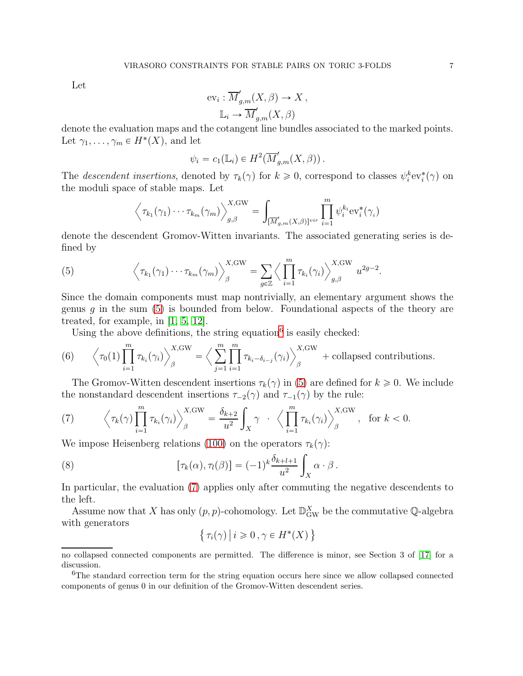Let

$$
ev_i: \overline{M}'_{g,m}(X,\beta) \to X,
$$
  

$$
\mathbb{L}_i \to \overline{M}'_{g,m}(X,\beta)
$$

denote the evaluation maps and the cotangent line bundles associated to the marked points. Let  $\gamma_1, \ldots, \gamma_m \in H^*(X)$ , and let

$$
\psi_i = c_1(\mathbb{L}_i) \in H^2(\overline{M}'_{g,m}(X,\beta)).
$$

The descendent insertions, denoted by  $\tau_k(\gamma)$  for  $k \geq 0$ , correspond to classes  $\psi_i^k ev_i^*(\gamma)$  on the moduli space of stable maps. Let

<span id="page-6-0"></span>
$$
\left\langle \tau_{k_1}(\gamma_1)\cdots\tau_{k_m}(\gamma_m) \right\rangle_{g,\beta}^{X,\mathrm{GW}} = \int_{\left[\overline{M}'_{g,m}(X,\beta)\right]^{\mathrm{vir}}} \prod_{i=1}^m \psi_i^{k_i} \mathrm{ev}_i^*(\gamma_i)
$$

denote the descendent Gromov-Witten invariants. The associated generating series is defined by

(5) 
$$
\left\langle \tau_{k_1}(\gamma_1)\cdots\tau_{k_m}(\gamma_m)\right\rangle_{\beta}^{X,\text{GW}} = \sum_{g\in\mathbb{Z}} \left\langle \prod_{i=1}^m \tau_{k_i}(\gamma_i) \right\rangle_{g,\beta}^{X,\text{GW}} u^{2g-2}.
$$

Since the domain components must map nontrivially, an elementary argument shows the genus  $g$  in the sum  $(5)$  is bounded from below. Foundational aspects of the theory are treated, for example, in [\[1,](#page-62-5) [5,](#page-62-6) [12\]](#page-63-14).

Using the above definitions, the string equation<sup>[6](#page-6-1)</sup> is easily checked:

(6) 
$$
\left\langle \tau_0(1) \prod_{i=1}^m \tau_{k_i}(\gamma_i) \right\rangle_{\beta}^{X,\text{GW}} = \left\langle \sum_{j=1}^m \prod_{i=1}^m \tau_{k_i - \delta_{i-j}}(\gamma_i) \right\rangle_{\beta}^{X,\text{GW}} + \text{collapsed contributions.}
$$

The Gromov-Witten descendent insertions  $\tau_k(\gamma)$  in [\(5\)](#page-6-0) are defined for  $k \geq 0$ . We include the nonstandard descendent insertions  $\tau_{-2}(\gamma)$  and  $\tau_{-1}(\gamma)$  by the rule:

<span id="page-6-2"></span>(7) 
$$
\left\langle \tau_k(\gamma) \prod_{i=1}^m \tau_{k_i}(\gamma_i) \right\rangle_{\beta}^{X,\text{GW}} = \frac{\delta_{k+2}}{u^2} \int_X \gamma \cdot \left\langle \prod_{i=1}^m \tau_{k_i}(\gamma_i) \right\rangle_{\beta}^{X,\text{GW}}, \text{ for } k < 0.
$$

We impose Heisenberg relations [\(100\)](#page-48-1) on the operators  $\tau_k(\gamma)$ :

(8) 
$$
[\tau_k(\alpha), \tau_l(\beta)] = (-1)^k \frac{\delta_{k+l+1}}{u^2} \int_X \alpha \cdot \beta.
$$

In particular, the evaluation [\(7\)](#page-6-2) applies only after commuting the negative descendents to the left.

Assume now that X has only  $(p, p)$ -cohomology. Let  $\mathbb{D}_{\text{GW}}^X$  be the commutative Q-algebra with generators

<span id="page-6-3"></span>
$$
\{ \tau_i(\gamma) \, \big| \, i \geqslant 0 \, , \gamma \in H^*(X) \, \}
$$

no collapsed connected components are permitted. The difference is minor, see Section 3 of [\[17\]](#page-63-0) for a discussion.

<span id="page-6-1"></span><sup>&</sup>lt;sup>6</sup>The standard correction term for the string equation occurs here since we allow collapsed connected components of genus 0 in our definition of the Gromov-Witten descendent series.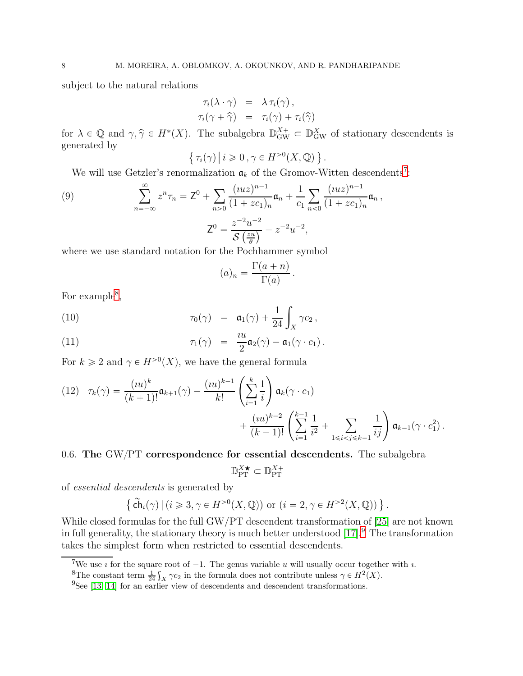subject to the natural relations

$$
\tau_i(\lambda \cdot \gamma) = \lambda \tau_i(\gamma), \n\tau_i(\gamma + \widehat{\gamma}) = \tau_i(\gamma) + \tau_i(\widehat{\gamma})
$$

for  $\lambda \in \mathbb{Q}$  and  $\gamma, \hat{\gamma} \in H^*(X)$ . The subalgebra  $\mathbb{D}_{\text{GW}}^{X+} \subset \mathbb{D}_{\text{GW}}^X$  of stationary descendents is generated by

$$
\{ \tau_i(\gamma) \, \big| \, i \geqslant 0 \, , \gamma \in H^{>0}(X, \mathbb{Q}) \, \} \, .
$$

We will use Getzler's renormalization  $a_k$  of the Gromov-Witten descendents<sup>[7](#page-7-0)</sup>:

(9) 
$$
\sum_{n=-\infty}^{\infty} z^n \tau_n = Z^0 + \sum_{n>0} \frac{(uz)^{n-1}}{(1+zc_1)_n} \mathfrak{a}_n + \frac{1}{c_1} \sum_{n<0} \frac{(uz)^{n-1}}{(1+zc_1)_n} \mathfrak{a}_n,
$$

$$
Z^0 = \frac{z^{-2}u^{-2}}{\mathcal{S}\left(\frac{zu}{\theta}\right)} - z^{-2}u^{-2},
$$

where we use standard notation for the Pochhammer symbol

$$
(a)_n = \frac{\Gamma(a+n)}{\Gamma(a)}.
$$

For example<sup>[8](#page-7-1)</sup>,

(10) 
$$
\tau_0(\gamma) = \mathfrak{a}_1(\gamma) + \frac{1}{24} \int_X \gamma c_2,
$$

(11) 
$$
\tau_1(\gamma) = \frac{iu}{2} \mathfrak{a}_2(\gamma) - \mathfrak{a}_1(\gamma \cdot c_1).
$$

For  $k \geq 2$  and  $\gamma \in H^{>0}(X)$ , we have the general formula

<span id="page-7-3"></span>
$$
(12) \quad \tau_k(\gamma) = \frac{(iu)^k}{(k+1)!} \mathfrak{a}_{k+1}(\gamma) - \frac{(iu)^{k-1}}{k!} \left( \sum_{i=1}^k \frac{1}{i} \right) \mathfrak{a}_k(\gamma \cdot c_1) + \frac{(iu)^{k-2}}{(k-1)!} \left( \sum_{i=1}^{k-1} \frac{1}{i^2} + \sum_{1 \le i < j \le k-1} \frac{1}{ij} \right) \mathfrak{a}_{k-1}(\gamma \cdot c_1^2).
$$

<span id="page-7-4"></span>0.6. The GW $/PT$  correspondence for essential descendents. The subalgebra

$$
\mathbb{D}_{\mathrm{PT}}^{X \bigstar} \subset \mathbb{D}_{\mathrm{PT}}^{X+}
$$

of essential descendents is generated by

$$
\left\{ \widetilde{\mathsf{ch}}_i(\gamma) \,|\, (i \geqslant 3, \gamma \in H^{>0}(X, \mathbb{Q})) \text{ or } (i = 2, \gamma \in H^{>2}(X, \mathbb{Q})) \right\}.
$$

While closed formulas for the full GW/PT descendent transformation of [\[25\]](#page-63-8) are not known in full generality, the stationary theory is much better understood  $[17]$ <sup>[9](#page-7-2)</sup>. The transformation takes the simplest form when restricted to essential descendents.

<sup>&</sup>lt;sup>7</sup>We use *i* for the square root of  $-1$ . The genus variable *u* will usually occur together with *i*.

<span id="page-7-0"></span><sup>&</sup>lt;sup>8</sup>The constant term  $\frac{1}{24} \int_X \gamma c_2$  in the formula does not contribute unless  $\gamma \in H^2(X)$ .

<span id="page-7-2"></span><span id="page-7-1"></span> $9$ See [\[13,](#page-63-15) [14\]](#page-63-16) for an earlier view of descendents and descendent transformations.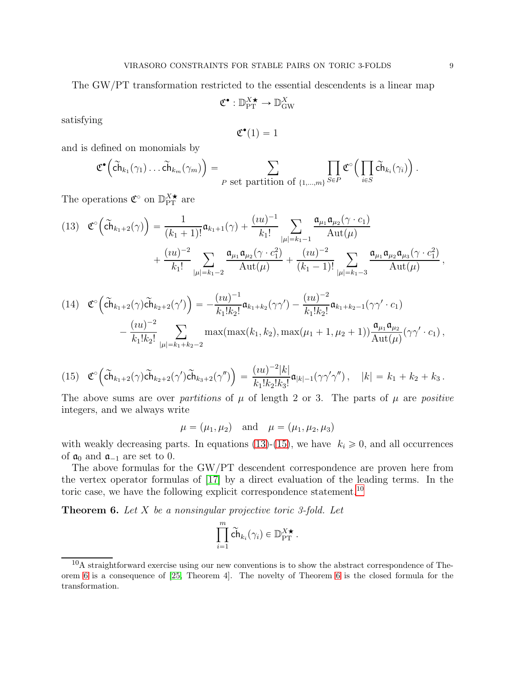The GW/PT transformation restricted to the essential descendents is a linear map

$$
\mathfrak{C}^\bullet : \mathbb{D}_{\mathrm{PT}}^{X \bigstar} \to \mathbb{D}_{\mathrm{GW}}^X
$$

satisfying

$$
\mathfrak{C}^\bullet(1)=1
$$

and is defined on monomials by

$$
\mathfrak{C}^{\bullet}\left(\widetilde{ch}_{k_1}(\gamma_1)\ldots \widetilde{ch}_{k_m}(\gamma_m)\right)=\sum_{P \text{ set partition of }\{1,\ldots,m\}}\prod_{S\in P}\mathfrak{C}^{\circ}\left(\prod_{i\in S}\widetilde{ch}_{k_i}(\gamma_i)\right).
$$

The operations  $\mathfrak{C}^{\circ}$  on  $\mathbb{D}_{\mathrm{PT}}^{X\star}$  are

<span id="page-8-0"></span>
$$
(13) \quad \mathfrak{C}^{\circ}\left(\tilde{\mathbf{ch}}_{k_{1}+2}(\gamma)\right) = \frac{1}{(k_{1}+1)!} \mathfrak{a}_{k_{1}+1}(\gamma) + \frac{(iu)^{-1}}{k_{1}!} \sum_{|\mu|=k_{1}-1} \frac{\mathfrak{a}_{\mu_{1}} \mathfrak{a}_{\mu_{2}}(\gamma \cdot c_{1})}{\mathrm{Aut}(\mu)} + \frac{(iu)^{-2}}{k_{1}!} \sum_{|\mu|=k_{1}-2} \frac{\mathfrak{a}_{\mu_{1}} \mathfrak{a}_{\mu_{2}}(\gamma \cdot c_{1}^{2})}{\mathrm{Aut}(\mu)} + \frac{(iu)^{-2}}{(k_{1}-1)!} \sum_{|\mu|=k_{1}-3} \frac{\mathfrak{a}_{\mu_{1}} \mathfrak{a}_{\mu_{2}} \mathfrak{a}_{\mu_{3}}(\gamma \cdot c_{1}^{2})}{\mathrm{Aut}(\mu)},
$$

<span id="page-8-4"></span>
$$
(14) \quad \mathfrak{C}^{\circ}\left(\tilde{\mathbf{ch}}_{k_{1}+2}(\gamma)\tilde{\mathbf{ch}}_{k_{2}+2}(\gamma')\right) = -\frac{(iu)^{-1}}{k_{1}!k_{2}!}\mathfrak{a}_{k_{1}+k_{2}}(\gamma\gamma') - \frac{(iu)^{-2}}{k_{1}!k_{2}!}\mathfrak{a}_{k_{1}+k_{2}-1}(\gamma\gamma' \cdot c_{1}) -\frac{(iu)^{-2}}{k_{1}!k_{2}!}\sum_{|\mu|=k_{1}+k_{2}-2} \max(\max(k_{1},k_{2}),\max(\mu_{1}+1,\mu_{2}+1))\frac{\mathfrak{a}_{\mu_{1}}\mathfrak{a}_{\mu_{2}}}{\mathrm{Aut}(\mu)}(\gamma\gamma' \cdot c_{1}),
$$

<span id="page-8-1"></span>
$$
(15) \quad \mathfrak{C}^{\circ}\Big(\tilde{\mathbf{ch}}_{k_1+2}(\gamma)\tilde{\mathbf{ch}}_{k_2+2}(\gamma')\tilde{\mathbf{ch}}_{k_3+2}(\gamma'')\Big) = \frac{(iu)^{-2}|k|}{k_1!k_2!k_3!}\mathfrak{a}_{|k|-1}(\gamma\gamma'\gamma''), \quad |k| = k_1 + k_2 + k_3.
$$

The above sums are over *partitions* of  $\mu$  of length 2 or 3. The parts of  $\mu$  are *positive* integers, and we always write

$$
\mu = (\mu_1, \mu_2)
$$
 and  $\mu = (\mu_1, \mu_2, \mu_3)$ 

with weakly decreasing parts. In equations [\(13\)](#page-8-0)-[\(15\)](#page-8-1), we have  $k_i \geq 0$ , and all occurrences of  $a_0$  and  $a_{-1}$  are set to 0.

The above formulas for the GW/PT descendent correspondence are proven here from the vertex operator formulas of [\[17\]](#page-63-0) by a direct evaluation of the leading terms. In the toric case, we have the following explicit correspondence statement.<sup>[10](#page-8-2)</sup>

<span id="page-8-3"></span>**Theorem 6.** Let  $X$  be a nonsingular projective toric 3-fold. Let

$$
\prod_{i=1}^m \widetilde{\mathsf{ch}}_{k_i}(\gamma_i) \in \mathbb{D}_{\mathrm{PT}}^{X \bigstar}.
$$

<span id="page-8-2"></span><sup>&</sup>lt;sup>10</sup>A straightforward exercise using our new conventions is to show the abstract correspondence of Theorem [6](#page-8-3) is a consequence of [\[25,](#page-63-8) Theorem 4]. The novelty of Theorem [6](#page-8-3) is the closed formula for the transformation.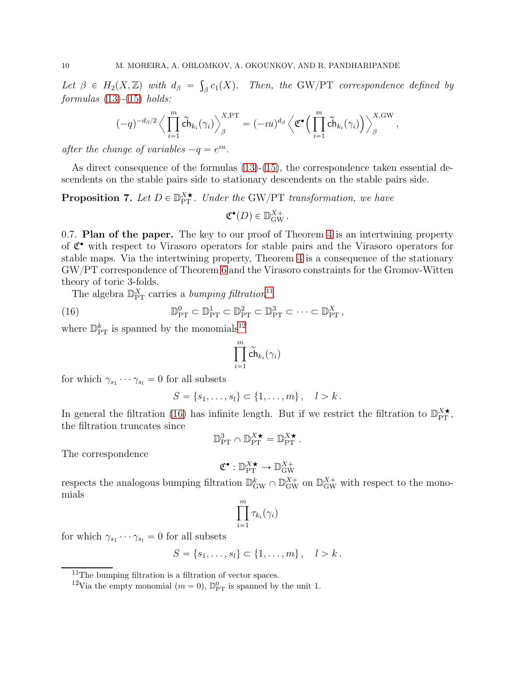Let  $\beta \in H_2(X, \mathbb{Z})$  with  $d_{\beta} = \int_{\beta} c_1(X)$ . Then, the GW/PT correspondence defined by  $formulas (13)-(15) holds:$  $formulas (13)-(15) holds:$  $formulas (13)-(15) holds:$  $formulas (13)-(15) holds:$  $formulas (13)-(15) holds:$ 

$$
(-q)^{-d_{\beta}/2} \left\langle \prod_{i=1}^{m} \widetilde{\mathsf{ch}}_{k_i}(\gamma_i) \right\rangle_{\beta}^{X,\operatorname{PT}} = (-\imath u)^{d_{\beta}} \left\langle \mathfrak{C}^{\bullet} \Big( \prod_{i=1}^{m} \widetilde{\mathsf{ch}}_{k_i}(\gamma_i) \Big) \right\rangle_{\beta}^{X,\operatorname{GW}}
$$

,

after the change of variables  $-q = e^{iu}$ .

As direct consequence of the formulas  $(13)-(15)$  $(13)-(15)$ , the correspondence taken essential descendents on the stable pairs side to stationary descendents on the stable pairs side.

# <span id="page-9-3"></span>**Proposition 7.** Let  $D \in \mathbb{D}_{PT}^{X*}$ . Under the GW/PT transformation, we have  $\mathfrak{C}^\bullet(D) \in \mathbb{D}_{\text{GW}}^{X+}$ .

0.7. Plan of the paper. The key to our proof of Theorem [4](#page-4-0) is an intertwining property of C ' with respect to Virasoro operators for stable pairs and the Virasoro operators for stable maps. Via the intertwining property, Theorem [4](#page-4-0) is a consequence of the stationary GW{PT correspondence of Theorem [6](#page-8-3) and the Virasoro constraints for the Gromov-Witten theory of toric 3-folds.

The algebra  $\mathbb{D}_{\rm PT}^X$  carries a *bumping filtration*<sup>[11](#page-9-0)</sup>

(16) 
$$
\mathbb{D}_{\rm PT}^0 \subset \mathbb{D}_{\rm PT}^1 \subset \mathbb{D}_{\rm PT}^2 \subset \mathbb{D}_{\rm PT}^3 \subset \cdots \subset \mathbb{D}_{\rm PT}^X,
$$

where  $\mathbb{D}_{\rm PT}^k$  is spanned by the monomials<sup>[12](#page-9-1)</sup>

<span id="page-9-2"></span>
$$
\prod_{i=1}^m \widetilde{\mathsf{ch}}_{k_i}(\gamma_i)
$$

for which  $\gamma_{s_1} \cdots \gamma_{s_l} = 0$  for all subsets

$$
S = \{s_1, \ldots, s_l\} \subset \{1, \ldots, m\}, \quad l > k.
$$

In general the filtration [\(16\)](#page-9-2) has infinite length. But if we restrict the filtration to  $\mathbb{D}_{PT}^{X\star}$ , the filtration truncates since

$$
\mathbb{D}_{\rm PT}^3 \cap \mathbb{D}_{\rm PT}^{X\bigstar} = \mathbb{D}_{\rm PT}^{X\bigstar}.
$$

The correspondence

$$
\mathfrak{C}^{\bullet}:\mathbb{D}_{\mathrm{PT}}^{X \bigstar} \to \mathbb{D}_{\mathrm{GW}}^{X+}
$$

respects the analogous bumping filtration  $\mathbb{D}_{GW}^k \cap \mathbb{D}_{GW}^{X+}$  on  $\mathbb{D}_{GW}^{X+}$  with respect to the monomials

$$
\prod_{i=1}^m \tau_{k_i}(\gamma_i)
$$

for which  $\gamma_{s_1} \cdots \gamma_{s_l} = 0$  for all subsets

$$
S = \{s_1, \ldots, s_l\} \subset \{1, \ldots, m\}, \quad l > k.
$$

 $11$ The bumping filtration is a filtration of vector spaces.

<span id="page-9-1"></span><span id="page-9-0"></span><sup>&</sup>lt;sup>12</sup>Via the empty monomial ( $m = 0$ ),  $\mathbb{D}_{\rm PT}^0$  is spanned by the unit 1.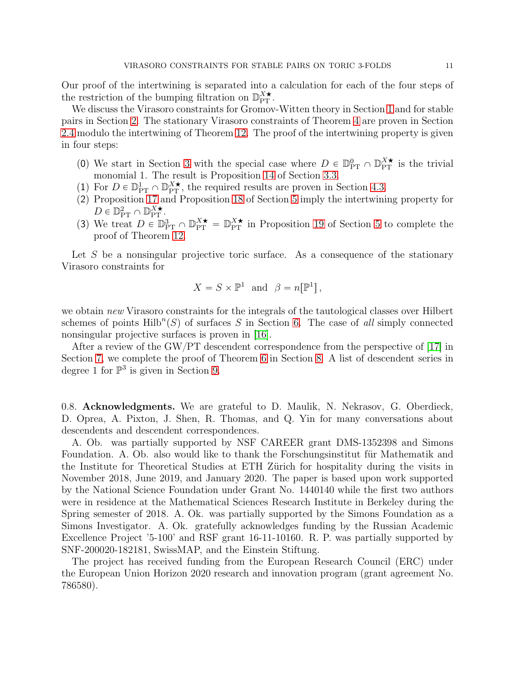Our proof of the intertwining is separated into a calculation for each of the four steps of the restriction of the bumping filtration on  $\mathbb{D}_{PT}^{X\bigstar}$ .

We discuss the Virasoro constraints for Gromov-Witten theory in Section [1](#page-11-0) and for stable pairs in Section [2.](#page-16-0) The stationary Virasoro constraints of Theorem [4](#page-4-0) are proven in Section [2.4](#page-22-0) modulo the intertwining of Theorem [12.](#page-17-0) The proof of the intertwining property is given in four steps:

- (0) We start in Section [3](#page-23-0) with the special case where  $D \in \mathbb{D}_{PT}^0 \cap \mathbb{D}_{PT}^{X\star}$  is the trivial monomial 1. The result is Proposition [14](#page-25-0) of Section [3.3.](#page-25-1)
- (1) For  $D \in \mathbb{D}_{PT}^1 \cap \mathbb{D}_{PT}^{X\star}$ , the required results are proven in Section [4.3.](#page-39-0)
- (2) Proposition [17](#page-40-1) and Proposition [18](#page-41-0) of Section [5](#page-40-0) imply the intertwining property for  $D \in \mathbb{D}_{\rm PT}^2 \cap \mathbb{D}_{\rm PT}^{X \star}.$
- (3) We treat  $D \in \mathbb{D}_{PT}^3 \cap \mathbb{D}_{PT}^{\chi^*} = \mathbb{D}_{PT}^{\chi^*}$  in Proposition [19](#page-43-0) of Section [5](#page-40-0) to complete the proof of Theorem [12.](#page-17-0)

Let  $S$  be a nonsingular projective toric surface. As a consequence of the stationary Virasoro constraints for

$$
X = S \times \mathbb{P}^1 \text{ and } \beta = n[\mathbb{P}^1],
$$

we obtain new Virasoro constraints for the integrals of the tautological classes over Hilbert schemes of points  $Hilb^{n}(S)$  of surfaces S in Section [6.](#page-45-0) The case of all simply connected nonsingular projective surfaces is proven in [\[16\]](#page-63-10).

After a review of the GW/PT descendent correspondence from the perspective of  $[17]$  in Section [7,](#page-48-0) we complete the proof of Theorem [6](#page-8-3) in Section [8.](#page-53-0) A list of descendent series in degree 1 for  $\mathbb{P}^3$  is given in Section [9.](#page-57-0)

0.8. Acknowledgments. We are grateful to D. Maulik, N. Nekrasov, G. Oberdieck, D. Oprea, A. Pixton, J. Shen, R. Thomas, and Q. Yin for many conversations about descendents and descendent correspondences.

A. Ob. was partially supported by NSF CAREER grant DMS-1352398 and Simons Foundation. A. Ob. also would like to thank the Forschungsinstitut für Mathematik and the Institute for Theoretical Studies at ETH Zürich for hospitality during the visits in November 2018, June 2019, and January 2020. The paper is based upon work supported by the National Science Foundation under Grant No. 1440140 while the first two authors were in residence at the Mathematical Sciences Research Institute in Berkeley during the Spring semester of 2018. A. Ok. was partially supported by the Simons Foundation as a Simons Investigator. A. Ok. gratefully acknowledges funding by the Russian Academic Excellence Project '5-100' and RSF grant 16-11-10160. R. P. was partially supported by SNF-200020-182181, SwissMAP, and the Einstein Stiftung.

The project has received funding from the European Research Council (ERC) under the European Union Horizon 2020 research and innovation program (grant agreement No. 786580).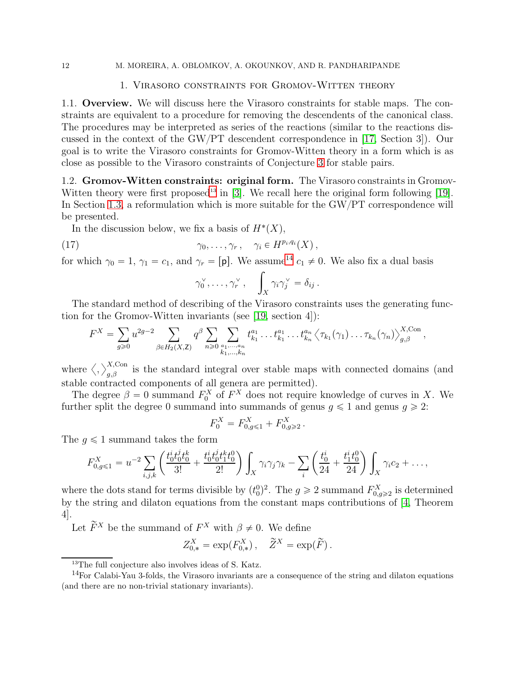#### <span id="page-11-0"></span>12 M. MOREIRA, A. OBLOMKOV, A. OKOUNKOV, AND R. PANDHARIPANDE

#### 1. Virasoro constraints for Gromov-Witten theory

1.1. Overview. We will discuss here the Virasoro constraints for stable maps. The constraints are equivalent to a procedure for removing the descendents of the canonical class. The procedures may be interpreted as series of the reactions (similar to the reactions discussed in the context of the GW{PT descendent correspondence in [\[17,](#page-63-0) Section 3]). Our goal is to write the Virasoro constraints for Gromov-Witten theory in a form which is as close as possible to the Virasoro constraints of Conjecture [3](#page-4-2) for stable pairs.

1.2. Gromov-Witten constraints: original form. The Virasoro constraints in Gromov-Witten theory were first proposed<sup>[13](#page-11-1)</sup> in [\[3\]](#page-62-3). We recall here the original form following [\[19\]](#page-63-11). In Section [1.3,](#page-13-0) a reformulation which is more suitable for the GW/PT correspondence will be presented.

In the discussion below, we fix a basis of  $H^*(X)$ ,

(17) 
$$
\gamma_0, \ldots, \gamma_r, \quad \gamma_i \in H^{p_i, q_i}(X),
$$

for which  $\gamma_0 = 1$ ,  $\gamma_1 = c_1$ , and  $\gamma_r = [p]$ . We assume<sup>[14](#page-11-2)</sup>  $c_1 \neq 0$ . We also fix a dual basis

<span id="page-11-3"></span>
$$
\gamma_0^{\vee}, \ldots, \gamma_r^{\vee}, \quad \int_X \gamma_i \gamma_j^{\vee} = \delta_{ij} .
$$

The standard method of describing of the Virasoro constraints uses the generating function for the Gromov-Witten invariants (see [\[19,](#page-63-11) section 4]):

$$
F^{X} = \sum_{g \geq 0} u^{2g-2} \sum_{\beta \in H_2(X,\mathbb{Z})} q^{\beta} \sum_{n \geq 0} \sum_{\substack{a_1, \dots, a_n \\ k_1, \dots, k_n}} t^{a_1}_{k_1} \dots t^{a_1}_{k_1} \dots t^{a_n}_{k_n} \left\langle \tau_{k_1}(\gamma_1) \dots \tau_{k_n}(\gamma_n) \right\rangle_{g,\beta}^{X,Con},
$$

where  $\langle,\rangle_{g,\beta}^{X,\text{Con}}$  is the standard integral over stable maps with connected domains (and stable contracted components of all genera are permitted).

The degree  $\beta = 0$  summand  $F_0^X$  of  $F^X$  does not require knowledge of curves in X. We further split the degree 0 summand into summands of genus  $g \leq 1$  and genus  $g \geq 2$ :

$$
F_0^X = F_{0,g \leq 1}^X + F_{0,g \geq 2}^X.
$$

The  $q \leq 1$  summand takes the form

$$
F_{0,g\leq 1}^X = u^{-2} \sum_{i,j,k} \left( \frac{t_0^i t_0^j t_0^k}{3!} + \frac{t_0^i t_0^j t_1^k t_0^0}{2!} \right) \int_X \gamma_i \gamma_j \gamma_k - \sum_i \left( \frac{t_0^i}{24} + \frac{t_1^i t_0^0}{24} \right) \int_X \gamma_i c_2 + \dots,
$$

where the dots stand for terms divisible by  $(t_0^0)^2$ . The  $g \ge 2$  summand  $F_{0,g\ge 2}^X$  is determined by the string and dilaton equations from the constant maps contributions of [\[4,](#page-62-7) Theorem 4].

Let  $\tilde{F}^X$  be the summand of  $F^X$  with  $\beta \neq 0$ . We define

$$
Z_{0,*}^X = \exp(F_{0,*}^X), \quad \widetilde{Z}^X = \exp(\widetilde{F}).
$$

<span id="page-11-1"></span><sup>&</sup>lt;sup>13</sup>The full conjecture also involves ideas of S. Katz.

<span id="page-11-2"></span><sup>&</sup>lt;sup>14</sup>For Calabi-Yau 3-folds, the Virasoro invariants are a consequence of the string and dilaton equations (and there are no non-trivial stationary invariants).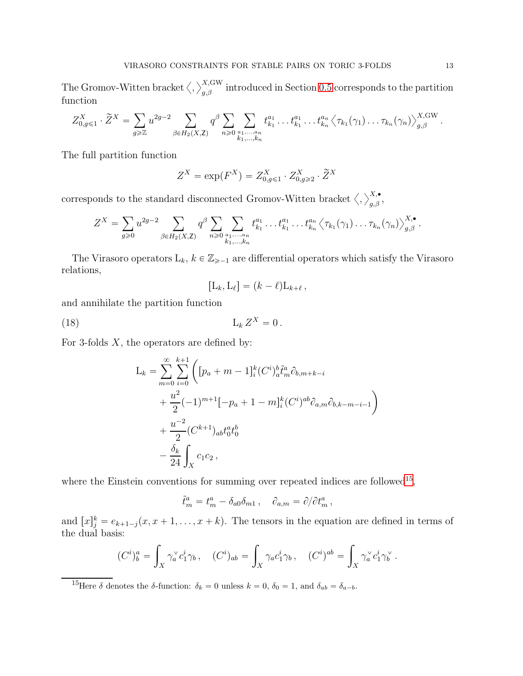The Gromov-Witten bracket  $\langle , \rangle_{g,\beta}^{X,\text{GW}}$  introduced in Section [0.5](#page-5-1) corresponds to the partition function

$$
Z_{0,g\leqslant 1}^X\cdot \widetilde{Z}^X=\sum_{g\geqslant \mathbb{Z}}u^{2g-2}\sum_{\beta\in H_2(X,\mathsf{Z})}q^\beta \sum_{n\geqslant 0}\sum_{\substack{a_1,\ldots,a_n\\k_1,\ldots,k_n}}t^{a_1}_{k_1}\ldots t^{a_1}_{k_1}\ldots t^{a_n}_{k_n}\left\langle \tau_{k_1}(\gamma_1)\ldots \tau_{k_n}(\gamma_n)\right\rangle_{g,\beta}^{X,\mathrm{GW}}.
$$

The full partition function

$$
Z^X = \exp(F^X) = Z^X_{0,g \leq 1} \cdot Z^X_{0,g \geq 2} \cdot \widetilde{Z}^X
$$

corresponds to the standard disconnected Gromov-Witten bracket  $\langle , \rangle_{g,\beta}^{X,\bullet}$ ,

$$
Z^X = \sum_{g\geq 0} u^{2g-2} \sum_{\beta \in H_2(X,\mathsf{Z})} q^\beta \sum_{n\geq 0} \sum_{\substack{a_1,\ldots,a_n \\ k_1,\ldots,k_n}} t^{a_1}_{k_1} \ldots t^{a_1}_{k_1} \ldots t^{a_n}_{k_n} \left\langle \tau_{k_1}(\gamma_1) \ldots \tau_{k_n}(\gamma_n) \right\rangle_{g,\beta}^{X,\bullet}.
$$

The Virasoro operators  $L_k$ ,  $k \in \mathbb{Z}_{\geq -1}$  are differential operators which satisfy the Virasoro relations,

<span id="page-12-1"></span>
$$
[L_k, L_\ell] = (k - \ell)L_{k+\ell},
$$

and annihilate the partition function

$$
(18) \t\t\t\t L_k Z^X = 0.
$$

For 3-folds  $X$ , the operators are defined by:

$$
L_{k} = \sum_{m=0}^{\infty} \sum_{i=0}^{k+1} \left( [p_{a} + m - 1]_{i}^{k} (C^{i})_{a}^{b} \tilde{t}_{m}^{a} \partial_{b,m+k-i} + \frac{u^{2}}{2} (-1)^{m+1} [-p_{a} + 1 - m]_{i}^{k} (C^{i})^{ab} \partial_{a,m} \partial_{b,k-m-i-1} \right) + \frac{u^{-2}}{2} (C^{k+1})_{ab} t_{0}^{a} t_{0}^{b} - \frac{\delta_{k}}{24} \int_{X} c_{1} c_{2},
$$

where the Einstein conventions for summing over repeated indices are followed<sup>[15](#page-12-0)</sup>,

$$
\tilde{t}^a_m = t^a_m - \delta_{a0}\delta_{m1} , \quad \partial_{a,m} = \partial/\partial t^a_m ,
$$

and  $[x]_j^k = e_{k+1-j}(x, x+1, \ldots, x+k)$ . The tensors in the equation are defined in terms of the dual basis:

$$
(C^i)^a_b = \int_X \gamma_a^{\vee} c_1^i \gamma_b , \quad (C^i)_{ab} = \int_X \gamma_a c_1^i \gamma_b , \quad (C^i)^{ab} = \int_X \gamma_a^{\vee} c_1^i \gamma_b^{\vee} .
$$

<span id="page-12-0"></span><sup>15</sup>Here  $\delta$  denotes the  $\delta$ -function:  $\delta_k = 0$  unless  $k = 0$ ,  $\delta_0 = 1$ , and  $\delta_{ab} = \delta_{a-b}$ .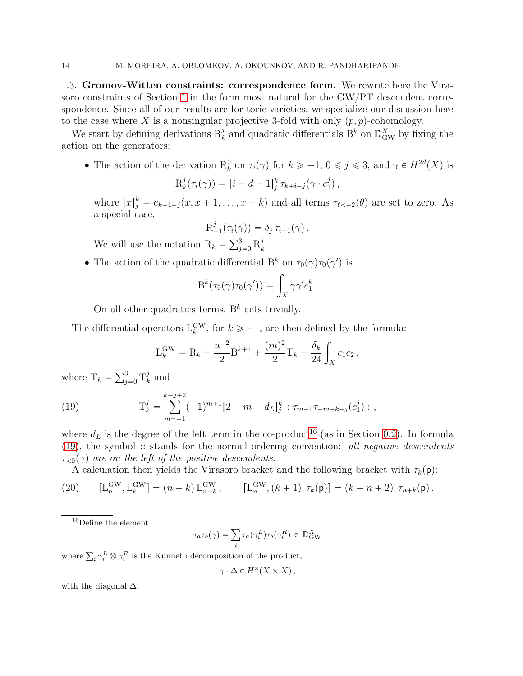<span id="page-13-0"></span>1.3. Gromov-Witten constraints: correspondence form. We rewrite here the Virasoro constraints of Section [1](#page-11-0) in the form most natural for the GW{PT descendent correspondence. Since all of our results are for toric varieties, we specialize our discussion here to the case where X is a nonsingular projective 3-fold with only  $(p, p)$ -cohomology.

We start by defining derivations  $R_k^j$  and quadratic differentials  $B^k$  on  $\mathbb{D}_{\text{GW}}^X$  by fixing the action on the generators:

• The action of the derivation  $R_k^j$  on  $\tau_i(\gamma)$  for  $k \geq -1, 0 \leq j \leq 3$ , and  $\gamma \in H^{2d}(X)$  is

$$
\mathrm{R}_k^j(\tau_i(\gamma)) = [i + d - 1]_j^k \tau_{k+i-j}(\gamma \cdot c_1^j),
$$

where  $[x]_j^k = e_{k+1-j}(x, x+1, \ldots, x+k)$  and all terms  $\tau_{\ell<-2}(\theta)$  are set to zero. As a special case,

$$
\mathrm{R}_{-1}^{j}(\tau_i(\gamma)) = \delta_j \,\tau_{i-1}(\gamma) \,.
$$

We will use the notation  $R_k = \sum_{j=0}^3 R_k^j$  $\frac{j}{k}$  .

• The action of the quadratic differential  $B^k$  on  $\tau_0(\gamma)\tau_0(\gamma')$  is

$$
\mathrm{B}^k(\tau_0(\gamma)\tau_0(\gamma')) = \int_X \gamma\gamma' c_1^k.
$$

On all other quadratics terms,  $B^k$  acts trivially.

The differential operators  $L_k^{\text{GW}}$ , for  $k \ge -1$ , are then defined by the formula:

<span id="page-13-2"></span>
$$
L_k^{\text{GW}} = R_k + \frac{u^{-2}}{2} B^{k+1} + \frac{(iu)^2}{2} T_k - \frac{\delta_k}{24} \int_X c_1 c_2,
$$

where  $T_k = \sum_{j=0}^3 T_k^j$  $\frac{J}{k}$  and

(19) 
$$
\mathcal{T}_k^j = \sum_{m=-1}^{k-j+2} (-1)^{m+1} [2 - m - d_L]_j^k : \tau_{m-1} \tau_{-m+k-j}(c_1^j) : ,
$$

where  $d_L$  is the degree of the left term in the co-product<sup>[16](#page-13-1)</sup> (as in Section [0.2\)](#page-2-2). In formula  $(19)$ , the symbol :: stands for the normal ordering convention: all negative descendents  $\tau_{\leq 0}(\gamma)$  are on the left of the positive descendents.

<span id="page-13-3"></span>A calculation then yields the Virasoro bracket and the following bracket with  $\tau_k(\mathbf{p})$ :

(20) 
$$
[L_n^{\text{GW}}, L_k^{\text{GW}}] = (n-k) L_{n+k}^{\text{GW}}, \qquad [L_n^{\text{GW}}, (k+1)! \tau_k(\mathsf{p})] = (k+n+2)! \tau_{n+k}(\mathsf{p}).
$$

$$
\tau_a \tau_b(\gamma) = \sum_i \tau_a(\gamma_i^L) \tau_b(\gamma_i^R) \in \mathbb{D}_{\text{GW}}^X
$$

where  $\sum_i \gamma_i^L \otimes \gamma_i^R$  is the Künneth decomposition of the product,

$$
\gamma \cdot \Delta \in H^*(X \times X),
$$

with the diagonal  $\Delta$ .

<span id="page-13-1"></span> $16$ Define the element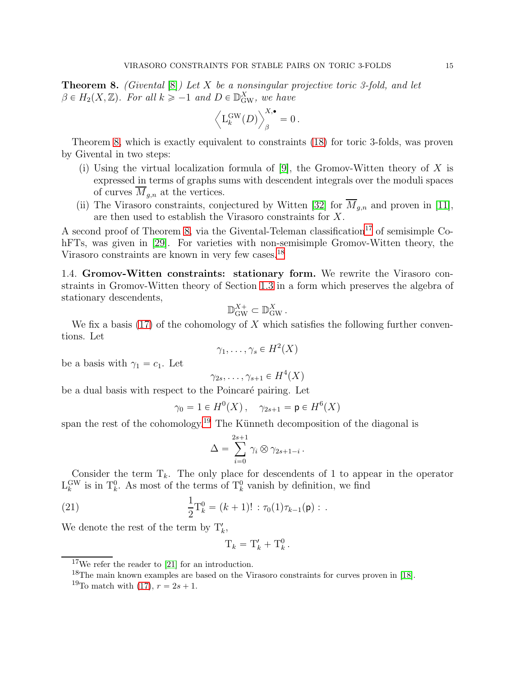<span id="page-14-0"></span>**Theorem 8.** (Givental  $[8]$ ) Let X be a nonsingular projective toric 3-fold, and let  $\beta \in H_2(X, \mathbb{Z})$ . For all  $k \geqslant -1$  and  $D \in \mathbb{D}_{\text{GW}}^X$ , we have

$$
\left\langle \mathcal{L}^{\rm GW}_k(D)\right\rangle_{\beta}^{X,\bullet}=0\,.
$$

Theorem [8,](#page-14-0) which is exactly equivalent to constraints [\(18\)](#page-12-1) for toric 3-folds, was proven by Givental in two steps:

- (i) Using the virtual localization formula of [\[9\]](#page-62-8), the Gromov-Witten theory of  $X$  is expressed in terms of graphs sums with descendent integrals over the moduli spaces of curves  $M_{a,n}$  at the vertices.
- (ii) The Virasoro constraints, conjectured by Witten [\[32\]](#page-63-17) for  $\overline{M}_{q,n}$  and proven in [\[11\]](#page-62-9), are then used to establish the Virasoro constraints for X.

A second proof of Theorem [8,](#page-14-0) via the Givental-Teleman classification<sup>[17](#page-14-1)</sup> of semisimple CohFTs, was given in [\[29\]](#page-63-13). For varieties with non-semisimple Gromov-Witten theory, the Virasoro constraints are known in very few cases.[18](#page-14-2)

<span id="page-14-5"></span>1.4. Gromov-Witten constraints: stationary form. We rewrite the Virasoro constraints in Gromov-Witten theory of Section [1.3](#page-13-0) in a form which preserves the algebra of stationary descendents,

$$
\mathbb{D}_{\text{GW}}^{X+} \subset \mathbb{D}_{\text{GW}}^{X}.
$$

We fix a basis [\(17\)](#page-11-3) of the cohomology of X which satisfies the following further conventions. Let

$$
\gamma_1,\ldots,\gamma_s\in H^2(X)
$$

be a basis with  $\gamma_1 = c_1$ . Let

$$
\gamma_{2s},\ldots,\gamma_{s+1}\in H^4(X)
$$

be a dual basis with respect to the Poincaré pairing. Let

$$
\gamma_0 = 1 \in H^0(X), \quad \gamma_{2s+1} = \mathsf{p} \in H^6(X)
$$

span the rest of the cohomology.<sup>[19](#page-14-3)</sup> The Künneth decomposition of the diagonal is

$$
\Delta = \sum_{i=0}^{2s+1} \gamma_i \otimes \gamma_{2s+1-i} \, .
$$

Consider the term  $T_k$ . The only place for descendents of 1 to appear in the operator  $L_k^{\text{GW}}$  is in  $T_k^0$ . As most of the terms of  $T_k^0$  vanish by definition, we find

(21) 
$$
\frac{1}{2}T_k^0 = (k+1)! : \tau_0(1)\tau_{k-1}(\mathsf{p}) : .
$$

We denote the rest of the term by  $T'_{k}$ ,

<span id="page-14-4"></span>
$$
\mathrm{T}_k = \mathrm{T}'_k + \mathrm{T}_k^0.
$$

<sup>17</sup>We refer the reader to [\[21\]](#page-63-18) for an introduction.

<span id="page-14-1"></span><sup>&</sup>lt;sup>18</sup>The main known examples are based on the Virasoro constraints for curves proven in [\[18\]](#page-63-12).

<span id="page-14-3"></span><span id="page-14-2"></span><sup>&</sup>lt;sup>19</sup>To match with [\(17\)](#page-11-3),  $r = 2s + 1$ .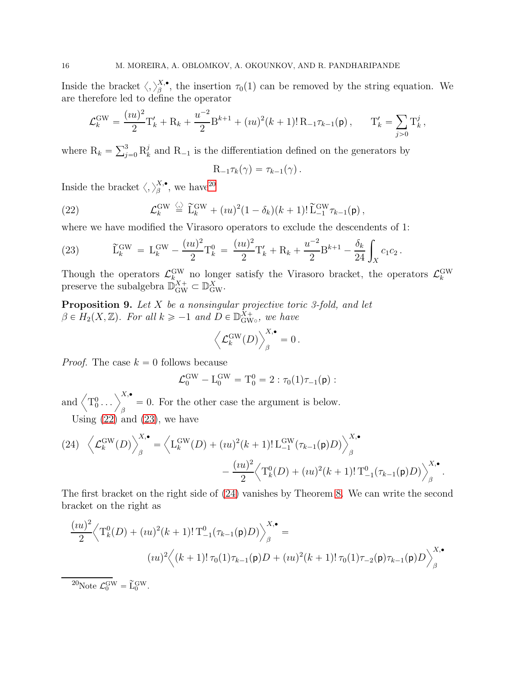Inside the bracket  $\langle,\rangle_{\beta}^{X,\bullet}$  $\mathbb{R}^{A,\bullet}_{\beta}$ , the insertion  $\tau_0(1)$  can be removed by the string equation. We are therefore led to define the operator

$$
\mathcal{L}_k^{\text{GW}} = \frac{(iu)^2}{2} \mathcal{T}'_k + \mathcal{R}_k + \frac{u^{-2}}{2} \mathcal{B}^{k+1} + (iu)^2 (k+1)! \mathcal{R}_{-1} \tau_{k-1}(\mathbf{p}), \qquad \mathcal{T}'_k = \sum_{j>0} \mathcal{T}^j_k,
$$

where  $R_k = \sum_{j=0}^3 R_k^j$  $\mathcal{R}_k$  and  $\mathcal{R}_{-1}$  is the differentiation defined on the generators by

<span id="page-15-1"></span>
$$
\mathrm{R}_{-1}\tau_k(\gamma)=\tau_{k-1}(\gamma)\,.
$$

Inside the bracket  $\langle,\rangle_\beta^{X,\bullet}$  $_{\beta}^{X,\bullet}$ , we have<sup>[20](#page-15-0)</sup>

(22) 
$$
\mathcal{L}_k^{\text{GW}} \stackrel{\langle . \rangle}{=} \widetilde{\mathbf{L}}_k^{\text{GW}} + (iu)^2 (1 - \delta_k)(k+1)! \widetilde{\mathbf{L}}_{-1}^{\text{GW}} \tau_{k-1}(\mathsf{p}),
$$

where we have modified the Virasoro operators to exclude the descendents of 1:

<span id="page-15-2"></span>(23) 
$$
\widetilde{L}_{k}^{\text{GW}} = L_{k}^{\text{GW}} - \frac{(iu)^{2}}{2} T_{k}^{0} = \frac{(iu)^{2}}{2} T_{k}' + R_{k} + \frac{u^{-2}}{2} B^{k+1} - \frac{\delta_{k}}{24} \int_{X} c_{1} c_{2}.
$$

Though the operators  $\mathcal{L}_k^{\text{GW}}$  no longer satisfy the Virasoro bracket, the operators  $\mathcal{L}_k^{\text{GW}}$  preserve the subalgebra  $\mathbb{D}_{\text{GW}}^{X+} \subset \mathbb{D}_{\text{GW}}^{X}$ .

<span id="page-15-4"></span>**Proposition 9.** Let  $X$  be a nonsingular projective toric 3-fold, and let  $\beta \in H_2(X, \mathbb{Z})$ . For all  $k \ge -1$  and  $D \in \mathbb{D}_{\text{GW}}^{X+}$  $\delta_{\rm{GW}\circ}^{\rm{X+}}$ , we have

$$
\left\langle \mathcal{L}_{k}^{\text{GW}}(D)\right\rangle_{\beta}^{X,\bullet}=0\,.
$$

*Proof.* The case  $k = 0$  follows because

$$
\mathcal{L}_0^{\text{GW}} - L_0^{\text{GW}} = T_0^0 = 2 : \tau_0(1)\tau_{-1}(\mathsf{p}) :
$$

and  $\left\langle T_0^0 \dots \right\rangle_{\beta}^{X,\bullet} = 0$ . For the other case the argument is below.

Using  $(22)$  and  $(23)$ , we have

<span id="page-15-3"></span>(24) 
$$
\left\langle \mathcal{L}_k^{\text{GW}}(D) \right\rangle_{\beta}^{X,\bullet} = \left\langle L_k^{\text{GW}}(D) + (iu)^2(k+1)! L_{-1}^{\text{GW}}(\tau_{k-1}(\mathsf{p})D) \right\rangle_{\beta}^{X,\bullet} - \frac{(iu)^2}{2} \left\langle T_k^0(D) + (iu)^2(k+1)! T_{-1}^0(\tau_{k-1}(\mathsf{p})D) \right\rangle_{\beta}^{X,\bullet}.
$$

The first bracket on the right side of [\(24\)](#page-15-3) vanishes by Theorem [8.](#page-14-0) We can write the second bracket on the right as

$$
\frac{(iu)^2}{2} \left\langle T_k^0(D) + (iu)^2(k+1)! \, T_{-1}^0(\tau_{k-1}(\mathbf{p})D) \right\rangle_{\beta}^{X,\bullet} =
$$

$$
(iu)^2 \left\langle (k+1)! \, \tau_0(1)\tau_{k-1}(\mathbf{p})D + (iu)^2(k+1)! \, \tau_0(1)\tau_{-2}(\mathbf{p})\tau_{k-1}(\mathbf{p})D \right\rangle_{\beta}^{X,\bullet}
$$

<span id="page-15-0"></span><sup>20</sup>Note  $\mathcal{L}_0^{\text{GW}} = \widetilde{\mathbf{L}}_0^{\text{GW}}$ .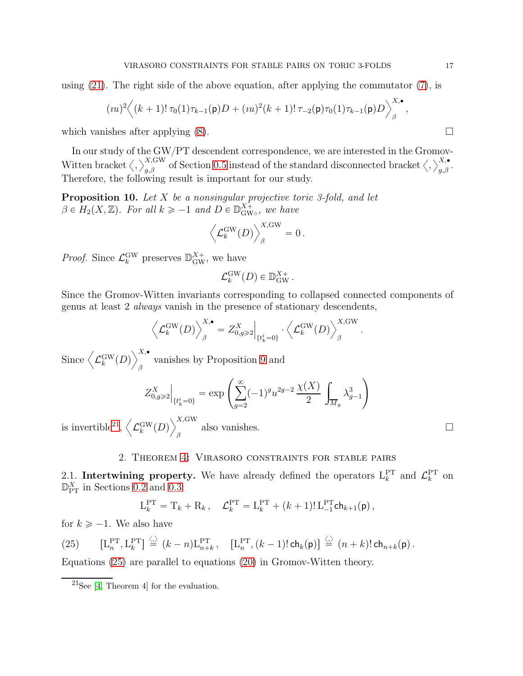using [\(21\)](#page-14-4). The right side of the above equation, after applying the commutator [\(7\)](#page-6-2), is

$$
(iu)^2 \Big\langle (k+1)!\,\tau_0(1)\tau_{k-1}(\mathbf{p})D + (iu)^2(k+1)!\,\tau_{-2}(\mathbf{p})\tau_0(1)\tau_{k-1}(\mathbf{p})D \Big\rangle_{\beta}^{X,\bullet}
$$

which vanishes after applying  $(8)$ .

In our study of the GW/PT descendent correspondence, we are interested in the Gromov-Witten bracket  $\langle,\rangle_{g,\beta}^{X,\text{GW}}$  of Section [0.5](#page-5-1) instead of the standard disconnected bracket  $\langle,\rangle_{g,\beta}^{X,\bullet}$ . Therefore, the following result is important for our study.

<span id="page-16-3"></span>**Proposition 10.** Let X be a nonsingular projective toric 3-fold, and let  $\beta \in H_2(X, \mathbb{Z})$ . For all  $k \ge -1$  and  $D \in \mathbb{D}_{\text{GW}}^{X+}$  $\rm_{GW\circ}^X$ , we have

$$
\left\langle \mathcal{L}^{\rm GW}_k(D)\right\rangle_{\beta}^{X,\rm GW}=0\,.
$$

*Proof.* Since  $\mathcal{L}_k^{\text{GW}}$  preserves  $\mathbb{D}_{\text{GW}}^{X+}$ , we have

$$
\mathcal{L}_k^{\text{GW}}(D) \in \mathbb{D}_{\text{GW}}^{X+}.
$$

Since the Gromov-Witten invariants corresponding to collapsed connected components of genus at least 2 always vanish in the presence of stationary descendents,

$$
\left\langle \mathcal{L}_{k}^{\text{GW}}(D)\right\rangle_{\beta}^{X,\bullet}=Z_{0,g\geqslant2}^{X}\Big|_{\{t_{k}^{i}=0\}}\cdot\left\langle \mathcal{L}_{k}^{\text{GW}}(D)\right\rangle_{\beta}^{X,\text{GW}}.
$$

Since  $\left\langle \mathcal{L}_{k}^{\rm GW}(D)\right\rangle _{s}^{X,\bullet}$ vanishes by Proposition [9](#page-15-4) and  $\beta$ 

$$
Z^X_{0,g\geqslant 2}\Big|_{\{t^i_k=0\}}=\exp\left(\sum_{g=2}^{\infty}(-1)^gu^{2g-2}\,\frac{\chi(X)}{2}\,\int_{\overline{M}_g}\,\lambda^3_{g-1}\right)
$$

is invertible<sup>[21](#page-16-1)</sup>,  $\left\langle \mathcal{L}_{k}^{\rm GW}(D)\right\rangle _{s}^{X,\rm GW}$ also vanishes.  $\square$ 

#### 2. Theorem [4:](#page-4-0) Virasoro constraints for stable pairs

<span id="page-16-0"></span>2.1. Intertwining property. We have already defined the operators  $L_k^{\text{PT}}$  and  $\mathcal{L}_k^{\text{PT}}$  on  $\mathbb{D}_{\text{PT}}^X$  in Sections [0.2](#page-2-2) and [0.3:](#page-4-3)

$$
L_k^{\rm PT} = T_k + R_k, \quad \mathcal{L}_k^{\rm PT} = L_k^{\rm PT} + (k+1)! L_{-1}^{\rm PT} \mathsf{ch}_{k+1}(\mathsf{p}),
$$

for  $k \geqslant -1$ . We also have

<span id="page-16-2"></span>(25) 
$$
\left[\mathbf{L}_n^{\mathrm{PT}}, \mathbf{L}_k^{\mathrm{PT}}\right] \stackrel{\langle . \rangle}{=} (k-n)\mathbf{L}_{n+k}^{\mathrm{PT}}, \quad \left[\mathbf{L}_n^{\mathrm{PT}}, (k-1)!\,\mathsf{ch}_k(\mathsf{p})\right] \stackrel{\langle . \rangle}{=} (n+k)!\,\mathsf{ch}_{n+k}(\mathsf{p}).
$$

Equations [\(25\)](#page-16-2) are parallel to equations [\(20\)](#page-13-3) in Gromov-Witten theory.

,

<span id="page-16-1"></span><sup>21</sup>See [\[4,](#page-62-7) Theorem 4] for the evaluation.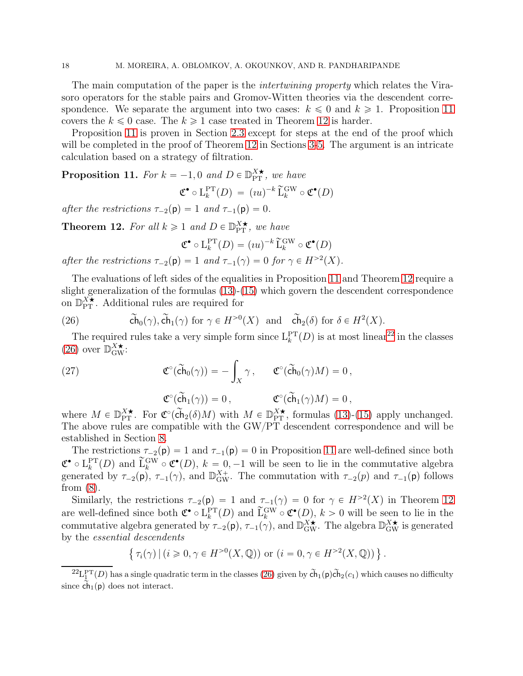The main computation of the paper is the *intertwining property* which relates the Virasoro operators for the stable pairs and Gromov-Witten theories via the descendent correspondence. We separate the argument into two cases:  $k \leq 0$  and  $k \geq 1$ . Proposition [11](#page-17-1) covers the  $k \leq 0$  case. The  $k \geq 1$  case treated in Theorem [12](#page-17-0) is harder.

Proposition [11](#page-17-1) is proven in Section [2.3](#page-18-0) except for steps at the end of the proof which will be completed in the proof of Theorem [12](#page-17-0) in Sections [3-](#page-23-0)[5.](#page-40-0) The argument is an intricate calculation based on a strategy of filtration.

<span id="page-17-1"></span>**Proposition 11.** For  $k = -1, 0$  and  $D \in \mathbb{D}_{PT}^{X*}$ , we have

$$
\mathfrak{C}^{\bullet} \circ \mathcal{L}_{k}^{\mathrm{PT}}(D) = (iu)^{-k} \widetilde{\mathcal{L}}_{k}^{\mathrm{GW}} \circ \mathfrak{C}^{\bullet}(D)
$$

after the restrictions  $\tau_{-2}(\mathbf{p}) = 1$  and  $\tau_{-1}(\mathbf{p}) = 0$ .

<span id="page-17-0"></span>**Theorem 12.** For all  $k \geq 1$  and  $D \in \mathbb{D}_{PT}^{X*}$ , we have

$$
\mathfrak{C}^{\bullet} \circ \mathcal{L}_{k}^{\mathrm{PT}}(D) = (iu)^{-k} \widetilde{\mathcal{L}}_{k}^{\mathrm{GW}} \circ \mathfrak{C}^{\bullet}(D)
$$

after the restrictions  $\tau_{-2}(\mathsf{p}) = 1$  and  $\tau_{-1}(\gamma) = 0$  for  $\gamma \in H^{>2}(X)$ .

The evaluations of left sides of the equalities in Proposition [11](#page-17-1) and Theorem [12](#page-17-0) require a slight generalization of the formulas [\(13\)](#page-8-0)-[\(15\)](#page-8-1) which govern the descendent correspondence on  $\mathbb{D}_{PT}^{X*}$ . Additional rules are required for

<span id="page-17-3"></span>(26) 
$$
\widetilde{\text{Ch}}_0(\gamma)
$$
,  $\widetilde{\text{Ch}}_1(\gamma)$  for  $\gamma \in H^{>0}(X)$  and  $\widetilde{\text{Ch}}_2(\delta)$  for  $\delta \in H^2(X)$ .

The required rules take a very simple form since  $L_k^{\text{PT}}(D)$  is at most linear<sup>[22](#page-17-2)</sup> in the classes [\(26\)](#page-17-3) over  $\mathbb{D}_{\text{GW}}^{X\star}$ :

(27) 
$$
\mathfrak{C}^{\circ}(\widetilde{\mathbf{ch}}_0(\gamma)) = -\int_X \gamma, \qquad \mathfrak{C}^{\circ}(\widetilde{\mathbf{ch}}_0(\gamma)M) = 0,
$$

$$
\mathfrak{C}^{\circ}(\widetilde{\mathbf{ch}}_1(\gamma)) = 0, \qquad \mathfrak{C}^{\circ}(\widetilde{\mathbf{ch}}_1(\gamma)M) = 0,
$$

where  $M \in \mathbb{D}_{\text{PT}}^{\chi^\star}$ . For  $\mathfrak{C}^{\circ}(\tilde{\text{ch}}_2(\delta)M)$  with  $M \in \mathbb{D}_{\text{PT}}^{\chi^\star}$ , formulas [\(13\)](#page-8-0)-[\(15\)](#page-8-1) apply unchanged. The above rules are compatible with the  $\text{GW/PT}$  descendent correspondence and will be established in Section [8.](#page-53-0)

The restrictions  $\tau_{-2}(\mathbf{p}) = 1$  and  $\tau_{-1}(\mathbf{p}) = 0$  in Proposition [11](#page-17-1) are well-defined since both  $\mathfrak{C}^{\bullet} \circ L_{k}^{PT}(D)$  and  $\widetilde{L}_{k}^{GW} \circ \mathfrak{C}^{\bullet}(D), k = 0, -1$  will be seen to lie in the commutative algebra generated by  $\tau_{-2}(\mathsf{p})$ ,  $\tau_{-1}(\gamma)$ , and  $\mathbb{D}_{\text{GW}}^{X+}$ . The commutation with  $\tau_{-2}(p)$  and  $\tau_{-1}(\mathsf{p})$  follows from  $(8)$ .

Similarly, the restrictions  $\tau_{-2}(\mathsf{p}) = 1$  and  $\tau_{-1}(\gamma) = 0$  for  $\gamma \in H^{>2}(X)$  in Theorem [12](#page-17-0) are well-defined since both  $\mathfrak{C}^{\bullet} \circ L_k^{\text{PT}}(D)$  and  $\widetilde{L}_k^{\text{GW}} \circ \mathfrak{C}^{\bullet}(D)$ ,  $k > 0$  will be seen to lie in the commutative algebra generated by  $\tau_{-2}(\mathsf{p}), \tau_{-1}(\gamma)$ , and  $\mathbb{D}_{\text{GW}}^{X\star}$ . The algebra  $\mathbb{D}_{\text{GW}}^{X\star}$  is generated by the essential descendents

$$
\{ \tau_i(\gamma) \mid (i \geq 0, \gamma \in H^{>0}(X, \mathbb{Q})) \text{ or } (i = 0, \gamma \in H^{>2}(X, \mathbb{Q})) \}.
$$

<span id="page-17-2"></span> ${}^{22}L_1^{\rm PT}(D)$  has a single quadratic term in the classes [\(26\)](#page-17-3) given by  $\tilde{\text{ch}}_1(\textbf{p})\tilde{\text{ch}}_2(c_1)$  which causes no difficulty since  $\mathsf{ch}_1(\mathsf{p})$  does not interact.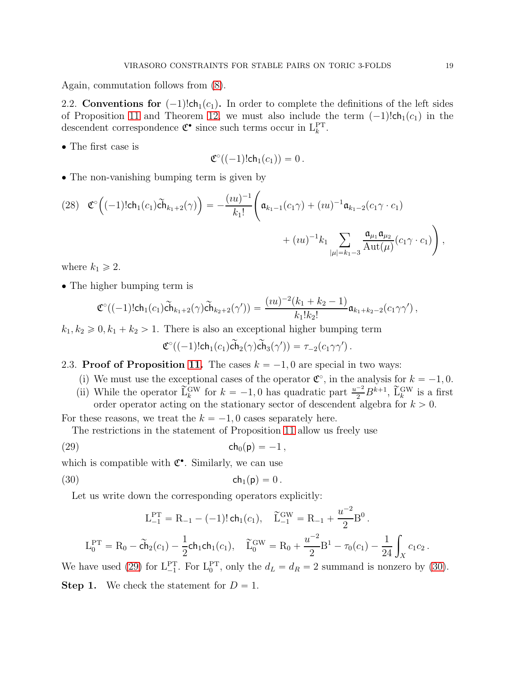Again, commutation follows from [\(8\)](#page-6-3).

2.2. Conventions for  $(-1)!$ ch<sub>1</sub> $(c_1)$ . In order to complete the definitions of the left sides of Proposition [11](#page-17-1) and Theorem [12,](#page-17-0) we must also include the term  $(-1)!ch_1(c_1)$  in the descendent correspondence  $\mathfrak{C}^{\bullet}$  since such terms occur in  $L_k^{\text{PT}}$ .

• The first case is

$$
\mathfrak{C}^{\circ}((-1)!\mathsf{ch}_1(c_1))=0.
$$

• The non-vanishing bumping term is given by

<span id="page-18-3"></span>
$$
(28) \quad \mathfrak{C}^{\circ}\Big((-1)!\mathsf{ch}_{1}(c_{1})\widetilde{\mathsf{ch}}_{k_{1}+2}(\gamma)\Big) = -\frac{(iu)^{-1}}{k_{1}!}\Bigg(\mathfrak{a}_{k_{1}-1}(c_{1}\gamma) + (iu)^{-1}\mathfrak{a}_{k_{1}-2}(c_{1}\gamma \cdot c_{1}) + (iu)^{-1}k_{1}\sum_{|\mu|=k_{1}-3}\frac{\mathfrak{a}_{\mu_{1}}\mathfrak{a}_{\mu_{2}}}{\mathrm{Aut}(\mu)}(c_{1}\gamma \cdot c_{1})\Bigg),
$$

where  $k_1 \geq 2$ .

• The higher bumping term is

$$
\mathfrak{C}^{\circ}((-1)!ch_1(c_1)\widetilde{ch}_{k_1+2}(\gamma)\widetilde{ch}_{k_2+2}(\gamma'))=\frac{(iu)^{-2}(k_1+k_2-1)}{k_1!k_2!}\mathfrak{a}_{k_1+k_2-2}(c_1\gamma\gamma'),
$$

 $k_1, k_2 \geq 0, k_1 + k_2 > 1$ . There is also an exceptional higher bumping term

<span id="page-18-1"></span>
$$
\mathfrak{C}^{\circ}((-1)!\mathsf{ch}_1(c_1)\widetilde{\mathsf{ch}}_2(\gamma)\widetilde{\mathsf{ch}}_3(\gamma')) = \tau_{-2}(c_1\gamma\gamma').
$$

## <span id="page-18-0"></span>2.3. Proof of Proposition [11.](#page-17-1) The cases  $k = -1, 0$  are special in two ways:

- (i) We must use the exceptional cases of the operator  $\mathfrak{C}^{\circ}$ , in the analysis for  $k = -1, 0$ .
- (ii) While the operator  $\widetilde{L}_k^{\text{GW}}$  for  $k = -1, 0$  has quadratic part  $\frac{u^{-2}}{2} B^{k+1}$ ,  $\widetilde{L}_k^{\text{GW}}$  is a first order operator acting on the stationary sector of descendent algebra for  $k > 0$ .

For these reasons, we treat the  $k = -1, 0$  cases separately here.

The restrictions in the statement of Proposition [11](#page-17-1) allow us freely use

(29) ch<sub>0</sub>( $p$ ) = -1,

which is compatible with  $C^{\bullet}$ . Similarly, we can use

$$
ch_1(p) = 0.
$$

Let us write down the corresponding operators explicitly:

<span id="page-18-2"></span>
$$
L_{-1}^{PT} = R_{-1} - (-1)! \operatorname{ch}_{1}(c_{1}), \quad \widetilde{L}_{-1}^{GW} = R_{-1} + \frac{u^{-2}}{2} B^{0}.
$$
  

$$
R_{-1} = \widetilde{A}_{-1}(c_{1}), \quad \widetilde{A}_{-1}^{G} = \widetilde{A}_{-1}^{G} B_{-1} + \frac{u^{-2}}{2} B^{1} B_{-1} + \cdots
$$

$$
L_0^{\rm PT} = R_0 - \tilde{\mathbf{ch}}_2(c_1) - \frac{1}{2} \mathbf{ch}_1 \mathbf{ch}_1(c_1), \quad \tilde{L}_0^{\rm GW} = R_0 + \frac{u^{-2}}{2} B^1 - \tau_0(c_1) - \frac{1}{24} \int_X c_1 c_2.
$$

We have used [\(29\)](#page-18-1) for  $L_{-1}^{PT}$ . For  $L_0^{PT}$ , only the  $d_L = d_R = 2$  summand is nonzero by [\(30\)](#page-18-2).

**Step 1.** We check the statement for  $D = 1$ .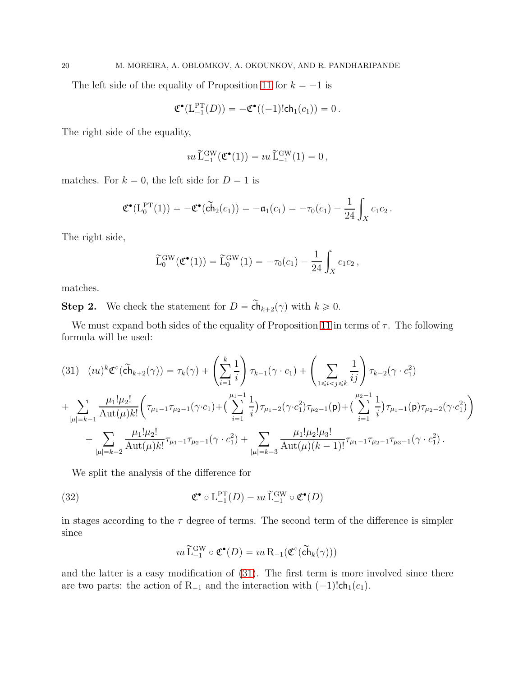The left side of the equality of Proposition [11](#page-17-1) for  $k = -1$  is

$$
\mathfrak{C}^{\bullet}(\mathsf{L}_{-1}^{\mathrm{PT}}(D)) = -\mathfrak{C}^{\bullet}((-1)!\mathsf{ch}_1(c_1)) = 0.
$$

The right side of the equality,

$$
u\,\widetilde{\mathcal{L}}_{-1}^{\mathrm{GW}}(\mathfrak{C}^{\bullet}(1)) = u\,\widetilde{\mathcal{L}}_{-1}^{\mathrm{GW}}(1) = 0\,,
$$

matches. For  $k = 0$ , the left side for  $D = 1$  is

$$
\mathfrak{C}^{\bullet}(L_0^{\text{PT}}(1)) = -\mathfrak{C}^{\bullet}(\tilde{\mathsf{ch}}_2(c_1)) = -\mathfrak{a}_1(c_1) = -\tau_0(c_1) - \frac{1}{24} \int_X c_1 c_2.
$$

The right side,

$$
\widetilde{L}_0^{\text{GW}}(\mathfrak{C}^\bullet(1)) = \widetilde{L}_0^{\text{GW}}(1) = -\tau_0(c_1) - \frac{1}{24} \int_X c_1 c_2,
$$

matches.

**Step 2.** We check the statement for  $D = \widetilde{\mathsf{ch}}_{k+2}(\gamma)$  with  $k \geq 0$ .

We must expand both sides of the equality of Proposition [11](#page-17-1) in terms of  $\tau$ . The following formula will be used:

<span id="page-19-0"></span>
$$
(31) (iu)^{k} \mathfrak{C}^{\circ}(\widetilde{ch}_{k+2}(\gamma)) = \tau_{k}(\gamma) + \left(\sum_{i=1}^{k} \frac{1}{i}\right) \tau_{k-1}(\gamma \cdot c_{1}) + \left(\sum_{1 \leq i < j \leq k} \frac{1}{ij}\right) \tau_{k-2}(\gamma \cdot c_{1}^{2})
$$
\n
$$
+ \sum_{|\mu|=k-1} \frac{\mu_{1}! \mu_{2}!}{\mathrm{Aut}(\mu)k!} \left(\tau_{\mu_{1}-1} \tau_{\mu_{2}-1}(\gamma \cdot c_{1}) + \left(\sum_{i=1}^{\mu_{1}-1} \frac{1}{i}\right) \tau_{\mu_{1}-2}(\gamma \cdot c_{1}^{2}) \tau_{\mu_{2}-1}(\mathsf{p}) + \left(\sum_{i=1}^{\mu_{2}-1} \frac{1}{i}\right) \tau_{\mu_{1}-1}(\mathsf{p}) \tau_{\mu_{2}-2}(\gamma \cdot c_{1}^{2})\right)
$$
\n
$$
+ \sum_{|\mu|=k-2} \frac{\mu_{1}! \mu_{2}!}{\mathrm{Aut}(\mu)k!} \tau_{\mu_{1}-1} \tau_{\mu_{2}-1}(\gamma \cdot c_{1}^{2}) + \sum_{|\mu|=k-3} \frac{\mu_{1}! \mu_{2}! \mu_{3}!}{\mathrm{Aut}(\mu)(k-1)!} \tau_{\mu_{1}-1} \tau_{\mu_{2}-1} \tau_{\mu_{3}-1}(\gamma \cdot c_{1}^{2}).
$$

We split the analysis of the difference for

(32) 
$$
\mathfrak{C}^{\bullet} \circ L_{-1}^{\text{PT}}(D) - i u \widetilde{L}_{-1}^{\text{GW}} \circ \mathfrak{C}^{\bullet}(D)
$$

in stages according to the  $\tau$  degree of terms. The second term of the difference is simpler since

<span id="page-19-1"></span>
$$
iu \widetilde{\mathcal{L}}^{\text{GW}}_{-1} \circ \mathfrak{C}^{\bullet}(D) = iu R_{-1}(\mathfrak{C}^{\circ}(\widetilde{\mathsf{ch}}_k(\gamma)))
$$

and the latter is a easy modification of [\(31\)](#page-19-0). The first term is more involved since there are two parts: the action of  $R_{-1}$  and the interaction with  $(-1)!$ ch<sub>1</sub> $(c_1)$ .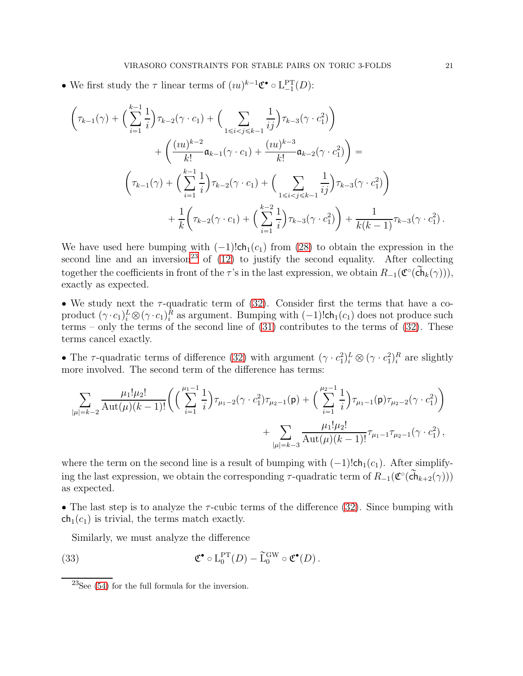• We first study the  $\tau$  linear terms of  $(uu)^{k-1}\mathfrak{C}^{\bullet} \circ L_{-1}^{PT}(D)$ :

$$
\left(\tau_{k-1}(\gamma) + \left(\sum_{i=1}^{k-1} \frac{1}{i}\right) \tau_{k-2}(\gamma \cdot c_1) + \left(\sum_{1 \le i < j \le k-1} \frac{1}{ij}\right) \tau_{k-3}(\gamma \cdot c_1^2)\right) \n+ \left(\frac{(iu)^{k-2}}{k!} \mathfrak{a}_{k-1}(\gamma \cdot c_1) + \frac{(iu)^{k-3}}{k!} \mathfrak{a}_{k-2}(\gamma \cdot c_1^2)\right) = \n\left(\tau_{k-1}(\gamma) + \left(\sum_{i=1}^{k-1} \frac{1}{i}\right) \tau_{k-2}(\gamma \cdot c_1) + \left(\sum_{1 \le i < j \le k-1} \frac{1}{ij}\right) \tau_{k-3}(\gamma \cdot c_1^2)\right) \n+ \frac{1}{k} \left(\tau_{k-2}(\gamma \cdot c_1) + \left(\sum_{i=1}^{k-2} \frac{1}{i}\right) \tau_{k-3}(\gamma \cdot c_1^2)\right) + \frac{1}{k(k-1)} \tau_{k-3}(\gamma \cdot c_1^2).
$$

We have used here bumping with  $(-1)!$ ch<sub>1</sub> $(c_1)$  from [\(28\)](#page-18-3) to obtain the expression in the second line and an inversion<sup>[23](#page-20-0)</sup> of  $(12)$  to justify the second equality. After collecting together the coefficients in front of the  $\tau$ 's in the last expression, we obtain  $R_{-1}(\mathfrak{C}^{\circ}(\widetilde{\mathbf{ch}}_k(\gamma))),$ exactly as expected.

• We study next the  $\tau$ -quadratic term of [\(32\)](#page-19-1). Consider first the terms that have a coproduct  $(\gamma \cdot c_1)_i^L \otimes (\gamma \cdot c_1)_i^R$  as argument. Bumping with  $(-1)!$ ch<sub>1</sub> $(c_1)$  does not produce such terms – only the terms of the second line of  $(31)$  contributes to the terms of  $(32)$ . These terms cancel exactly.

• The  $\tau$ -quadratic terms of difference [\(32\)](#page-19-1) with argument  $(\gamma \cdot c_1^2)_i^L \otimes (\gamma \cdot c_1^2)_i^R$  are slightly more involved. The second term of the difference has terms:

$$
\sum_{|\mu|=k-2} \frac{\mu_1! \mu_2!}{\mathrm{Aut}(\mu)(k-1)!} \bigg( \Big( \sum_{i=1}^{\mu_1-1} \frac{1}{i} \Big) \tau_{\mu_1-2}(\gamma \cdot c_1^2) \tau_{\mu_2-1}(\mathsf{p}) + \Big( \sum_{i=1}^{\mu_2-1} \frac{1}{i} \Big) \tau_{\mu_1-1}(\mathsf{p}) \tau_{\mu_2-2}(\gamma \cdot c_1^2) \bigg) + \sum_{|\mu|=k-3} \frac{\mu_1! \mu_2!}{\mathrm{Aut}(\mu)(k-1)!} \tau_{\mu_1-1} \tau_{\mu_2-1}(\gamma \cdot c_1^2) ,
$$

where the term on the second line is a result of bumping with  $(-1)!$ ch<sub>1</sub> $(c_1)$ . After simplifying the last expression, we obtain the corresponding  $\tau$ -quadratic term of  $R_{-1}(\mathfrak{C}^{\circ}(\tilde{ch}_{k+2}(\gamma)))$ as expected.

• The last step is to analyze the  $\tau$ -cubic terms of the difference [\(32\)](#page-19-1). Since bumping with  $ch_1(c_1)$  is trivial, the terms match exactly.

<span id="page-20-1"></span>Similarly, we must analyze the difference

(33) 
$$
\mathfrak{C}^{\bullet} \circ L_0^{\text{PT}}(D) - \widetilde{L}_0^{\text{GW}} \circ \mathfrak{C}^{\bullet}(D).
$$

<span id="page-20-0"></span> $23$ See [\(54\)](#page-29-0) for the full formula for the inversion.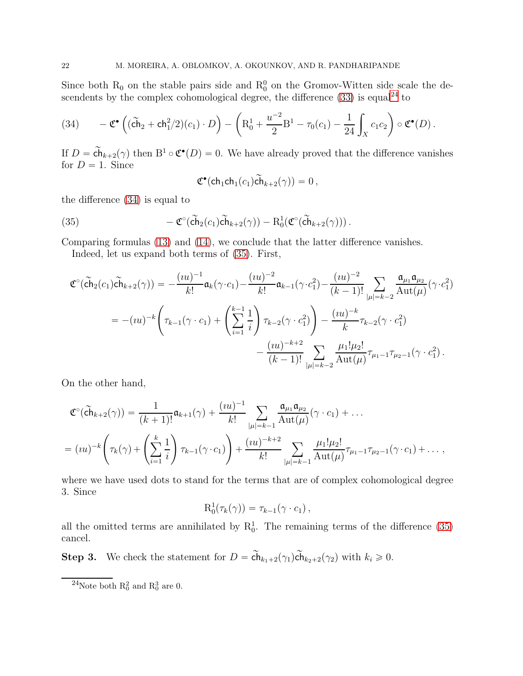Since both  $R_0$  on the stable pairs side and  $R_0^0$  on the Gromov-Witten side scale the descendents by the complex cohomological degree, the difference  $(33)$  is equal<sup>[24](#page-21-0)</sup> to

<span id="page-21-1"></span>(34) 
$$
-\mathfrak{C}^{\bullet}\left((\widetilde{\mathsf{ch}}_2 + \mathsf{ch}_1^2/2)(c_1) \cdot D\right) - \left(R_0^1 + \frac{u^{-2}}{2}B^1 - \tau_0(c_1) - \frac{1}{24} \int_X c_1 c_2\right) \circ \mathfrak{C}^{\bullet}(D).
$$

If  $D = \widetilde{\mathsf{ch}}_{k+2}(\gamma)$  then  $B^1 \circ \mathfrak{C}^\bullet(D) = 0$ . We have already proved that the difference vanishes for  $D = 1$ . Since

<span id="page-21-2"></span>
$$
\mathfrak{C}^{\bullet}(\mathsf{ch}_1\mathsf{ch}_1(c_1)\widetilde{\mathsf{ch}}_{k+2}(\gamma))=0\,,
$$

the difference [\(34\)](#page-21-1) is equal to

(35) 
$$
-\mathfrak{C}^{\circ}(\widetilde{\mathsf{ch}}_2(c_1)\widetilde{\mathsf{ch}}_{k+2}(\gamma)) - \mathrm{R}_0^1(\mathfrak{C}^{\circ}(\widetilde{\mathsf{ch}}_{k+2}(\gamma))) .
$$

Comparing formulas [\(13\)](#page-8-0) and [\(14\)](#page-8-4), we conclude that the latter difference vanishes.

Indeed, let us expand both terms of [\(35\)](#page-21-2). First,

$$
\mathfrak{C}^{\circ}(\tilde{ch}_{2}(c_{1})\tilde{ch}_{k+2}(\gamma)) = -\frac{(iu)^{-1}}{k!}\mathfrak{a}_{k}(\gamma \cdot c_{1}) - \frac{(iu)^{-2}}{k!}\mathfrak{a}_{k-1}(\gamma \cdot c_{1}^{2}) - \frac{(iu)^{-2}}{(k-1)!} \sum_{|\mu|=k-2} \frac{\mathfrak{a}_{\mu_{1}}\mathfrak{a}_{\mu_{2}}}{\mathrm{Aut}(\mu)}(\gamma \cdot c_{1}^{2})
$$
  
=  $-(iu)^{-k} \left(\tau_{k-1}(\gamma \cdot c_{1}) + \left(\sum_{i=1}^{k-1} \frac{1}{i}\right) \tau_{k-2}(\gamma \cdot c_{1}^{2})\right) - \frac{(iu)^{-k}}{k} \tau_{k-2}(\gamma \cdot c_{1}^{2})$ 
$$
- \frac{(iu)^{-k+2}}{(k-1)!} \sum_{|\mu|=k-2} \frac{\mu_{1}! \mu_{2}!}{\mathrm{Aut}(\mu)} \tau_{\mu_{1}-1} \tau_{\mu_{2}-1}(\gamma \cdot c_{1}^{2}).
$$

On the other hand,

$$
\mathfrak{C}^{\circ}(\tilde{ch}_{k+2}(\gamma)) = \frac{1}{(k+1)!} \mathfrak{a}_{k+1}(\gamma) + \frac{(iu)^{-1}}{k!} \sum_{|\mu|=k-1} \frac{\mathfrak{a}_{\mu_1} \mathfrak{a}_{\mu_2}}{\mathrm{Aut}(\mu)} (\gamma \cdot c_1) + \dots
$$
  
=  $(iu)^{-k} \left( \tau_k(\gamma) + \left( \sum_{i=1}^k \frac{1}{i} \right) \tau_{k-1}(\gamma \cdot c_1) \right) + \frac{(iu)^{-k+2}}{k!} \sum_{|\mu|=k-1} \frac{\mu_1! \mu_2!}{\mathrm{Aut}(\mu)} \tau_{\mu_1-1} \tau_{\mu_2-1}(\gamma \cdot c_1) + \dots,$ 

where we have used dots to stand for the terms that are of complex cohomological degree 3. Since

$$
\mathrm R_0^1(\tau_k(\gamma))=\tau_{k-1}(\gamma\cdot c_1)\,,
$$

all the omitted terms are annihilated by  $R_0^1$ . The remaining terms of the difference [\(35\)](#page-21-2) cancel.

**Step 3.** We check the statement for  $D = \widetilde{\mathsf{ch}}_{k_1+2}(\gamma_1)\widetilde{\mathsf{ch}}_{k_2+2}(\gamma_2)$  with  $k_i \geq 0$ .

<span id="page-21-0"></span><sup>&</sup>lt;sup>24</sup>Note both  $R_0^2$  and  $R_0^3$  are 0.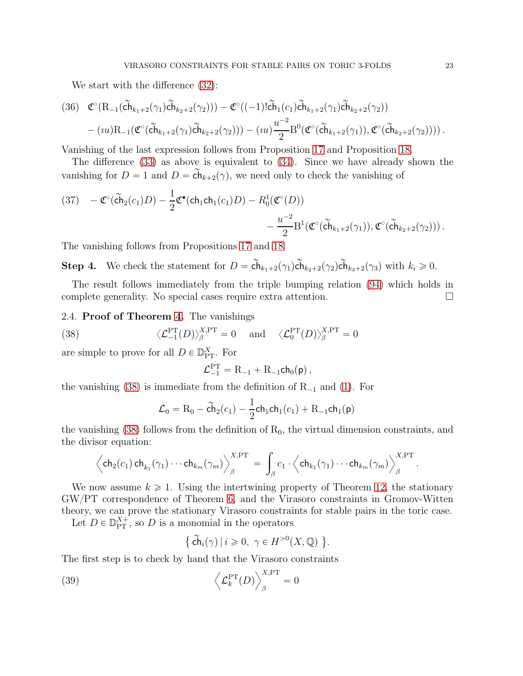We start with the difference  $(32)$ :

$$
(36) \quad \mathfrak{C}^{\circ}(\mathrm{R}_{-1}(\tilde{\mathrm{ch}}_{k_{1}+2}(\gamma_{1})\tilde{\mathrm{ch}}_{k_{2}+2}(\gamma_{2}))) - \mathfrak{C}^{\circ}((-1)!\tilde{\mathrm{ch}}_{1}(c_{1})\tilde{\mathrm{ch}}_{k_{1}+2}(\gamma_{1})\tilde{\mathrm{ch}}_{k_{2}+2}(\gamma_{2})) - (iu)\mathrm{R}_{-1}(\mathfrak{C}^{\circ}(\tilde{\mathrm{ch}}_{k_{1}+2}(\gamma_{1})\tilde{\mathrm{ch}}_{k_{2}+2}(\gamma_{2}))) - (iu)\frac{u^{-2}}{2}\mathrm{B}^{0}(\mathfrak{C}^{\circ}(\tilde{\mathrm{ch}}_{k_{1}+2}(\gamma_{1})), \mathfrak{C}^{\circ}(\tilde{\mathrm{ch}}_{k_{2}+2}(\gamma_{2}))) ).
$$

Vanishing of the last expression follows from Proposition [17](#page-40-1) and Proposition [18.](#page-41-0)

The difference [\(33\)](#page-20-1) as above is equivalent to [\(34\)](#page-21-1). Since we have already shown the vanishing for  $D = 1$  and  $D = \overline{\mathsf{ch}}_{k+2}(\gamma)$ , we need only to check the vanishing of

(37) 
$$
-\mathfrak{C}^{\circ}(\tilde{ch}_{2}(c_{1})D)-\frac{1}{2}\mathfrak{C}^{\bullet}(\mathsf{ch}_{1}\mathsf{ch}_{1}(c_{1})D)-R_{0}^{1}(\mathfrak{C}^{\circ}(D))\\-\frac{u^{-2}}{2}B^{1}(\mathfrak{C}^{\circ}(\tilde{ch}_{k_{1}+2}(\gamma_{1})),\mathfrak{C}^{\circ}(\tilde{ch}_{k_{2}+2}(\gamma_{2}))).
$$

The vanishing follows from Propositions [17](#page-40-1) and [18.](#page-41-0)

**Step 4.** We check the statement for  $D = \widetilde{\mathsf{ch}}_{k_1+2}(\gamma_1)\widetilde{\mathsf{ch}}_{k_2+2}(\gamma_2)\widetilde{\mathsf{ch}}_{k_3+2}(\gamma_3)$  with  $k_i \geq 0$ .

The result follows immediately from the triple bumping relation [\(94\)](#page-43-1) which holds in complete generality. No special cases require extra attention.

### <span id="page-22-0"></span>2.4. Proof of Theorem [4.](#page-4-0) The vanishings

(38) 
$$
\langle \mathcal{L}_{-1}^{\text{PT}}(D) \rangle_{\beta}^{X,\text{PT}} = 0
$$
 and  $\langle \mathcal{L}_{0}^{\text{PT}}(D) \rangle_{\beta}^{X,\text{PT}} = 0$ 

are simple to prove for all  $D \in \mathbb{D}_{\text{PT}}^X$ . For

<span id="page-22-1"></span>
$$
{\cal L}_{-1}^{\rm PT} = {\rm R}_{-1} + {\rm R}_{-1} {\sf ch}_0({\sf p})\,,
$$

the vanishing [\(38\)](#page-22-1) is immediate from the definition of  $R_{-1}$  and [\(1\)](#page-1-3). For

$$
\mathcal{L}_0 = R_0 - \tilde{ch}_2(c_1) - \frac{1}{2} \text{ch}_1 \text{ch}_1(c_1) + R_{-1} \text{ch}_1(\text{p})
$$

the vanishing  $(38)$  follows from the definition of  $R_0$ , the virtual dimension constraints, and the divisor equation:

$$
\left\langle \mathsf{ch}_2(c_1)\,\mathsf{ch}_{k_1}(\gamma_1)\cdots\mathsf{ch}_{k_m}(\gamma_m) \right\rangle_{\beta}^{X,\operatorname{PT}}\;=\;\int_{\beta} c_1\cdot \left\langle \mathsf{ch}_{k_1}(\gamma_1)\cdots\mathsf{ch}_{k_m}(\gamma_m) \right\rangle_{\beta}^{X,\operatorname{PT}}
$$

We now assume  $k \geq 1$ . Using the intertwining property of Theorem [12,](#page-17-0) the stationary GW{PT correspondence of Theorem [6,](#page-8-3) and the Virasoro constraints in Gromov-Witten theory, we can prove the stationary Virasoro constraints for stable pairs in the toric case.

Let  $D \in \mathbb{D}_{\text{PT}}^{X+}$ , so D is a monomial in the operators

<span id="page-22-2"></span>
$$
\{\ \widetilde{\mathsf{ch}}_i(\gamma) \ | \ i \geqslant 0, \ \gamma \in H^{>0}(X, \mathbb{Q}) \ \}.
$$

The first step is to check by hand that the Virasoro constraints

(39) 
$$
\left\langle \mathcal{L}_k^{\text{PT}}(D) \right\rangle_{\beta}^{X,\text{PT}} = 0
$$

.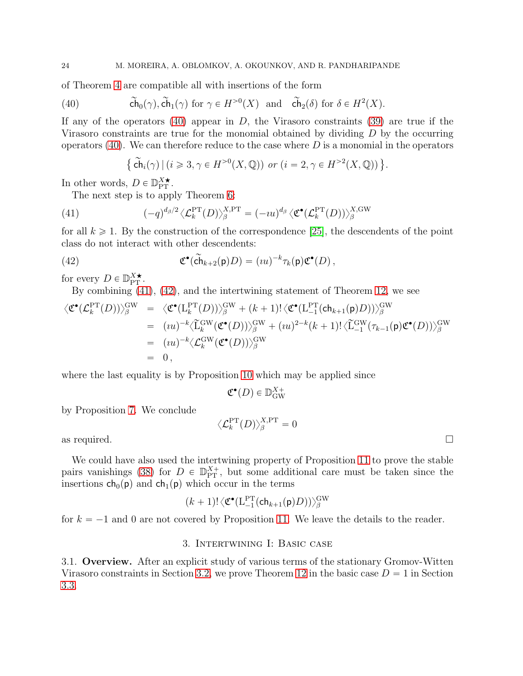of Theorem [4](#page-4-0) are compatible all with insertions of the form

(40) 
$$
\widetilde{\text{ch}}_0(\gamma)
$$
,  $\widetilde{\text{ch}}_1(\gamma)$  for  $\gamma \in H^{>0}(X)$  and  $\widetilde{\text{ch}}_2(\delta)$  for  $\delta \in H^2(X)$ .

If any of the operators  $(40)$  appear in D, the Virasoro constraints  $(39)$  are true if the Virasoro constraints are true for the monomial obtained by dividing  $D$  by the occurring operators [\(40\)](#page-23-1). We can therefore reduce to the case where  $D$  is a monomial in the operators

<span id="page-23-3"></span><span id="page-23-2"></span><span id="page-23-1"></span>
$$
\{\widetilde{\mathsf{ch}}_i(\gamma) \mid (i \geqslant 3, \gamma \in H^{>0}(X, \mathbb{Q})) \text{ or } (i = 2, \gamma \in H^{>2}(X, \mathbb{Q}))\}.
$$

In other words,  $D \in \mathbb{D}_{\text{PT}}^{X \star}$ .

The next step is to apply Theorem [6:](#page-8-3)

(41) 
$$
(-q)^{d_{\beta}/2} \langle \mathcal{L}_k^{\text{PT}}(D) \rangle_{\beta}^{X,\text{PT}} = (-iu)^{d_{\beta}} \langle \mathfrak{C}^{\bullet}(\mathcal{L}_k^{\text{PT}}(D)) \rangle_{\beta}^{X,\text{GW}}
$$

for all  $k \geq 1$ . By the construction of the correspondence [\[25\]](#page-63-8), the descendents of the point class do not interact with other descendents:

(42) 
$$
\mathfrak{C}^{\bullet}(\widetilde{ch}_{k+2}(\mathsf{p})D) = (iu)^{-k} \tau_k(\mathsf{p}) \mathfrak{C}^{\bullet}(D),
$$

for every  $D \in \mathbb{D}_{\text{PT}}^{X \star}$ .

By combining  $(41)$ ,  $(42)$ , and the intertwining statement of Theorem [12,](#page-17-0) we see

$$
\langle \mathfrak{C}^{\bullet}(\mathcal{L}_{k}^{\mathrm{PT}}(D)) \rangle_{\beta}^{\mathrm{GW}} = \langle \mathfrak{C}^{\bullet}(\mathrm{L}_{k}^{\mathrm{PT}}(D)) \rangle_{\beta}^{\mathrm{GW}} + (k+1)! \langle \mathfrak{C}^{\bullet}(\mathrm{L}_{-1}^{\mathrm{PT}}(\mathsf{ch}_{k+1}(\mathsf{p})D)) \rangle_{\beta}^{\mathrm{GW}} \n= (u u)^{-k} \langle \widetilde{\mathrm{L}}_{k}^{\mathrm{GW}}(\mathfrak{C}^{\bullet}(D)) \rangle_{\beta}^{\mathrm{GW}} + (u u)^{2-k} (k+1)! \langle \widetilde{\mathrm{L}}_{-1}^{\mathrm{GW}}(\tau_{k-1}(\mathsf{p}) \mathfrak{C}^{\bullet}(D)) \rangle_{\beta}^{\mathrm{GW}} \n= (uu)^{-k} \langle \mathcal{L}_{k}^{\mathrm{GW}}(\mathfrak{C}^{\bullet}(D)) \rangle_{\beta}^{\mathrm{GW}} \n= 0,
$$

where the last equality is by Proposition [10](#page-16-3) which may be applied since

$$
\mathfrak{C}^\bullet(D) \in \mathbb{D}_{\text{GW}}^{X+}
$$

by Proposition [7.](#page-9-3) We conclude

$$
\langle \mathcal{L}^{\rm PT}_k(D)\rangle^{\rm X,PT}_\beta=0
$$

as required.  $\Box$ 

We could have also used the intertwining property of Proposition [11](#page-17-1) to prove the stable pairs vanishings [\(38\)](#page-22-1) for  $D \in \mathbb{D}_{PT}^{X+}$ , but some additional care must be taken since the insertions  $ch_0(p)$  and  $ch_1(p)$  which occur in the terms

$$
(k+1)!\langle \mathfrak{C}^{\bullet}(\mathrm{L}^{\mathrm{PT}}_{-1}(\mathsf{ch}_{k+1}(\mathsf{p})D)) \rangle^{\mathrm{GW}}_{\beta}
$$

<span id="page-23-0"></span>for  $k = -1$  and 0 are not covered by Proposition [11.](#page-17-1) We leave the details to the reader.

## 3. Intertwining I: Basic case

3.1. Overview. After an explicit study of various terms of the stationary Gromov-Witten Virasoro constraints in Section [3.2,](#page-24-0) we prove Theorem [12](#page-17-0) in the basic case  $D = 1$  in Section [3.3.](#page-25-1)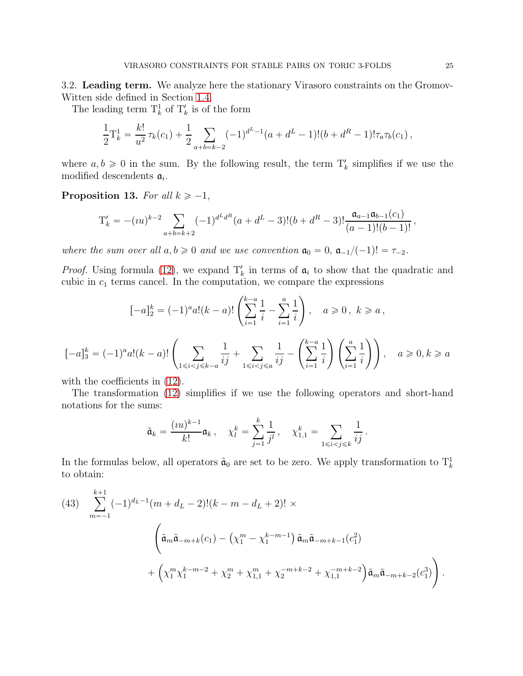<span id="page-24-0"></span>3.2. Leading term. We analyze here the stationary Virasoro constraints on the Gromov-Witten side defined in Section [1.4.](#page-14-5)

The leading term  $\mathcal{T}_{k}^{1}$  of  $\mathcal{T}_{k}'$  is of the form

$$
\frac{1}{2}T_k^1 = \frac{k!}{u^2}\tau_k(c_1) + \frac{1}{2}\sum_{a+b=k-2}(-1)^{d^L-1}(a+d^L-1)!(b+d^R-1)!\tau_a\tau_b(c_1),
$$

where  $a, b \ge 0$  in the sum. By the following result, the term  $T'_k$  simplifies if we use the modified descendents  $a_i$ .

<span id="page-24-2"></span>Proposition 13. For all  $k \ge -1$ ,

$$
T'_{k} = -(i\mathbf{u})^{k-2} \sum_{a+b=k+2} (-1)^{d^{L}d^{R}} (a+d^{L}-3)!(b+d^{R}-3)!\frac{\mathfrak{a}_{a-1}\mathfrak{a}_{b-1}(c_{1})}{(a-1)!(b-1)!},
$$

where the sum over all  $a, b \ge 0$  and we use convention  $\mathfrak{a}_0 = 0$ ,  $\mathfrak{a}_{-1}/(-1)! = \tau_{-2}$ .

*Proof.* Using formula [\(12\)](#page-7-3), we expand  $T'_{k}$  in terms of  $a_{i}$  to show that the quadratic and cubic in  $c_1$  terms cancel. In the computation, we compare the expressions

$$
[-a]_2^k = (-1)^a a!(k-a)!\left(\sum_{i=1}^{k-a} \frac{1}{i} - \sum_{i=1}^a \frac{1}{i}\right), \quad a \ge 0, \ k \ge a,
$$
  

$$
[-a]_3^k = (-1)^a a!(k-a)!\left(\sum_{1 \le i < j \le k-a} \frac{1}{ij} + \sum_{1 \le i < j \le a} \frac{1}{ij} - \left(\sum_{i=1}^{k-a} \frac{1}{i}\right)\left(\sum_{i=1}^a \frac{1}{i}\right)\right), \quad a \ge 0, k \ge a
$$

with the coefficients in  $(12)$ .

The transformation [\(12\)](#page-7-3) simplifies if we use the following operators and short-hand notations for the sums:

$$
\tilde{\mathfrak{a}}_k = \frac{(iu)^{k-1}}{k!} \mathfrak{a}_k, \quad \chi_l^k = \sum_{j=1}^k \frac{1}{j^l}, \quad \chi_{1,1}^k = \sum_{1 \le i < j \le k} \frac{1}{ij}.
$$

In the formulas below, all operators  $\tilde{\mathfrak{a}}_0$  are set to be zero. We apply transformation to  $T_k^1$ to obtain:

<span id="page-24-1"></span>(43) 
$$
\sum_{m=-1}^{k+1} (-1)^{d_L-1} (m + d_L - 2)!(k - m - d_L + 2)! \times
$$

$$
\left(\tilde{a}_m \tilde{a}_{-m+k}(c_1) - \left(\chi_1^m - \chi_1^{k-m-1}\right) \tilde{a}_m \tilde{a}_{-m+k-1}(c_1^2) + \left(\chi_1^m \chi_1^{k-m-2} + \chi_2^m + \chi_{1,1}^m + \chi_2^{-m+k-2} + \chi_{1,1}^{-m+k-2}\right) \tilde{a}_m \tilde{a}_{-m+k-2}(c_1^3)\right).
$$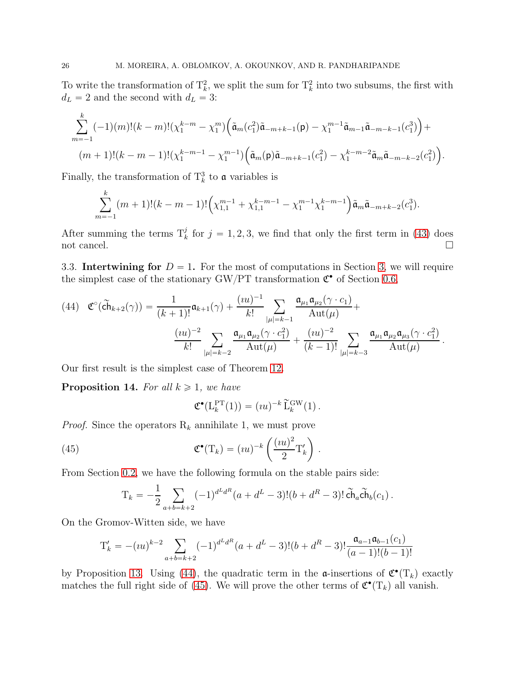To write the transformation of  $\mathcal{T}_k^2$ , we split the sum for  $\mathcal{T}_k^2$  into two subsums, the first with  $d_L = 2$  and the second with  $d_L = 3$ :

$$
\sum_{m=-1}^{k} (-1)(m)!(k-m)!(\chi_1^{k-m} - \chi_1^m) \Big( \tilde{a}_m(c_1^2) \tilde{a}_{-m+k-1}(p) - \chi_1^{m-1} \tilde{a}_{m-1} \tilde{a}_{-m-k-1}(c_1^3) \Big) +
$$
  

$$
(m+1)!(k-m-1)!(\chi_1^{k-m-1} - \chi_1^{m-1}) \Big( \tilde{a}_m(p) \tilde{a}_{-m+k-1}(c_1^2) - \chi_1^{k-m-2} \tilde{a}_m \tilde{a}_{-m-k-2}(c_1^2) \Big).
$$

Finally, the transformation of  $\mathcal{T}_{k}^{3}$  to **a** variables is

$$
\sum_{m=-1}^{k} (m+1)!(k-m-1)!\left(\chi_{1,1}^{m-1}+\chi_{1,1}^{k-m-1}-\chi_{1}^{m-1}\chi_{1}^{k-m-1}\right)\tilde{\mathfrak{a}}_{m}\tilde{\mathfrak{a}}_{-m+k-2}(c_{1}^{3}).
$$

After summing the terms  $T_k^j$  for  $j = 1, 2, 3$ , we find that only the first term in [\(43\)](#page-24-1) does not cancel.

<span id="page-25-1"></span>3.3. Intertwining for  $D = 1$ . For the most of computations in Section [3,](#page-23-0) we will require the simplest case of the stationary GW/PT transformation  $\mathfrak{C}^\bullet$  of Section [0.6,](#page-7-4)

<span id="page-25-2"></span>(44) 
$$
\mathfrak{C}^{\circ}(\tilde{ch}_{k+2}(\gamma)) = \frac{1}{(k+1)!} \mathfrak{a}_{k+1}(\gamma) + \frac{(iu)^{-1}}{k!} \sum_{|\mu|=k-1} \frac{\mathfrak{a}_{\mu_1} \mathfrak{a}_{\mu_2}(\gamma \cdot c_1)}{\mathrm{Aut}(\mu)} + \frac{(iu)^{-2}}{k!} \sum_{|\mu|=k-2} \frac{\mathfrak{a}_{\mu_1} \mathfrak{a}_{\mu_2}(\gamma \cdot c_1^2)}{\mathrm{Aut}(\mu)} + \frac{(iu)^{-2}}{(k-1)!} \sum_{|\mu|=k-3} \frac{\mathfrak{a}_{\mu_1} \mathfrak{a}_{\mu_2} \mathfrak{a}_{\mu_3}(\gamma \cdot c_1^2)}{\mathrm{Aut}(\mu)}.
$$

Our first result is the simplest case of Theorem [12.](#page-17-0)

<span id="page-25-0"></span>**Proposition 14.** For all  $k \geq 1$ , we have

<span id="page-25-3"></span>
$$
\mathfrak{C}^{\bullet}(\mathcal{L}_{k}^{\mathrm{PT}}(1)) = (iu)^{-k} \widetilde{\mathcal{L}}_{k}^{\mathrm{GW}}(1).
$$

.

*Proof.* Since the operators  $R_k$  annihilate 1, we must prove

(45) 
$$
\mathfrak{C}^{\bullet}(\mathrm{T}_k) = (iu)^{-k} \left( \frac{(iu)^2}{2} \mathrm{T}'_k \right)
$$

From Section [0.2,](#page-2-2) we have the following formula on the stable pairs side:

$$
T_k = -\frac{1}{2} \sum_{a+b=k+2} (-1)^{d^L d^R} (a + d^L - 3)!(b + d^R - 3)!\,\widetilde{\text{Ch}}_a \widetilde{\text{Ch}}_b(c_1) \,.
$$

On the Gromov-Witten side, we have

$$
T'_{k} = -(iu)^{k-2} \sum_{a+b=k+2} (-1)^{d^{L}d^{R}} (a+d^{L}-3)!(b+d^{R}-3)!\frac{\mathfrak{a}_{a-1}\mathfrak{a}_{b-1}(c_{1})}{(a-1)!(b-1)!}
$$

by Proposition [13.](#page-24-2) Using [\(44\)](#page-25-2), the quadratic term in the  $\mathfrak{a}\text{-}\text{insertions}$  of  $\mathfrak{C}^{\bullet}(\mathrm{T}_k)$  exactly matches the full right side of [\(45\)](#page-25-3). We will prove the other terms of  $\mathfrak{C}^{\bullet}(\mathrm{T}_k)$  all vanish.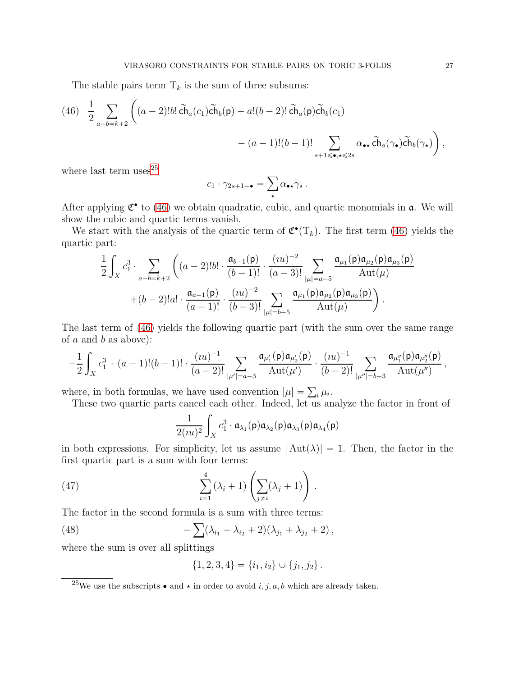The stable pairs term  $T_k$  is the sum of three subsums:

<span id="page-26-1"></span>(46) 
$$
\frac{1}{2} \sum_{a+b=k+2} \left( (a-2)!b! \widetilde{\text{ch}}_a(c_1) \widetilde{\text{ch}}_b(p) + a! (b-2)! \widetilde{\text{ch}}_a(p) \widetilde{\text{ch}}_b(c_1) - (a-1)! (b-1)! \sum_{s+1 \leq \bullet, s \leq 2s} \alpha_{\bullet \star} \widetilde{\text{ch}}_a(\gamma_{\bullet}) \widetilde{\text{ch}}_b(\gamma_{\star}) \right),
$$

where last term uses $^{25}$  $^{25}$  $^{25}$ 

$$
c_1 \cdot \gamma_{2s+1-\bullet} = \sum_{\star} \alpha_{\bullet \star} \gamma_{\star} \, .
$$

After applying  $\mathfrak{C}^{\bullet}$  to [\(46\)](#page-26-1) we obtain quadratic, cubic, and quartic monomials in  $\mathfrak{a}$ . We will show the cubic and quartic terms vanish.

We start with the analysis of the quartic term of  $\mathfrak{C}^{\bullet}(\mathrm{T}_k)$ . The first term [\(46\)](#page-26-1) yields the quartic part:

$$
\frac{1}{2} \int_{X} c_{1}^{3} \cdot \sum_{a+b=k+2} \left( (a-2)!b! \cdot \frac{\mathfrak{a}_{b-1}(\mathsf{p})}{(b-1)!} \cdot \frac{(u^{2})}{(a-3)!} \sum_{|\mu|=a-5} \frac{\mathfrak{a}_{\mu_{1}}(\mathsf{p})\mathfrak{a}_{\mu_{2}}(\mathsf{p})\mathfrak{a}_{\mu_{3}}(\mathsf{p})}{\mathrm{Aut}(\mu)} \right. \\
 \left. + (b-2)!a! \cdot \frac{\mathfrak{a}_{a-1}(\mathsf{p})}{(a-1)!} \cdot \frac{(u^{2})}{(b-3)!} \sum_{|\mu|=b-5} \frac{\mathfrak{a}_{\mu_{1}}(\mathsf{p})\mathfrak{a}_{\mu_{2}}(\mathsf{p})\mathfrak{a}_{\mu_{3}}(\mathsf{p})}{\mathrm{Aut}(\mu)} \right).
$$

The last term of [\(46\)](#page-26-1) yields the following quartic part (with the sum over the same range of  $a$  and  $b$  as above):

$$
-\frac{1}{2}\int_Xc_1^3\,\cdot\, (a-1)!(b-1)!\cdot\frac{(u)^{-1}}{(a-2)!}\sum_{|\mu'|=a-3}\frac{\mathfrak{a}_{\mu_1'}(\mathsf{p})\mathfrak{a}_{\mu_2'}(\mathsf{p})}{\mathrm{Aut}(\mu')}\cdot\frac{(u)^{-1}}{(b-2)!}\sum_{|\mu''|=b-3}\frac{\mathfrak{a}_{\mu_1''}(\mathsf{p})\mathfrak{a}_{\mu_2''}(\mathsf{p})}{\mathrm{Aut}(\mu'')} \,,
$$

where, in both formulas, we have used convention  $|\mu| = \sum_i \mu_i$ .

These two quartic parts cancel each other. Indeed, let us analyze the factor in front of

<span id="page-26-2"></span>
$$
\frac{1}{2(\imath u)^2}\int_X c_1^3\cdot \mathfrak{a}_{\lambda_1}(\mathsf{p})\mathfrak{a}_{\lambda_2}(\mathsf{p})\mathfrak{a}_{\lambda_3}(\mathsf{p})\mathfrak{a}_{\lambda_4}(\mathsf{p})
$$

in both expressions. For simplicity, let us assume  $|\text{Aut}(\lambda)| = 1$ . Then, the factor in the first quartic part is a sum with four terms:

(47) 
$$
\sum_{i=1}^{4} (\lambda_i + 1) \left( \sum_{j \neq i} (\lambda_j + 1) \right).
$$

The factor in the second formula is a sum with three terms:

(48) 
$$
- \sum (\lambda_{i_1} + \lambda_{i_2} + 2)(\lambda_{j_1} + \lambda_{j_2} + 2),
$$

where the sum is over all splittings

<span id="page-26-3"></span>
$$
\{1,2,3,4\} = \{i_1,i_2\} \cup \{j_1,j_2\}.
$$

<span id="page-26-0"></span><sup>&</sup>lt;sup>25</sup>We use the subscripts  $\bullet$  and  $\star$  in order to avoid *i*, *j*, *a*, *b* which are already taken.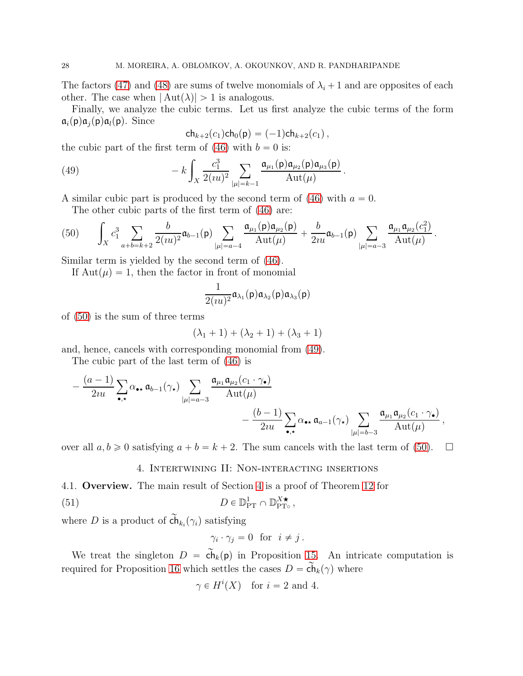The factors [\(47\)](#page-26-2) and [\(48\)](#page-26-3) are sums of twelve monomials of  $\lambda_i + 1$  and are opposites of each other. The case when  $|\text{Aut}(\lambda)| > 1$  is analogous.

Finally, we analyze the cubic terms. Let us first analyze the cubic terms of the form  $\mathfrak{a}_i(\mathsf{p})\mathfrak{a}_i(\mathsf{p})\mathfrak{a}_i(\mathsf{p})$ . Since

<span id="page-27-2"></span>
$$
ch_{k+2}(c_1)ch_0(p) = (-1)ch_{k+2}(c_1),
$$

the cubic part of the first term of  $(46)$  with  $b = 0$  is:

(49) 
$$
- k \int_X \frac{c_1^3}{2(uu)^2} \sum_{|\mu|=k-1} \frac{\mathfrak{a}_{\mu_1}(\mathsf{p}) \mathfrak{a}_{\mu_2}(\mathsf{p}) \mathfrak{a}_{\mu_3}(\mathsf{p})}{\mathrm{Aut}(\mu)}.
$$

A similar cubic part is produced by the second term of [\(46\)](#page-26-1) with  $a = 0$ . The other cubic parts of the first term of [\(46\)](#page-26-1) are:

<span id="page-27-1"></span>
$$
(50) \qquad \int_X c_1^3 \sum_{a+b=k+2} \frac{b}{2(uu)^2} \mathfrak{a}_{b-1}(\mathsf{p}) \sum_{|\mu|=a-4} \frac{\mathfrak{a}_{\mu_1}(\mathsf{p}) \mathfrak{a}_{\mu_2}(\mathsf{p})}{\mathrm{Aut}(\mu)} + \frac{b}{2u\mathfrak{a}} \mathfrak{a}_{b-1}(\mathsf{p}) \sum_{|\mu|=a-3} \frac{\mathfrak{a}_{\mu_1} \mathfrak{a}_{\mu_2}(c_1^2)}{\mathrm{Aut}(\mu)}.
$$

Similar term is yielded by the second term of [\(46\)](#page-26-1).

If  $Aut(\mu) = 1$ , then the factor in front of monomial

$$
\frac{1}{2(uu)^2}\mathfrak{a}_{\lambda_1}(\mathsf{p})\mathfrak{a}_{\lambda_2}(\mathsf{p})\mathfrak{a}_{\lambda_3}(\mathsf{p})
$$

of [\(50\)](#page-27-1) is the sum of three terms

$$
(\lambda_1 + 1) + (\lambda_2 + 1) + (\lambda_3 + 1)
$$

and, hence, cancels with corresponding monomial from [\(49\)](#page-27-2).

The cubic part of the last term of [\(46\)](#page-26-1) is

$$
-\frac{(a-1)}{2iu}\sum_{\bullet,\star}\alpha_{\bullet\star}\,\mathfrak{a}_{b-1}(\gamma_{\star})\sum_{|\mu|=a-3}\frac{\mathfrak{a}_{\mu_1}\mathfrak{a}_{\mu_2}(c_1\cdot\gamma_{\bullet})}{\mathrm{Aut}(\mu)}\\-\frac{(b-1)}{2iu}\sum_{\bullet,\star}\alpha_{\bullet\star}\,\mathfrak{a}_{a-1}(\gamma_{\star})\sum_{|\mu|=b-3}\frac{\mathfrak{a}_{\mu_1}\mathfrak{a}_{\mu_2}(c_1\cdot\gamma_{\bullet})}{\mathrm{Aut}(\mu)},
$$

<span id="page-27-0"></span>over all  $a, b \ge 0$  satisfying  $a + b = k + 2$ . The sum cancels with the last term of [\(50\)](#page-27-1).  $\Box$ 

4. Intertwining II: Non-interacting insertions

4.1. Overview. The main result of Section [4](#page-27-0) is a proof of Theorem [12](#page-17-0) for

(51) 
$$
D \in \mathbb{D}_{\mathrm{PT}}^1 \cap \mathbb{D}_{\mathrm{PT}}^{\mathrm{X} \star} ,
$$

where D is a product of  $\mathsf{ch}_{k_i}(\gamma_i)$  satisfying

<span id="page-27-3"></span>
$$
\gamma_i \cdot \gamma_j = 0 \text{ for } i \neq j.
$$

We treat the singleton  $D = \widetilde{\mathsf{ch}}_k(p)$  in Proposition [15.](#page-28-0) An intricate computation is required for Proposition [16](#page-28-1) which settles the cases  $D = \overline{\mathsf{ch}}_k(\gamma)$  where

$$
\gamma \in H^i(X)
$$
 for  $i = 2$  and 4.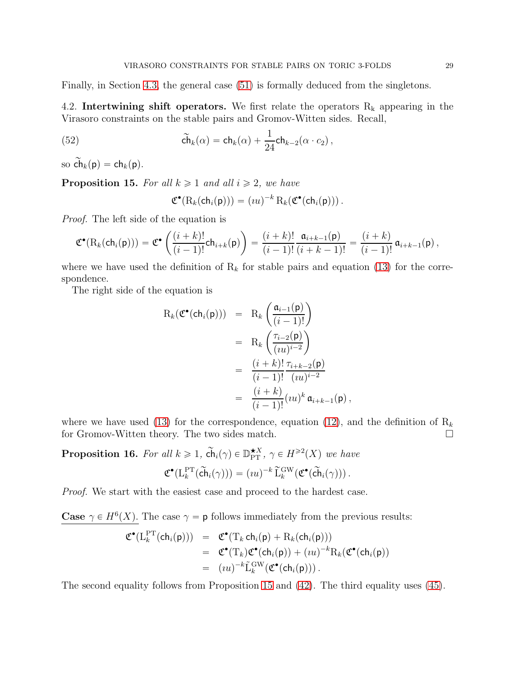Finally, in Section [4.3,](#page-39-0) the general case [\(51\)](#page-27-3) is formally deduced from the singletons.

4.2. Intertwining shift operators. We first relate the operators  $R_k$  appearing in the Virasoro constraints on the stable pairs and Gromov-Witten sides. Recall,

(52) 
$$
\widetilde{\mathsf{ch}}_k(\alpha) = \mathsf{ch}_k(\alpha) + \frac{1}{24} \mathsf{ch}_{k-2}(\alpha \cdot c_2),
$$

so  $\widetilde{\mathsf{ch}}_k(\mathsf{p}) = \mathsf{ch}_k(\mathsf{p}).$ 

<span id="page-28-0"></span>**Proposition 15.** For all  $k \geq 1$  and all  $i \geq 2$ , we have

<span id="page-28-2"></span>
$$
\mathfrak{C}^{\bullet}(\mathrm{R}_k(\mathsf{ch}_i(\mathsf{p}))) = (iu)^{-k} \mathrm{R}_k(\mathfrak{C}^{\bullet}(\mathsf{ch}_i(\mathsf{p}))) .
$$

Proof. The left side of the equation is

$$
\mathfrak{C}^{\bullet}(\mathrm{R}_k(\mathsf{ch}_i(\mathsf{p}))) = \mathfrak{C}^{\bullet}\left(\frac{(i+k)!}{(i-1)!}\mathsf{ch}_{i+k}(\mathsf{p})\right) = \frac{(i+k)!}{(i-1)!}\frac{\mathfrak{a}_{i+k-1}(\mathsf{p})}{(i+k-1)!} = \frac{(i+k)}{(i-1)!}\,\mathfrak{a}_{i+k-1}(\mathsf{p})\,,
$$

where we have used the definition of  $R_k$  for stable pairs and equation [\(13\)](#page-8-0) for the correspondence.

The right side of the equation is

$$
R_k(\mathfrak{C}^{\bullet}(\mathsf{ch}_i(\mathsf{p}))) = R_k \left( \frac{\mathfrak{a}_{i-1}(\mathsf{p})}{(i-1)!} \right)
$$
  
= 
$$
R_k \left( \frac{\tau_{i-2}(\mathsf{p})}{(iu)^{i-2}} \right)
$$
  
= 
$$
\frac{(i+k)!}{(i-1)!} \frac{\tau_{i+k-2}(\mathsf{p})}{(iu)^{i-2}}
$$
  
= 
$$
\frac{(i+k)}{(i-1)!} (iu)^k \mathfrak{a}_{i+k-1}(\mathsf{p}),
$$

where we have used [\(13\)](#page-8-0) for the correspondence, equation [\(12\)](#page-7-3), and the definition of  $R_k$ for Gromov-Witten theory. The two sides match.

<span id="page-28-1"></span>**Proposition 16.** For all  $k \geq 1$ ,  $\tilde{ch}_i(\gamma) \in \mathbb{D}_{\text{PT}}^{*X}$ ,  $\gamma \in H^{\geq 2}(X)$  we have

$$
\mathfrak{C}^\bullet(L_k^{\operatorname{PT}}(\widetilde{\mathsf{ch}}_i(\gamma))) = (iu)^{-k} \widetilde{\mathsf{L}}_k^{\operatorname{GW}}(\mathfrak{C}^\bullet(\widetilde{\mathsf{ch}}_i(\gamma)))\,.
$$

Proof. We start with the easiest case and proceed to the hardest case.

**Case**  $\gamma \in H^6(X)$ . The case  $\gamma = \mathsf{p}$  follows immediately from the previous results:

$$
\mathfrak{C}^{\bullet}(\mathcal{L}_{k}^{\mathrm{PT}}(\mathsf{ch}_{i}(\mathsf{p}))) = \mathfrak{C}^{\bullet}(\mathcal{T}_{k} \mathsf{ch}_{i}(\mathsf{p}) + \mathcal{R}_{k}(\mathsf{ch}_{i}(\mathsf{p})))
$$
  
\n
$$
= \mathfrak{C}^{\bullet}(\mathcal{T}_{k})\mathfrak{C}^{\bullet}(\mathsf{ch}_{i}(\mathsf{p})) + (iu)^{-k}\mathcal{R}_{k}(\mathfrak{C}^{\bullet}(\mathsf{ch}_{i}(\mathsf{p})))
$$
  
\n
$$
= (iu)^{-k}\tilde{\mathcal{L}}_{k}^{\mathrm{GW}}(\mathfrak{C}^{\bullet}(\mathsf{ch}_{i}(\mathsf{p}))).
$$

The second equality follows from Proposition [15](#page-28-0) and [\(42\)](#page-23-3). The third equality uses [\(45\)](#page-25-3).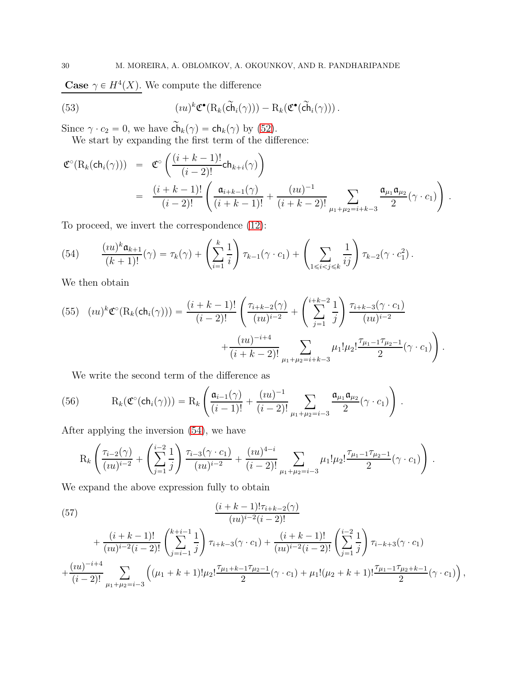**Case**  $\gamma \in H^4(X)$ . We compute the difference

(53) 
$$
(iu)^{k} \mathfrak{C}^{\bullet} (\mathrm{R}_{k}(\widetilde{\mathrm{ch}}_{i}(\gamma))) - \mathrm{R}_{k}(\mathfrak{C}^{\bullet}(\widetilde{\mathrm{ch}}_{i}(\gamma))).
$$

Since  $\gamma \cdot c_2 = 0$ , we have  $\mathsf{ch}_k(\gamma) = \mathsf{ch}_k(\gamma)$  by [\(52\)](#page-28-2).

<span id="page-29-1"></span>We start by expanding the first term of the difference:

$$
\mathfrak{C}^{\circ}(\mathrm{R}_{k}(\mathrm{ch}_{i}(\gamma))) = \mathfrak{C}^{\circ}\left(\frac{(i+k-1)!}{(i-2)!}\mathrm{ch}_{k+i}(\gamma)\right)
$$
  
= 
$$
\frac{(i+k-1)!}{(i-2)!}\left(\frac{\mathfrak{a}_{i+k-1}(\gamma)}{(i+k-1)!} + \frac{(iu)^{-1}}{(i+k-2)!}\sum_{\mu_{1}+\mu_{2}=i+k-3} \frac{\mathfrak{a}_{\mu_{1}}\mathfrak{a}_{\mu_{2}}}{2}(\gamma \cdot c_{1})\right).
$$

To proceed, we invert the correspondence [\(12\)](#page-7-3):

<span id="page-29-0"></span>(54) 
$$
\frac{(iu)^k \mathfrak{a}_{k+1}}{(k+1)!}(\gamma) = \tau_k(\gamma) + \left(\sum_{i=1}^k \frac{1}{i}\right) \tau_{k-1}(\gamma \cdot c_1) + \left(\sum_{1 \leq i < j \leq k} \frac{1}{ij}\right) \tau_{k-2}(\gamma \cdot c_1^2).
$$

We then obtain

<span id="page-29-4"></span>˜

<span id="page-29-2"></span>
$$
(55) \quad (iu)^{k} \mathfrak{C}^{\circ}(\mathrm{R}_{k}(\mathrm{ch}_{i}(\gamma))) = \frac{(i+k-1)!}{(i-2)!} \left( \frac{\tau_{i+k-2}(\gamma)}{(iu)^{i-2}} + \left( \sum_{j=1}^{i+k-2} \frac{1}{j} \right) \frac{\tau_{i+k-3}(\gamma \cdot c_{1})}{(iu)^{i-2}} + \frac{(iu)^{-i+4}}{(i+k-2)!} \sum_{\mu_{1}+\mu_{2}=i+k-3} \mu_{1}! \mu_{2}! \frac{\tau_{\mu_{1}-1} \tau_{\mu_{2}-1}}{2}(\gamma \cdot c_{1}) \right).
$$

We write the second term of the difference as

(56) 
$$
R_k(\mathfrak{C}^{\circ}(\mathsf{ch}_i(\gamma))) = R_k \left( \frac{\mathfrak{a}_{i-1}(\gamma)}{(i-1)!} + \frac{(iu)^{-1}}{(i-2)!} \sum_{\mu_1 + \mu_2 = i-3} \frac{\mathfrak{a}_{\mu_1} \mathfrak{a}_{\mu_2}}{2} (\gamma \cdot c_1) \right).
$$

After applying the inversion [\(54\)](#page-29-0), we have

$$
R_k \left( \frac{\tau_{i-2}(\gamma)}{(iu)^{i-2}} + \left( \sum_{j=1}^{i-2} \frac{1}{j} \right) \frac{\tau_{i-3}(\gamma \cdot c_1)}{(iu)^{i-2}} + \frac{(iu)^{4-i}}{(i-2)!} \sum_{\mu_1+\mu_2=i-3} \mu_1! \mu_2! \frac{\tau_{\mu_1-1} \tau_{\mu_2-1}}{2} (\gamma \cdot c_1) \right) .
$$

We expand the above expression fully to obtain

<span id="page-29-3"></span>(57)  
\n
$$
\frac{(i+k-1)! \tau_{i+k-2}(\gamma)}{(iu)^{i-2}(i-2)!} + \frac{(i+k-1)!}{(iu)^{i-2}(i-2)!} \left(\sum_{j=i-1}^{k+i-1} \frac{1}{j}\right) \tau_{i+k-3}(\gamma \cdot c_1) + \frac{(i+k-1)!}{(iu)^{i-2}(i-2)!} \left(\sum_{j=1}^{i-2} \frac{1}{j}\right) \tau_{i-k+3}(\gamma \cdot c_1) + \frac{(iu)^{-i+4}}{(i-2)!} \sum_{\mu_1+\mu_2=i-3} \left( (\mu_1+k+1)! \mu_2! \frac{\tau_{\mu_1+k-1} \tau_{\mu_2-1}}{2} (\gamma \cdot c_1) + \mu_1! (\mu_2+k+1)! \frac{\tau_{\mu_1-1} \tau_{\mu_2+k-1}}{2} (\gamma \cdot c_1) \right),
$$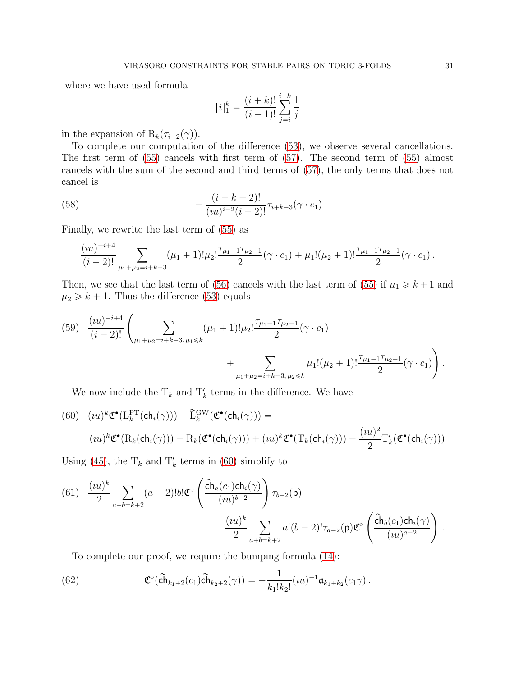where we have used formula

<span id="page-30-3"></span>
$$
[i]_1^k = \frac{(i+k)!}{(i-1)!} \sum_{j=i}^{i+k} \frac{1}{j}
$$

in the expansion of  $R_k(\tau_{i-2}(\gamma))$ .

To complete our computation of the difference [\(53\)](#page-29-1), we observe several cancellations. The first term of [\(55\)](#page-29-2) cancels with first term of [\(57\)](#page-29-3). The second term of [\(55\)](#page-29-2) almost cancels with the sum of the second and third terms of [\(57\)](#page-29-3), the only terms that does not cancel is

(58) 
$$
-\frac{(i+k-2)!}{(iu)^{i-2}(i-2)!}\tau_{i+k-3}(\gamma \cdot c_1)
$$

Finally, we rewrite the last term of [\(55\)](#page-29-2) as

$$
\frac{(iu)^{-i+4}}{(i-2)!}\sum_{\mu_1+\mu_2=i+k-3}(\mu_1+1)! \mu_2! \frac{\tau_{\mu_1-1}\tau_{\mu_2-1}}{2}(\gamma \cdot c_1)+\mu_1! (\mu_2+1)! \frac{\tau_{\mu_1-1}\tau_{\mu_2-1}}{2}(\gamma \cdot c_1).
$$

Then, we see that the last term of [\(56\)](#page-29-4) cancels with the last term of [\(55\)](#page-29-2) if  $\mu_1 \ge k + 1$  and  $\mu_2 \geq k + 1$ . Thus the difference [\(53\)](#page-29-1) equals

<span id="page-30-2"></span>
$$
(59) \frac{(iu)^{-i+4}}{(i-2)!} \left( \sum_{\mu_1+\mu_2=i+k-3,\,\mu_1\leq k} (\mu_1+1)! \mu_2! \frac{\tau_{\mu_1-1}\tau_{\mu_2-1}}{2} (\gamma \cdot c_1) + \sum_{\mu_1+\mu_2=i+k-3,\,\mu_2\leq k} \mu_1! (\mu_2+1)! \frac{\tau_{\mu_1-1}\tau_{\mu_2-1}}{2} (\gamma \cdot c_1) \right).
$$

We now include the  $T_k$  and  $T'_k$  terms in the difference. We have

<span id="page-30-0"></span>(60) 
$$
(iu)^k \mathfrak{C}^{\bullet}(\mathsf{L}_k^{\mathsf{PT}}(\mathsf{ch}_i(\gamma))) - \widetilde{\mathsf{L}}_k^{\mathsf{GW}}(\mathfrak{C}^{\bullet}(\mathsf{ch}_i(\gamma))) =
$$
  
\n $(iu)^k \mathfrak{C}^{\bullet}(\mathsf{R}_k(\mathsf{ch}_i(\gamma))) - \mathsf{R}_k(\mathfrak{C}^{\bullet}(\mathsf{ch}_i(\gamma))) + (iu)^k \mathfrak{C}^{\bullet}(\mathsf{T}_k(\mathsf{ch}_i(\gamma))) - \frac{(iu)^2}{2} \mathsf{T}'_k(\mathfrak{C}^{\bullet}(\mathsf{ch}_i(\gamma)))$ 

Using [\(45\)](#page-25-3), the  $T_k$  and  $T'_k$  terms in [\(60\)](#page-30-0) simplify to

<span id="page-30-1"></span>(61) 
$$
\frac{(iu)^k}{2} \sum_{a+b=k+2} (a-2)!b! \mathfrak{C}^{\circ} \left( \frac{\widetilde{\mathbf{ch}}_a(c_1)\mathbf{ch}_i(\gamma)}{(iu)^{b-2}} \right) \tau_{b-2}(\mathbf{p})
$$

$$
\frac{(iu)^k}{2} \sum_{a+b=k+2} a!(b-2)! \tau_{a-2}(\mathbf{p}) \mathfrak{C}^{\circ} \left( \frac{\widetilde{\mathbf{ch}}_b(c_1)\mathbf{ch}_i(\gamma)}{(iu)^{a-2}} \right) .
$$

To complete our proof, we require the bumping formula [\(14\)](#page-8-4):

(62) 
$$
\mathfrak{C}^{\circ}(\widetilde{\mathbf{ch}}_{k_1+2}(c_1)\widetilde{\mathbf{ch}}_{k_2+2}(\gamma)) = -\frac{1}{k_1!k_2!}(iu)^{-1}\mathfrak{a}_{k_1+k_2}(c_1\gamma).
$$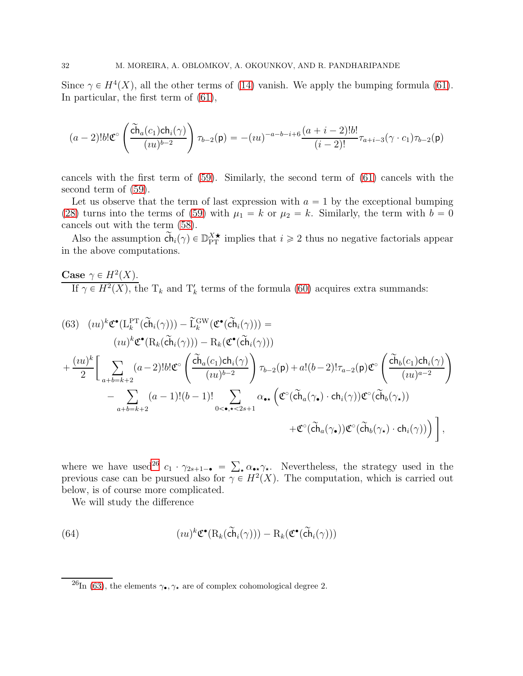Since  $\gamma \in H^4(X)$ , all the other terms of [\(14\)](#page-8-4) vanish. We apply the bumping formula [\(61\)](#page-30-1). In particular, the first term of [\(61\)](#page-30-1),

$$
(a-2)!b!\mathfrak{C}^{\circ}\left(\frac{\tilde{\mathrm{ch}}_a(c_1)\mathrm{ch}_i(\gamma)}{(iu)^{b-2}}\right)\tau_{b-2}(\mathsf{p})=-(iu)^{-a-b-i+6}\frac{(a+i-2)!b!}{(i-2)!}\tau_{a+i-3}(\gamma\cdot c_1)\tau_{b-2}(\mathsf{p})
$$

cancels with the first term of [\(59\)](#page-30-2). Similarly, the second term of [\(61\)](#page-30-1) cancels with the second term of [\(59\)](#page-30-2).

Let us observe that the term of last expression with  $a = 1$  by the exceptional bumping [\(28\)](#page-18-3) turns into the terms of [\(59\)](#page-30-2) with  $\mu_1 = k$  or  $\mu_2 = k$ . Similarly, the term with  $b = 0$ cancels out with the term [\(58\)](#page-30-3).

Also the assumption  $\tilde{\ch}_i(\gamma) \in \mathbb{D}_{\text{PT}}^{X\star}$  implies that  $i \geq 2$  thus no negative factorials appear in the above computations.

Case  $\gamma \in H^2(X)$ . If  $\gamma \in H^2(X)$ , the T<sub>k</sub> and T<sub>k</sub> terms of the formula [\(60\)](#page-30-0) acquires extra summands:

<span id="page-31-1"></span>(63) 
$$
(\imath u)^{k} \mathfrak{C}^{\bullet}(\mathcal{L}_{k}^{\mathcal{PT}}(\tilde{ch}_{i}(\gamma))) - \tilde{\mathcal{L}}_{k}^{\mathcal{GW}}(\mathfrak{C}^{\bullet}(\tilde{ch}_{i}(\gamma))) =
$$
  
\n $(\imath u)^{k} \mathfrak{C}^{\bullet}(\mathcal{R}_{k}(\tilde{ch}_{i}(\gamma))) - \mathcal{R}_{k}(\mathfrak{C}^{\bullet}(\tilde{ch}_{i}(\gamma)))$   
\n $+ \frac{(\imath u)^{k}}{2} \Bigg[ \sum_{a+b=k+2} (a-2)! b! \mathfrak{C}^{\circ} \left( \frac{\tilde{ch}_{a}(c_{1}) \mathbf{ch}_{i}(\gamma)}{(\imath u)^{b-2}} \right) \tau_{b-2}(\mathsf{p}) + a! (b-2)! \tau_{a-2}(\mathsf{p}) \mathfrak{C}^{\circ} \left( \frac{\tilde{ch}_{b}(c_{1}) \mathbf{ch}_{i}(\gamma)}{(\imath u)^{a-2}} \right)$   
\n $- \sum_{a+b=k+2} (a-1)! (b-1)! \sum_{0 < \bullet, \star < 2s+1} \alpha_{\bullet \star} \left( \mathfrak{C}^{\circ}(\tilde{ch}_{a}(\gamma_{\bullet}) \cdot \mathbf{ch}_{i}(\gamma)) \mathfrak{C}^{\circ}(\tilde{ch}_{b}(\gamma_{\star})) \right)$   
\n $+ \mathfrak{C}^{\circ}(\tilde{ch}_{a}(\gamma_{\bullet})) \mathfrak{C}^{\circ}(\tilde{ch}_{b}(\gamma_{\star}) \cdot \mathbf{ch}_{i}(\gamma))) \Bigg],$ 

where we have used<sup>[26](#page-31-0)</sup>  $c_1 \cdot \gamma_{2s+1} = \sum_{\mathbf{x}} \alpha_{\mathbf{x}} \gamma_{\mathbf{x}}$ . Nevertheless, the strategy used in the previous case can be pursued also for  $\gamma \in H^2(X)$ . The computation, which is carried out below, is of course more complicated.

<span id="page-31-2"></span>We will study the difference

(64) 
$$
(iu)^{k} \mathfrak{C}^{\bullet}(\mathrm{R}_{k}(\widetilde{\mathbf{ch}}_{i}(\gamma))) - \mathrm{R}_{k}(\mathfrak{C}^{\bullet}(\widetilde{\mathbf{ch}}_{i}(\gamma)))
$$

<span id="page-31-0"></span><sup>&</sup>lt;sup>26</sup>In [\(63\)](#page-31-1), the elements  $\gamma_{\bullet}, \gamma_{\star}$  are of complex cohomological degree 2.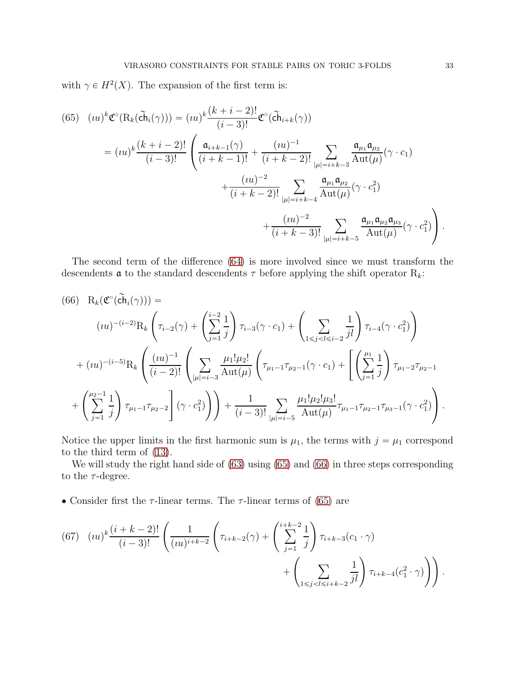with  $\gamma \in H^2(X)$ . The expansion of the first term is:

<span id="page-32-0"></span>(65) 
$$
(iu)^{k} \mathfrak{C}^{\circ}(\mathbf{R}_{k}(\tilde{\mathbf{c}}h_{i}(\gamma))) = (iu)^{k} \frac{(k+i-2)!}{(i-3)!} \mathfrak{C}^{\circ}(\tilde{\mathbf{c}}h_{i+k}(\gamma))
$$
  
\n
$$
= (iu)^{k} \frac{(k+i-2)!}{(i-3)!} \left( \frac{\mathfrak{a}_{i+k-1}(\gamma)}{(i+k-1)!} + \frac{(iu)^{-1}}{(i+k-2)!} \sum_{|\mu|=i+k-3} \frac{\mathfrak{a}_{\mu_{1}} \mathfrak{a}_{\mu_{2}}}{\mathrm{Aut}(\mu)} (\gamma \cdot c_{1}) + \frac{(iu)^{-2}}{(i+k-2)!} \sum_{|\mu|=i+k-4} \frac{\mathfrak{a}_{\mu_{1}} \mathfrak{a}_{\mu_{2}}}{\mathrm{Aut}(\mu)} (\gamma \cdot c_{1}^{2}) + \frac{(iu)^{-2}}{(i+k-3)!} \sum_{|\mu|=i+k-5} \frac{\mathfrak{a}_{\mu_{1}} \mathfrak{a}_{\mu_{2}} \mathfrak{a}_{\mu_{3}}}{\mathrm{Aut}(\mu)} (\gamma \cdot c_{1}^{2}) \right).
$$

The second term of the difference [\(64\)](#page-31-2) is more involved since we must transform the descendents  $\alpha$  to the standard descendents  $\tau$  before applying the shift operator  $R_k$ :

<span id="page-32-1"></span>(66) 
$$
R_k(\mathfrak{C}^{\circ}(\tilde{ch}_i(\gamma))) =
$$

$$
(iu)^{-(i-2)}R_k\left(\tau_{i-2}(\gamma) + \left(\sum_{j=1}^{i-2} \frac{1}{j}\right)\tau_{i-3}(\gamma \cdot c_1) + \left(\sum_{1 \le j < l \le i-2} \frac{1}{jl}\right)\tau_{i-4}(\gamma \cdot c_1^2)\right)
$$

$$
+ (iu)^{-(i-5)}R_k\left(\frac{(iu)^{-1}}{(i-2)!}\left(\sum_{|\mu|=i-3} \frac{\mu_1!\mu_2!}{\mathrm{Aut}(\mu)}\left(\tau_{\mu_1-1}\tau_{\mu_2-1}(\gamma \cdot c_1) + \left[\left(\sum_{j=1}^{\mu_1} \frac{1}{j}\right)\tau_{\mu_1-2}\tau_{\mu_2-1} + \left(\sum_{j=1}^{\mu_2-1} \frac{1}{j}\right)\tau_{\mu_1-1}\tau_{\mu_2-2}\right](\gamma \cdot c_1^2)\right)\right) + \frac{1}{(i-3)!} \sum_{|\mu|=i-5} \frac{\mu_1!\mu_2!\mu_3!}{\mathrm{Aut}(\mu)}\tau_{\mu_1-1}\tau_{\mu_2-1}\tau_{\mu_3-1}(\gamma \cdot c_1^2)\right).
$$

Notice the upper limits in the first harmonic sum is  $\mu_1$ , the terms with  $j = \mu_1$  correspond to the third term of [\(13\)](#page-8-0).

We will study the right hand side of  $(63)$  using  $(65)$  and  $(66)$  in three steps corresponding to the  $\tau$ -degree.

• Consider first the  $\tau$ -linear terms. The  $\tau$ -linear terms of [\(65\)](#page-32-0) are

<span id="page-32-2"></span>(67) 
$$
(\iota u)^k \frac{(i+k-2)!}{(i-3)!} \left( \frac{1}{(\iota u)^{i+k-2}} \left( \tau_{i+k-2}(\gamma) + \left( \sum_{j=1}^{i+k-2} \frac{1}{j} \right) \tau_{i+k-3}(\mathbf{c}_1 \cdot \gamma) + \left( \sum_{1 \le j < l \le i+k-2} \frac{1}{jl} \right) \tau_{i+k-4}(\mathbf{c}_1^2 \cdot \gamma) \right) \right).
$$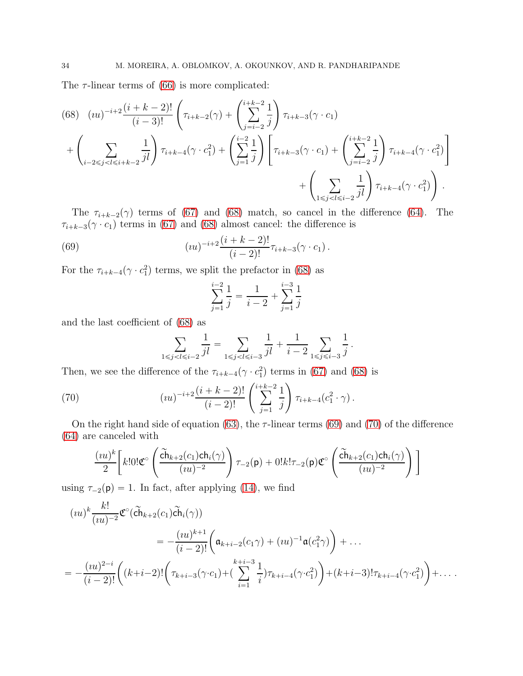The  $\tau$ -linear terms of [\(66\)](#page-32-1) is more complicated:

<span id="page-33-0"></span>
$$
(68) (iu)^{-i+2} \frac{(i+k-2)!}{(i-3)!} \left( \tau_{i+k-2}(\gamma) + \left( \sum_{j=i-2}^{i+k-2} \frac{1}{j} \right) \tau_{i+k-3}(\gamma \cdot c_1) + \left( \sum_{j=i-2}^{i+k-2} \frac{1}{j} \right) \tau_{i+k-4}(\gamma \cdot c_1^2) + \left( \sum_{j=1}^{i-2} \frac{1}{j} \right) \left[ \tau_{i+k-3}(\gamma \cdot c_1) + \left( \sum_{j=i-2}^{i+k-2} \frac{1}{j} \right) \tau_{i+k-4}(\gamma \cdot c_1^2) \right] + \left( \sum_{1 \le j < l \le i-2} \frac{1}{j l} \right) \tau_{i+k-4}(\gamma \cdot c_1^2) \right).
$$

The  $\tau_{i+k-2}(\gamma)$  terms of [\(67\)](#page-32-2) and [\(68\)](#page-33-0) match, so cancel in the difference [\(64\)](#page-31-2). The  $\tau_{i+k-3}(\gamma \cdot c_1)$  terms in [\(67\)](#page-32-2) and [\(68\)](#page-33-0) almost cancel: the difference is

(69) 
$$
(iu)^{-i+2} \frac{(i+k-2)!}{(i-2)!} \tau_{i+k-3}(\gamma \cdot c_1).
$$

For the  $\tau_{i+k-4}(\gamma \cdot c_1^2)$  terms, we split the prefactor in [\(68\)](#page-33-0) as

<span id="page-33-1"></span>
$$
\sum_{j=1}^{i-2} \frac{1}{j} = \frac{1}{i-2} + \sum_{j=1}^{i-3} \frac{1}{j}
$$

and the last coefficient of [\(68\)](#page-33-0) as

<span id="page-33-2"></span>
$$
\sum_{1 \leq j < l \leq i-2} \frac{1}{jl} = \sum_{1 \leq j < l \leq i-3} \frac{1}{jl} + \frac{1}{i-2} \sum_{1 \leq j \leq i-3} \frac{1}{j}.
$$

Then, we see the difference of the  $\tau_{i+k-4}(\gamma \cdot c_1^2)$  terms in [\(67\)](#page-32-2) and [\(68\)](#page-33-0) is

(70) 
$$
(iu)^{-i+2} \frac{(i+k-2)!}{(i-2)!} \left(\sum_{j=1}^{i+k-2} \frac{1}{j}\right) \tau_{i+k-4}(c_1^2 \cdot \gamma).
$$

On the right hand side of equation [\(63\)](#page-31-1), the  $\tau$ -linear terms [\(69\)](#page-33-1) and [\(70\)](#page-33-2) of the difference [\(64\)](#page-31-2) are canceled with

$$
\frac{(iu)^k}{2}\bigg[k!0!\mathfrak{C}^\circ\left(\frac{\widetilde{\mathsf{ch}}_{k+2}(c_1)\mathsf{ch}_i(\gamma)}{(iu)^{-2}}\right)\tau_{-2}(\mathsf{p})+0!k!\tau_{-2}(\mathsf{p})\mathfrak{C}^\circ\left(\frac{\widetilde{\mathsf{ch}}_{k+2}(c_1)\mathsf{ch}_i(\gamma)}{(iu)^{-2}}\right)\bigg]
$$

using  $\tau_{-2}(\mathsf{p}) = 1$ . In fact, after applying [\(14\)](#page-8-4), we find

$$
(iu)^k \frac{k!}{(iu)^{-2}} \mathfrak{C}^{\circ}(\tilde{ch}_{k+2}(c_1)\tilde{ch}_i(\gamma))
$$
  
=  $-\frac{(iu)^{k+1}}{(i-2)!} \left( \mathfrak{a}_{k+i-2}(c_1\gamma) + (iu)^{-1} \mathfrak{a}(c_1^2\gamma) \right) + \dots$   
=  $-\frac{(iu)^{2-i}}{(i-2)!} \left( (k+i-2)! \left( \tau_{k+i-3}(\gamma \cdot c_1) + (\sum_{i=1}^{k+i-3} \frac{1}{i}) \tau_{k+i-4}(\gamma \cdot c_1^2) \right) + (k+i-3)! \tau_{k+i-4}(\gamma \cdot c_1^2) \right) + \dots$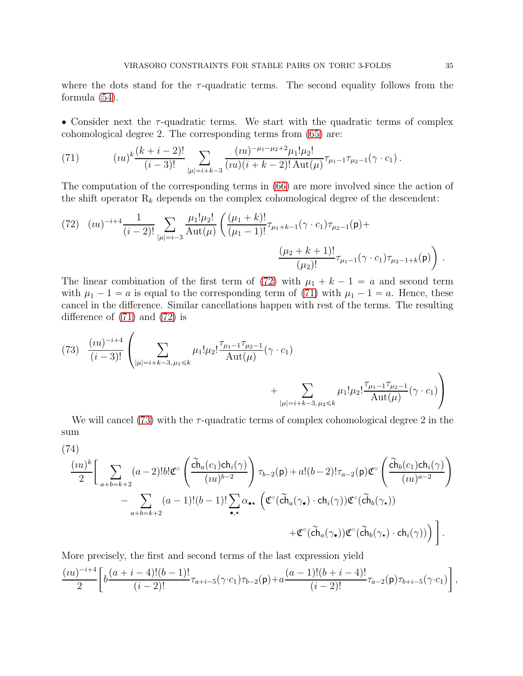where the dots stand for the  $\tau$ -quadratic terms. The second equality follows from the formula [\(54\)](#page-29-0).

• Consider next the  $\tau$ -quadratic terms. We start with the quadratic terms of complex cohomological degree 2. The corresponding terms from [\(65\)](#page-32-0) are:

<span id="page-34-1"></span>(71) 
$$
(iu)^k \frac{(k+i-2)!}{(i-3)!} \sum_{|\mu|=i+k-3} \frac{(iu)^{-\mu_1-\mu_2+2} \mu_1! \mu_2!}{(iu)(i+k-2)! \operatorname{Aut}(\mu)} \tau_{\mu_1-1} \tau_{\mu_2-1}(\gamma \cdot c_1).
$$

The computation of the corresponding terms in [\(66\)](#page-32-1) are more involved since the action of the shift operator  $R_k$  depends on the complex cohomological degree of the descendent:

<span id="page-34-0"></span>(72) 
$$
(iu)^{-i+4} \frac{1}{(i-2)!} \sum_{|\mu|=i-3} \frac{\mu_1! \mu_2!}{\text{Aut}(\mu)} \left( \frac{(\mu_1+k)!}{(\mu_1-1)!} \tau_{\mu_1+k-1}(\gamma \cdot c_1) \tau_{\mu_2-1}(\mathsf{p}) + \frac{(\mu_2+k+1)!}{(\mu_2)!} \tau_{\mu_1-1}(\gamma \cdot c_1) \tau_{\mu_2-1+k}(\mathsf{p}) \right).
$$

The linear combination of the first term of [\(72\)](#page-34-0) with  $\mu_1 + k - 1 = a$  and second term with  $\mu_1 - 1 = a$  is equal to the corresponding term of [\(71\)](#page-34-1) with  $\mu_1 - 1 = a$ . Hence, these cancel in the difference. Similar cancellations happen with rest of the terms. The resulting difference of [\(71\)](#page-34-1) and [\(72\)](#page-34-0) is

<span id="page-34-2"></span>(73) 
$$
\frac{(iu)^{-i+4}}{(i-3)!} \left( \sum_{|\mu|=i+k-3, \mu_1 \leq k} \mu_1! \mu_2! \frac{\tau_{\mu_1-1} \tau_{\mu_2-1}}{\mathrm{Aut}(\mu)} (\gamma \cdot c_1) + \sum_{|\mu|=i+k-3, \mu_2 \leq k} \mu_1! \mu_2! \frac{\tau_{\mu_1-1} \tau_{\mu_2-1}}{\mathrm{Aut}(\mu)} (\gamma \cdot c_1) \right)
$$

We will cancel [\(73\)](#page-34-2) with the  $\tau$ -quadratic terms of complex cohomological degree 2 in the sum

<span id="page-34-3"></span>
$$
(74)
$$

$$
\frac{(iu)^k}{2} \Bigg[ \sum_{a+b=k+2} (a-2)! b! \mathfrak{C}^{\circ} \left( \frac{\widetilde{\mathrm{ch}}_a(c_1) \mathrm{ch}_i(\gamma)}{(iu)^{b-2}} \right) \tau_{b-2}(\mathsf{p}) + a! (b-2)! \tau_{a-2}(\mathsf{p}) \mathfrak{C}^{\circ} \left( \frac{\widetilde{\mathrm{ch}}_b(c_1) \mathrm{ch}_i(\gamma)}{(iu)^{a-2}} \right) \\ - \sum_{a+b=k+2} (a-1)! (b-1)! \sum_{\bullet,\star} \alpha_{\bullet\star} \left( \mathfrak{C}^{\circ} (\widetilde{\mathrm{ch}}_a(\gamma_\bullet) \cdot \mathrm{ch}_i(\gamma)) \mathfrak{C}^{\circ} (\widetilde{\mathrm{ch}}_b(\gamma_\star)) \right. \\ \left. + \mathfrak{C}^{\circ} (\widetilde{\mathrm{ch}}_a(\gamma_\bullet)) \mathfrak{C}^{\circ} (\widetilde{\mathrm{ch}}_b(\gamma_\star) \cdot \mathrm{ch}_i(\gamma)) \right) \Bigg] \, .
$$

More precisely, the first and second terms of the last expression yield

$$
\frac{(iu)^{-i+4}}{2}\bigg[b\frac{(a+i-4)!(b-1)!}{(i-2)!}\tau_{a+i-5}(\gamma \cdot c_1)\tau_{b-2}(\mathsf{p})+a\frac{(a-1)!(b+i-4)!}{(i-2)!}\tau_{a-2}(\mathsf{p})\tau_{b+i-5}(\gamma \cdot c_1)\bigg]
$$

,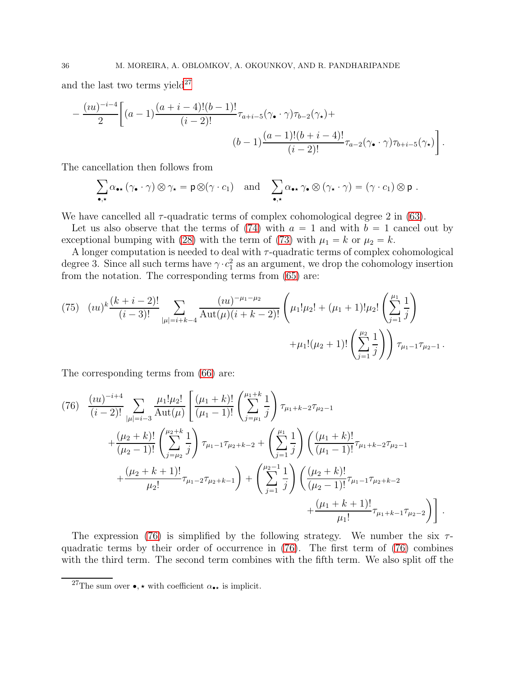and the last two terms yield $27$ 

$$
-\frac{(iu)^{-i-4}}{2}\bigg[(a-1)\frac{(a+i-4)!(b-1)!}{(i-2)!}\tau_{a+i-5}(\gamma_{\bullet}\cdot\gamma)\tau_{b-2}(\gamma_{\star})+
$$

$$
(b-1)\frac{(a-1)!(b+i-4)!}{(i-2)!}\tau_{a-2}(\gamma_{\bullet}\cdot\gamma)\tau_{b+i-5}(\gamma_{\star})\bigg].
$$

The cancellation then follows from

$$
\sum_{\bullet,\star}\alpha_{\bullet\star}\left(\gamma_\bullet\cdot\gamma\right)\otimes\gamma_\star=\mathsf{p}\otimes\left(\gamma\cdot c_1\right)\quad\text{and}\quad\sum_{\bullet,\star}\alpha_{\bullet\star}\,\gamma_\bullet\otimes\left(\gamma_\star\cdot\gamma\right)=\left(\gamma\cdot c_1\right)\otimes\mathsf{p}\;.
$$

We have cancelled all  $\tau$ -quadratic terms of complex cohomological degree 2 in [\(63\)](#page-31-1).

Let us also observe that the terms of [\(74\)](#page-34-3) with  $a = 1$  and with  $b = 1$  cancel out by exceptional bumping with [\(28\)](#page-18-3) with the term of [\(73\)](#page-34-2) with  $\mu_1 = k$  or  $\mu_2 = k$ .

A longer computation is needed to deal with  $\tau$ -quadratic terms of complex cohomological degree 3. Since all such terms have  $\gamma \cdot c_1^2$  as an argument, we drop the cohomology insertion from the notation. The corresponding terms from [\(65\)](#page-32-0) are:

<span id="page-35-2"></span>(75) 
$$
(iu)^k \frac{(k+i-2)!}{(i-3)!} \sum_{|\mu|=i+k-4} \frac{(iu)^{-\mu_1-\mu_2}}{\mathrm{Aut}(\mu)(i+k-2)!} \left(\mu_1! \mu_2! + (\mu_1+1)! \mu_2! \left(\sum_{j=1}^{\mu_1} \frac{1}{j}\right) + \mu_1! (\mu_2+1)! \left(\sum_{j=1}^{\mu_2} \frac{1}{j}\right)\right) \tau_{\mu_1-1} \tau_{\mu_2-1}.
$$

The corresponding terms from [\(66\)](#page-32-1) are:

<span id="page-35-1"></span>
$$
(76) \frac{(iu)^{-i+4}}{(i-2)!} \sum_{|\mu|=i-3} \frac{\mu_1! \mu_2!}{\text{Aut}(\mu)} \left[ \frac{(\mu_1+k)!}{(\mu_1-1)!} \left( \sum_{j=\mu_1}^{\mu_1+k} \frac{1}{j} \right) \tau_{\mu_1+k-2} \tau_{\mu_2-1} + \frac{(\mu_2+k)!}{(\mu_2-1)!} \left( \sum_{j=\mu_2}^{\mu_2+k} \frac{1}{j} \right) \tau_{\mu_1-1} \tau_{\mu_2+k-2} + \left( \sum_{j=1}^{\mu_1} \frac{1}{j} \right) \left( \frac{(\mu_1+k)!}{(\mu_1-1)!} \tau_{\mu_1+k-2} \tau_{\mu_2-1} + \frac{(\mu_2+k+1)!}{\mu_2!} \tau_{\mu_1-2} \tau_{\mu_2+k-1} \right) + \left( \sum_{j=1}^{\mu_2-1} \frac{1}{j} \right) \left( \frac{(\mu_2+k)!}{(\mu_2-1)!} \tau_{\mu_1-1} \tau_{\mu_2+k-2} + \frac{(\mu_1+k+1)!}{\mu_1!} \tau_{\mu_1+k-1} \tau_{\mu_2-2} \right) \right].
$$

The expression [\(76\)](#page-35-1) is simplified by the following strategy. We number the six  $\tau$ quadratic terms by their order of occurrence in [\(76\)](#page-35-1). The first term of [\(76\)](#page-35-1) combines with the third term. The second term combines with the fifth term. We also split off the

<span id="page-35-0"></span><sup>&</sup>lt;sup>27</sup>The sum over  $\bullet, \star$  with coefficient  $\alpha_{\bullet\star}$  is implicit.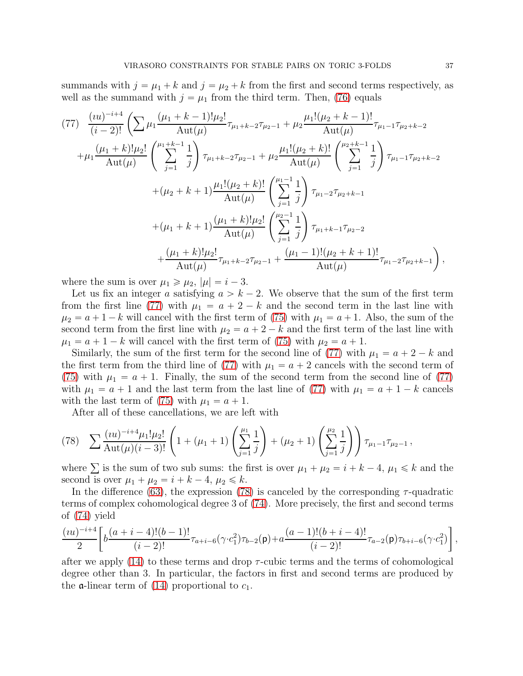summands with  $j = \mu_1 + k$  and  $j = \mu_2 + k$  from the first and second terms respectively, as well as the summand with  $j = \mu_1$  from the third term. Then, [\(76\)](#page-35-1) equals

<span id="page-36-0"></span>(77) 
$$
\frac{(iu)^{-i+4}}{(i-2)!} \left( \sum \mu_1 \frac{(\mu_1 + k - 1)! \mu_2!}{\text{Aut}(\mu)} \tau_{\mu_1 + k - 2} \tau_{\mu_2 - 1} + \mu_2 \frac{\mu_1! (\mu_2 + k - 1)!}{\text{Aut}(\mu)} \tau_{\mu_1 - 1} \tau_{\mu_2 + k - 2} + \mu_1 \frac{(\mu_1 + k)! \mu_2!}{\text{Aut}(\mu)} \left( \sum_{j=1}^{\mu_1 + k - 1} \frac{1}{j} \right) \tau_{\mu_1 + k - 2} \tau_{\mu_2 - 1} + \mu_2 \frac{\mu_1! (\mu_2 + k)!}{\text{Aut}(\mu)} \left( \sum_{j=1}^{\mu_2 + k - 1} \frac{1}{j} \right) \tau_{\mu_1 - 1} \tau_{\mu_2 + k - 2} + (\mu_2 + k + 1) \frac{\mu_1! (\mu_2 + k)!}{\text{Aut}(\mu)} \left( \sum_{j=1}^{\mu_1 - 1} \frac{1}{j} \right) \tau_{\mu_1 - 2} \tau_{\mu_2 + k - 1} + (\mu_1 + k + 1) \frac{(\mu_1 + k)! \mu_2!}{\text{Aut}(\mu)} \left( \sum_{j=1}^{\mu_2 - 1} \frac{1}{j} \right) \tau_{\mu_1 + k - 1} \tau_{\mu_2 - 2} + \frac{(\mu_1 + k)! \mu_2!}{\text{Aut}(\mu)} \tau_{\mu_1 + k - 2} \tau_{\mu_2 - 1} + \frac{(\mu_1 - 1)! (\mu_2 + k + 1)!}{\text{Aut}(\mu)} \tau_{\mu_1 - 2} \tau_{\mu_2 + k - 1} \right),
$$

where the sum is over  $\mu_1 \ge \mu_2$ ,  $|\mu| = i - 3$ .

Let us fix an integer a satisfying  $a > k - 2$ . We observe that the sum of the first term from the first line [\(77\)](#page-36-0) with  $\mu_1 = a + 2 - k$  and the second term in the last line with  $\mu_2 = a + 1 - k$  will cancel with the first term of [\(75\)](#page-35-2) with  $\mu_1 = a + 1$ . Also, the sum of the second term from the first line with  $\mu_2 = a + 2 - k$  and the first term of the last line with  $\mu_1 = a + 1 - k$  will cancel with the first term of [\(75\)](#page-35-2) with  $\mu_2 = a + 1$ .

Similarly, the sum of the first term for the second line of [\(77\)](#page-36-0) with  $\mu_1 = a + 2 - k$  and the first term from the third line of [\(77\)](#page-36-0) with  $\mu_1 = a + 2$  cancels with the second term of [\(75\)](#page-35-2) with  $\mu_1 = a + 1$ . Finally, the sum of the second term from the second line of [\(77\)](#page-36-0) with  $\mu_1 = a + 1$  and the last term from the last line of [\(77\)](#page-36-0) with  $\mu_1 = a + 1 - k$  cancels with the last term of [\(75\)](#page-35-2) with  $\mu_1 = a + 1$ .

After all of these cancellations, we are left with

<span id="page-36-1"></span>(78) 
$$
\sum \frac{(iu)^{-i+4}\mu_1!\mu_2!}{\text{Aut}(\mu)(i-3)!} \left(1+(\mu_1+1)\left(\sum_{j=1}^{\mu_1}\frac{1}{j}\right)+(\mu_2+1)\left(\sum_{j=1}^{\mu_2}\frac{1}{j}\right)\right)\tau_{\mu_1-1}\tau_{\mu_2-1},
$$

where  $\sum$  is the sum of two sub sums: the first is over  $\mu_1 + \mu_2 = i + k - 4$ ,  $\mu_1 \le k$  and the second is over  $\mu_1 + \mu_2 = i + k - 4, \mu_2 \leq k$ .

In the difference [\(63\)](#page-31-1), the expression [\(78\)](#page-36-1) is canceled by the corresponding  $\tau$ -quadratic terms of complex cohomological degree 3 of [\(74\)](#page-34-3). More precisely, the first and second terms of [\(74\)](#page-34-3) yield

$$
\frac{(iu)^{-i+4}}{2}\bigg[b\frac{(a+i-4)!(b-1)!}{(i-2)!}\tau_{a+i-6}(\gamma\cdot c_1^2)\tau_{b-2}(\mathbf{p})+a\frac{(a-1)!(b+i-4)!}{(i-2)!}\tau_{a-2}(\mathbf{p})\tau_{b+i-6}(\gamma\cdot c_1^2)\bigg]\,,
$$

after we apply  $(14)$  to these terms and drop  $\tau$ -cubic terms and the terms of cohomological degree other than 3. In particular, the factors in first and second terms are produced by the **a**-linear term of [\(14\)](#page-8-4) proportional to  $c_1$ .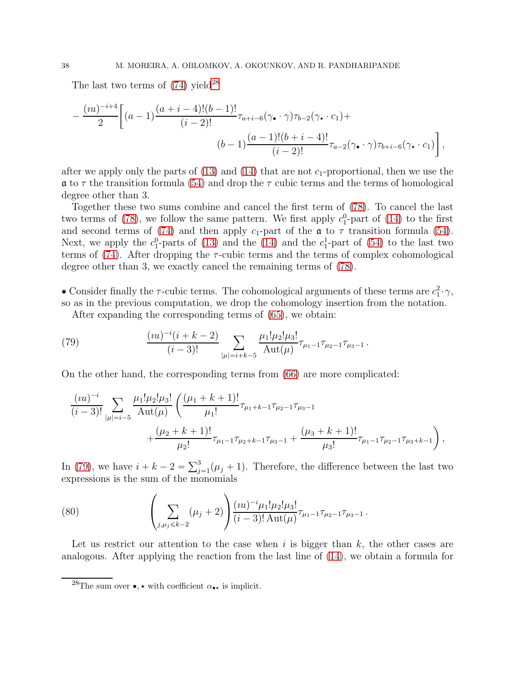The last two terms of  $(74)$  yield<sup>[28](#page-37-0)</sup>

$$
-\frac{(iu)^{-i+4}}{2}\bigg[(a-1)\frac{(a+i-4)!(b-1)!}{(i-2)!}\tau_{a+i-6}(\gamma_{\bullet}\cdot\gamma)\tau_{b-2}(\gamma_{\star}\cdot c_{1})+\n\\ (b-1)\frac{(a-1)!(b+i-4)!}{(i-2)!}\tau_{a-2}(\gamma_{\bullet}\cdot\gamma)\tau_{b+i-6}(\gamma_{\star}\cdot c_{1})\bigg],
$$

after we apply only the parts of  $(13)$  and  $(14)$  that are not  $c_1$ -proportional, then we use the  $\alpha$  to  $\tau$  the transition formula [\(54\)](#page-29-0) and drop the  $\tau$  cubic terms and the terms of homological degree other than 3.

Together these two sums combine and cancel the first term of [\(78\)](#page-36-1). To cancel the last two terms of [\(78\)](#page-36-1), we follow the same pattern. We first apply  $c_1^0$ -part of [\(14\)](#page-8-4) to the first and second terms of [\(74\)](#page-34-3) and then apply  $c_1$ -part of the  $\alpha$  to  $\tau$  transition formula [\(54\)](#page-29-0). Next, we apply the  $c_1^0$ -parts of [\(13\)](#page-8-0) and the [\(14\)](#page-8-4) and the  $c_1^1$ -part of [\(54\)](#page-29-0) to the last two terms of [\(74\)](#page-34-3). After dropping the  $\tau$ -cubic terms and the terms of complex cohomological degree other than 3, we exactly cancel the remaining terms of [\(78\)](#page-36-1).

• Consider finally the  $\tau$ -cubic terms. The cohomological arguments of these terms are  $c_1^2 \cdot \gamma$ , so as in the previous computation, we drop the cohomology insertion from the notation.

<span id="page-37-1"></span>After expanding the corresponding terms of [\(65\)](#page-32-0), we obtain:

(79) 
$$
\frac{(iu)^{-i}(i+k-2)}{(i-3)!} \sum_{|\mu|=i+k-5} \frac{\mu_1! \mu_2! \mu_3!}{\text{Aut}(\mu)} \tau_{\mu_1-1} \tau_{\mu_2-1} \tau_{\mu_3-1}.
$$

On the other hand, the corresponding terms from [\(66\)](#page-32-1) are more complicated:

$$
\frac{(iu)^{-i}}{(i-3)!} \sum_{|\mu|=i-5} \frac{\mu_1! \mu_2! \mu_3!}{\text{Aut}(\mu)} \left( \frac{(\mu_1 + k + 1)!}{\mu_1!} \tau_{\mu_1 + k - 1} \tau_{\mu_2 - 1} \tau_{\mu_3 - 1} + \frac{(\mu_2 + k + 1)!}{\mu_2!} \tau_{\mu_1 - 1} \tau_{\mu_2 + k - 1} \tau_{\mu_3 - 1} + \frac{(\mu_3 + k + 1)!}{\mu_3!} \tau_{\mu_1 - 1} \tau_{\mu_2 - 1} \tau_{\mu_3 + k - 1} \right),
$$

In [\(79\)](#page-37-1), we have  $i + k - 2 = \sum_{j=1}^{3} (\mu_j + 1)$ . Therefore, the difference between the last two expressions is the sum of the monomials

<span id="page-37-2"></span>(80) 
$$
\left(\sum_{j,\mu_j\leq k-2}(\mu_j+2)\right)\frac{(iu)^{-i}\mu_1!\mu_2!\mu_3!}{(i-3)!\,\mathrm{Aut}(\mu)}\tau_{\mu_1-1}\tau_{\mu_2-1}\tau_{\mu_3-1}.
$$

Let us restrict our attention to the case when i is bigger than  $k$ , the other cases are analogous. After applying the reaction from the last line of [\(14\)](#page-8-4), we obtain a formula for

<span id="page-37-0"></span><sup>&</sup>lt;sup>28</sup>The sum over  $\bullet$ ,  $\star$  with coefficient  $\alpha_{\bullet\star}$  is implicit.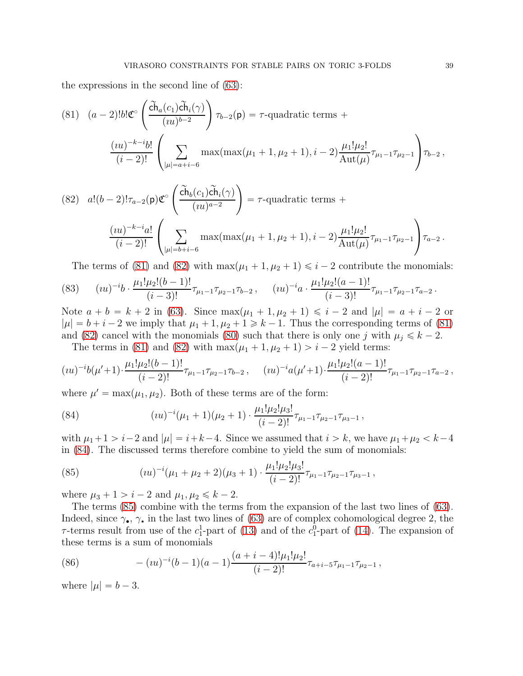the expressions in the second line of [\(63\)](#page-31-1):

<span id="page-38-0"></span>(81) 
$$
(a-2)!b!\mathfrak{C}^{\circ}\left(\frac{\widetilde{ch}_a(c_1)\widetilde{ch}_i(\gamma)}{(iu)^{b-2}}\right)\tau_{b-2}(\mathfrak{p}) = \tau
$$
-quadratic terms +  

$$
\frac{(iu)^{-k-i}b!}{(i-2)!}\left(\sum_{|\mu|=a+i-6} \max(\max(\mu_1+1,\mu_2+1),i-2)\frac{\mu_1!\mu_2!}{\mathrm{Aut}(\mu)}\tau_{\mu_1-1}\tau_{\mu_2-1}\right)\tau_{b-2},
$$

<span id="page-38-1"></span>(82) 
$$
a!(b-2)!\tau_{a-2}(\mathbf{p})\mathfrak{C}^{\circ}\left(\frac{\widetilde{ch}_b(c_1)\widetilde{ch}_i(\gamma)}{(iu)^{a-2}}\right) = \tau
$$
-quadratic terms +  

$$
\frac{(iu)^{-k-i}a!}{(i-2)!}\left(\sum_{|\mu|=b+i-6} \max(\max(\mu_1+1,\mu_2+1),i-2)\frac{\mu_1!\mu_2!}{\mathrm{Aut}(\mu)}\tau_{\mu_1-1}\tau_{\mu_2-1}\right)\tau_{a-2}.
$$

The terms of [\(81\)](#page-38-0) and [\(82\)](#page-38-1) with  $\max(\mu_1 + 1, \mu_2 + 1) \leq i - 2$  contribute the monomials:

$$
(83) \qquad (iu)^{-i}b \cdot \frac{\mu_1!\mu_2!(b-1)!}{(i-3)!}\tau_{\mu_1-1}\tau_{\mu_2-1}\tau_{b-2}\,, \qquad (iu)^{-i}a \cdot \frac{\mu_1!\mu_2!(a-1)!}{(i-3)!}\tau_{\mu_1-1}\tau_{\mu_2-1}\tau_{a-2}\,.
$$

Note  $a + b = k + 2$  in [\(63\)](#page-31-1). Since  $\max(\mu_1 + 1, \mu_2 + 1) \leq i - 2$  and  $|\mu| = a + i - 2$  or  $|\mu| = b + i - 2$  we imply that  $\mu_1 + 1, \mu_2 + 1 \ge k - 1$ . Thus the corresponding terms of [\(81\)](#page-38-0) and [\(82\)](#page-38-1) cancel with the monomials [\(80\)](#page-37-2) such that there is only one j with  $\mu_i \leq k - 2$ .

The terms in [\(81\)](#page-38-0) and [\(82\)](#page-38-1) with  $\max(\mu_1 + 1, \mu_2 + 1) > i - 2$  yield terms:

$$
(iu)^{-i}b(\mu'+1)\cdot\frac{\mu_1!\mu_2!(b-1)!}{(i-2)!}\tau_{\mu_1-1}\tau_{\mu_2-1}\tau_{b-2}, \quad (iu)^{-i}a(\mu'+1)\cdot\frac{\mu_1!\mu_2!(a-1)!}{(i-2)!}\tau_{\mu_1-1}\tau_{\mu_2-1}\tau_{a-2},
$$

where  $\mu' = \max(\mu_1, \mu_2)$ . Both of these terms are of the form:

<span id="page-38-2"></span>(84) 
$$
(iu)^{-i}(\mu_1+1)(\mu_2+1)\cdot\frac{\mu_1!\mu_2!\mu_3!}{(i-2)!}\tau_{\mu_1-1}\tau_{\mu_2-1}\tau_{\mu_3-1},
$$

with  $\mu_1+1 > i-2$  and  $|\mu| = i+k-4$ . Since we assumed that  $i > k$ , we have  $\mu_1+\mu_2 < k-4$ in [\(84\)](#page-38-2). The discussed terms therefore combine to yield the sum of monomials:

<span id="page-38-3"></span>(85) 
$$
(iu)^{-i}(\mu_1 + \mu_2 + 2)(\mu_3 + 1) \cdot \frac{\mu_1!\mu_2!\mu_3!}{(i-2)!}\tau_{\mu_1 - 1}\tau_{\mu_2 - 1}\tau_{\mu_3 - 1},
$$

where  $\mu_3 + 1 > i - 2$  and  $\mu_1, \mu_2 \le k - 2$ .

The terms [\(85\)](#page-38-3) combine with the terms from the expansion of the last two lines of [\(63\)](#page-31-1). Indeed, since  $\gamma_{\bullet}$ ,  $\gamma_{\star}$  in the last two lines of [\(63\)](#page-31-1) are of complex cohomological degree 2, the  $\tau$ -terms result from use of the  $c_1^1$ -part of [\(13\)](#page-8-0) and of the  $c_1^0$ -part of [\(14\)](#page-8-4). The expansion of these terms is a sum of monomials

<span id="page-38-4"></span>(86) 
$$
-(iu)^{-i}(b-1)(a-1)\frac{(a+i-4)! \mu_1! \mu_2!}{(i-2)!} \tau_{a+i-5} \tau_{\mu_1-1} \tau_{\mu_2-1},
$$

where  $|\mu| = b - 3$ .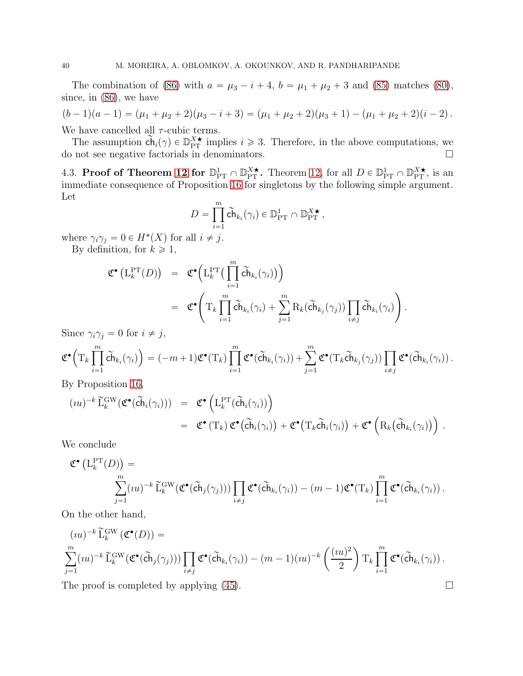The combination of [\(86\)](#page-38-4) with  $a = \mu_3 - i + 4$ ,  $b = \mu_1 + \mu_2 + 3$  and [\(85\)](#page-38-3) matches [\(80\)](#page-37-2), since, in [\(86\)](#page-38-4), we have

$$
(b-1)(a-1) = (\mu_1 + \mu_2 + 2)(\mu_3 - i + 3) = (\mu_1 + \mu_2 + 2)(\mu_3 + 1) - (\mu_1 + \mu_2 + 2)(i - 2).
$$
  
We have cancelled all  $\tau$  cubic terms.

We have cancelled all  $\tau$ -cubic terms.

The assumption  $\widetilde{\mathsf{ch}}_i(\gamma) \in \mathbb{D}_{\mathrm{PT}}^{X\star}$  implies  $i \geq 3$ . Therefore, in the above computations, we do not see negative factorials in denominators.

<span id="page-39-0"></span>4.3. Proof of Theorem [12](#page-17-0) for  $\mathbb{D}_{PT}^1 \cap \mathbb{D}_{PT}^{X\star}$ . Theorem [12,](#page-17-0) for all  $D \in \mathbb{D}_{PT}^1 \cap \mathbb{D}_{PT}^{X\star}$ , is an immediate consequence of Proposition [16](#page-28-1) for singletons by the following simple argument. Let

$$
D = \prod_{i=1}^{m} \widetilde{\mathbf{ch}}_{k_i}(\gamma_i) \in \mathbb{D}_{\mathrm{PT}}^1 \cap \mathbb{D}_{\mathrm{PT}}^{X \star},
$$

where  $\gamma_i \gamma_j = 0 \in H^*(X)$  for all  $i \neq j$ .

By definition, for  $k \geq 1$ ,

$$
\mathfrak{C}^{\bullet}\left(\mathcal{L}_{k}^{\mathrm{PT}}(D)\right) = \mathfrak{C}^{\bullet}\left(\mathcal{L}_{k}^{\mathrm{PT}}\left(\prod_{i=1}^{m} \widetilde{\mathbf{ch}}_{k_{i}}(\gamma_{i})\right)\right)
$$
  
\n
$$
= \mathfrak{C}^{\bullet}\left(\mathrm{T}_{k}\prod_{i=1}^{m} \widetilde{\mathbf{ch}}_{k_{i}}(\gamma_{i}) + \sum_{j=1}^{m} \mathrm{R}_{k}(\widetilde{\mathbf{ch}}_{k_{j}}(\gamma_{j}))\prod_{i \neq j} \widetilde{\mathbf{ch}}_{k_{i}}(\gamma_{i})\right).
$$

Since  $\gamma_i \gamma_j = 0$  for  $i \neq j$ ,

$$
\mathfrak{C}^{\bullet}\Big(\mathrm{T}_k\prod\limits_{i=1}^{m}\tilde{\mathrm{ch}}_{k_i}(\gamma_i)\Big)=(-m+1)\mathfrak{C}^{\bullet}(\mathrm{T}_k)\prod\limits_{i=1}^{m}\mathfrak{C}^{\bullet}(\tilde{\mathrm{ch}}_{k_i}(\gamma_i))+\sum\limits_{j=1}^{m}\mathfrak{C}^{\bullet}(\mathrm{T}_k\tilde{\mathrm{ch}}_{k_j}(\gamma_j))\prod\limits_{i\neq j}\mathfrak{C}^{\bullet}(\tilde{\mathrm{ch}}_{k_i}(\gamma_i))\,.
$$

By Proposition [16,](#page-28-1)

$$
(iu)^{-k} \widetilde{\mathbf{L}}_k^{\text{GW}}(\mathfrak{C}^{\bullet}(\widetilde{\mathbf{ch}}_i(\gamma_i))) = \mathfrak{C}^{\bullet} (\mathbf{L}_k^{\text{PT}}(\widetilde{\mathbf{ch}}_i(\gamma_i)))
$$
  
= 
$$
\mathfrak{C}^{\bullet} (\mathbf{T}_k) \mathfrak{C}^{\bullet}(\widetilde{\mathbf{ch}}_i(\gamma_i)) + \mathfrak{C}^{\bullet} (\mathbf{T}_k \widetilde{\mathbf{ch}}_i(\gamma_i)) + \mathfrak{C}^{\bullet} (\mathbf{R}_k(\widetilde{\mathbf{ch}}_{k_i}(\gamma_i)))
$$
.

We conclude

$$
\mathfrak{C}^{\bullet}\left(\mathcal{L}_{k}^{\mathrm{PT}}(D)\right) = \sum_{j=1}^{m} (iu)^{-k} \widetilde{\mathcal{L}}_{k}^{\mathrm{GW}}(\mathfrak{C}^{\bullet}(\widetilde{\mathsf{ch}}_{j}(\gamma_{j}))) \prod_{i \neq j} \mathfrak{C}^{\bullet}(\widetilde{\mathsf{ch}}_{k_{i}}(\gamma_{i})) - (m-1) \mathfrak{C}^{\bullet}(\mathcal{T}_{k}) \prod_{i=1}^{m} \mathfrak{C}^{\bullet}(\widetilde{\mathsf{ch}}_{k_{i}}(\gamma_{i})) .
$$

On the other hand,

$$
(iu)^{-k} \widetilde{\mathcal{L}}_k^{\text{GW}}(\mathfrak{C}^{\bullet}(D)) =
$$
  

$$
\sum_{j=1}^m (iu)^{-k} \widetilde{\mathcal{L}}_k^{\text{GW}}(\mathfrak{C}^{\bullet}(\widetilde{\mathbf{ch}}_j(\gamma_j))) \prod_{i \neq j} \mathfrak{C}^{\bullet}(\widetilde{\mathbf{ch}}_{k_i}(\gamma_i)) - (m-1)(iu)^{-k} \left(\frac{(iu)^2}{2}\right) \mathrm{T}_k \prod_{i=1}^m \mathfrak{C}^{\bullet}(\widetilde{\mathbf{ch}}_{k_i}(\gamma_i)).
$$

The proof is completed by applying  $(45)$ .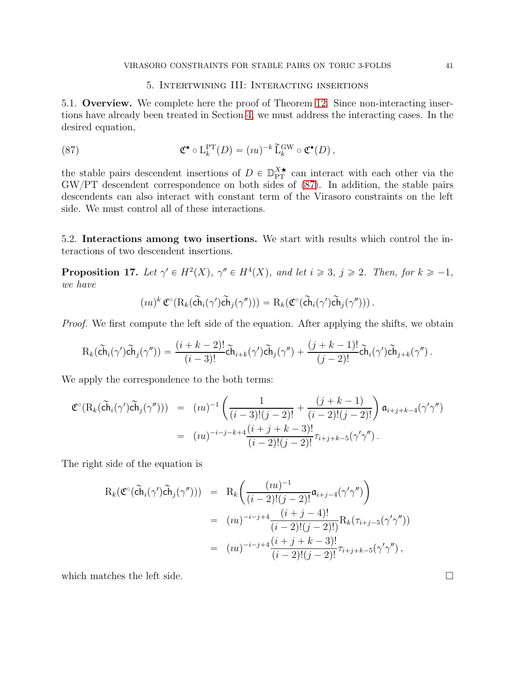#### <span id="page-40-2"></span>5. Intertwining III: Interacting insertions

<span id="page-40-0"></span>5.1. Overview. We complete here the proof of Theorem [12.](#page-17-0) Since non-interacting insertions have already been treated in Section [4,](#page-27-0) we must address the interacting cases. In the desired equation,

(87) 
$$
\mathfrak{C}^{\bullet} \circ \mathcal{L}_{k}^{\mathrm{PT}}(D) = (iu)^{-k} \widetilde{\mathcal{L}}_{k}^{\mathrm{GW}} \circ \mathfrak{C}^{\bullet}(D),
$$

the stable pairs descendent insertions of  $D \in \mathbb{D}_{PT}^{X\star}$  can interact with each other via the GW{PT descendent correspondence on both sides of [\(87\)](#page-40-2). In addition, the stable pairs descendents can also interact with constant term of the Virasoro constraints on the left side. We must control all of these interactions.

5.2. Interactions among two insertions. We start with results which control the interactions of two descendent insertions.

<span id="page-40-1"></span>**Proposition 17.** Let  $\gamma' \in H^2(X)$ ,  $\gamma'' \in H^4(X)$ , and let  $i \geq 3$ ,  $j \geq 2$ . Then, for  $k \geq -1$ , we have

$$
(iu)^k \mathfrak{C}^{\circ}(\mathrm{R}_k(\widetilde{\mathrm{ch}}_i(\gamma')\widetilde{\mathrm{ch}}_j(\gamma'))) = \mathrm{R}_k(\mathfrak{C}^{\circ}(\widetilde{\mathrm{ch}}_i(\gamma')\widetilde{\mathrm{ch}}_j(\gamma''))).
$$

Proof. We first compute the left side of the equation. After applying the shifts, we obtain

$$
\mathrm{R}_k(\widetilde{\mathrm{ch}}_i(\gamma')\widetilde{\mathrm{ch}}_j(\gamma''))=\frac{(i+k-2)!}{(i-3)!}\widetilde{\mathrm{ch}}_{i+k}(\gamma')\widetilde{\mathrm{ch}}_j(\gamma'')+\frac{(j+k-1)!}{(j-2)!}\widetilde{\mathrm{ch}}_i(\gamma')\widetilde{\mathrm{ch}}_{j+k}(\gamma'').
$$

We apply the correspondence to the both terms:

$$
\mathfrak{C}^{\circ}(\mathrm{R}_{k}(\tilde{\mathrm{ch}}_{i}(\gamma')\tilde{\mathrm{ch}}_{j}(\gamma''))) = (iu)^{-1} \left( \frac{1}{(i-3)!(j-2)!} + \frac{(j+k-1)}{(i-2)!(j-2)!} \right) \mathfrak{a}_{i+j+k-4}(\gamma'\gamma'') \n= (iu)^{-i-j-k+4} \frac{(i+j+k-3)!}{(i-2)!(j-2)!} \tau_{i+j+k-5}(\gamma'\gamma'').
$$

The right side of the equation is

$$
R_k(\mathfrak{C}^{\circ}(\tilde{ch}_i(\gamma')\tilde{ch}_j(\gamma'')) = R_k\left(\frac{(iu)^{-1}}{(i-2)!(j-2)!}\mathfrak{a}_{i+j-4}(\gamma'\gamma'')\right)
$$
  

$$
= (iu)^{-i-j+4}\frac{(i+j-4)!}{(i-2)!(j-2)!}R_k(\tau_{i+j-5}(\gamma'\gamma''))
$$
  

$$
= (iu)^{-i-j+4}\frac{(i+j+k-3)!}{(i-2)!(j-2)!}\tau_{i+j+k-5}(\gamma'\gamma''),
$$

which matches the left side.  $\square$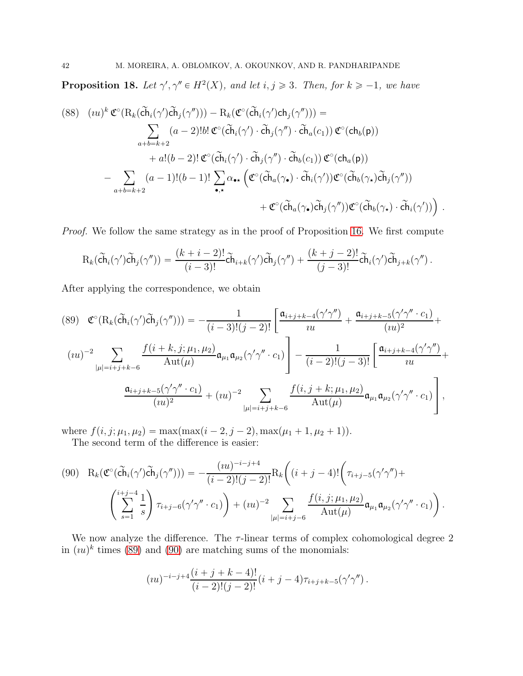<span id="page-41-0"></span>**Proposition 18.** Let  $\gamma', \gamma'' \in H^2(X)$ , and let  $i, j \geq 3$ . Then, for  $k \geq -1$ , we have

<span id="page-41-3"></span>(88) 
$$
(iu)^{k} \mathfrak{C}^{\circ}(\mathrm{R}_{k}(\tilde{\mathrm{ch}}_{i}(\gamma')\tilde{\mathrm{ch}}_{j}(\gamma'')))-\mathrm{R}_{k}(\mathfrak{C}^{\circ}(\tilde{\mathrm{ch}}_{i}(\gamma')\mathrm{ch}_{j}(\gamma'')))=\sum_{a+b=k+2} (a-2)!b! \mathfrak{C}^{\circ}(\tilde{\mathrm{ch}}_{i}(\gamma')\cdot\tilde{\mathrm{ch}}_{j}(\gamma'')\cdot\tilde{\mathrm{ch}}_{a}(c_{1})) \mathfrak{C}^{\circ}(\mathrm{ch}_{b}(\mathrm{p}))+a!(b-2)! \mathfrak{C}^{\circ}(\tilde{\mathrm{ch}}_{i}(\gamma')\cdot\tilde{\mathrm{ch}}_{j}(\gamma'')\cdot\tilde{\mathrm{ch}}_{b}(c_{1})) \mathfrak{C}^{\circ}(\mathrm{ch}_{a}(\mathrm{p}))-\sum_{a+b=k+2} (a-1)!(b-1)! \sum_{\bullet,\star} \alpha_{\bullet\star} (\mathfrak{C}^{\circ}(\tilde{\mathrm{ch}}_{a}(\gamma_{\bullet})\cdot\tilde{\mathrm{ch}}_{i}(\gamma'))\mathfrak{C}^{\circ}(\tilde{\mathrm{ch}}_{b}(\gamma_{\star})\tilde{\mathrm{ch}}_{j}(\gamma''))+ \mathfrak{C}^{\circ}(\tilde{\mathrm{ch}}_{a}(\gamma_{\bullet})\tilde{\mathrm{ch}}_{j}(\gamma''))\mathfrak{C}^{\circ}(\tilde{\mathrm{ch}}_{b}(\gamma_{\star})\cdot\tilde{\mathrm{ch}}_{i}(\gamma'))).
$$

Proof. We follow the same strategy as in the proof of Proposition [16.](#page-28-1) We first compute

$$
\mathrm{R}_k(\widetilde{\mathrm{ch}}_i(\gamma')\widetilde{\mathrm{ch}}_j(\gamma''))=\frac{(k+i-2)!}{(i-3)!}\widetilde{\mathrm{ch}}_{i+k}(\gamma')\widetilde{\mathrm{ch}}_j(\gamma'')+\frac{(k+j-2)!}{(j-3)!}\widetilde{\mathrm{ch}}_i(\gamma')\widetilde{\mathrm{ch}}_{j+k}(\gamma'')\,.
$$

After applying the correspondence, we obtain

<span id="page-41-1"></span>
$$
(89) \quad \mathfrak{C}^{\circ}(\mathrm{R}_{k}(\tilde{\mathrm{ch}}_{i}(\gamma')\tilde{\mathrm{ch}}_{j}(\gamma''))) = -\frac{1}{(i-3)!(j-2)!} \left[ \frac{\mathfrak{a}_{i+j+k-4}(\gamma'\gamma'')}{uu} + \frac{\mathfrak{a}_{i+j+k-5}(\gamma'\gamma'' \cdot c_{1})}{(iu)^{2}} + \frac{(iu)^{2}}{(iu)^{2}} \right]
$$

$$
(iu)^{-2} \sum_{|\mu|=i+j+k-6} \frac{f(i+k,j;\mu_{1},\mu_{2})}{\mathrm{Aut}(\mu)} \mathfrak{a}_{\mu_{1}} \mathfrak{a}_{\mu_{2}}(\gamma'\gamma'' \cdot c_{1}) - \frac{1}{(i-2)!(j-3)!} \left[ \frac{\mathfrak{a}_{i+j+k-4}(\gamma'\gamma'')}{uu} + \frac{\mathfrak{a}_{i+j+k-5}(\gamma'\gamma'' \cdot c_{1})}{(iu)^{2}} + (iu)^{-2} \sum_{|\mu|=i+j+k-6} \frac{f(i,j+k;\mu_{1},\mu_{2})}{\mathrm{Aut}(\mu)} \mathfrak{a}_{\mu_{1}} \mathfrak{a}_{\mu_{2}}(\gamma'\gamma'' \cdot c_{1}) \right],
$$

where  $f(i, j; \mu_1, \mu_2) = \max(\max(i - 2, j - 2), \max(\mu_1 + 1, \mu_2 + 1)).$ The second term of the difference is easier:

<span id="page-41-2"></span>
$$
(90) \quad R_k(\mathfrak{C}^{\circ}(\tilde{ch}_i(\gamma')\tilde{ch}_j(\gamma''))) = -\frac{(iu)^{-i-j+4}}{(i-2)!(j-2)!}R_k\bigg((i+j-4)!\bigg(\tau_{i+j-5}(\gamma'\gamma'') + \bigg(\sum_{s=1}^{i+j-4} \frac{1}{s}\bigg)\tau_{i+j-6}(\gamma'\gamma'' \cdot c_1)\bigg) + (iu)^{-2} \sum_{|\mu|=i+j-6} \frac{f(i,j;\mu_1,\mu_2)}{\mathrm{Aut}(\mu)}\mathfrak{a}_{\mu_1}\mathfrak{a}_{\mu_2}(\gamma'\gamma'' \cdot c_1)\bigg).
$$

We now analyze the difference. The  $\tau$ -linear terms of complex cohomological degree 2 in  $(u_k)^k$  times [\(89\)](#page-41-1) and [\(90\)](#page-41-2) are matching sums of the monomials:

$$
(iu)^{-i-j+4}\frac{(i+j+k-4)!}{(i-2)!(j-2)!}(i+j-4)\tau_{i+j+k-5}(\gamma'\gamma'').
$$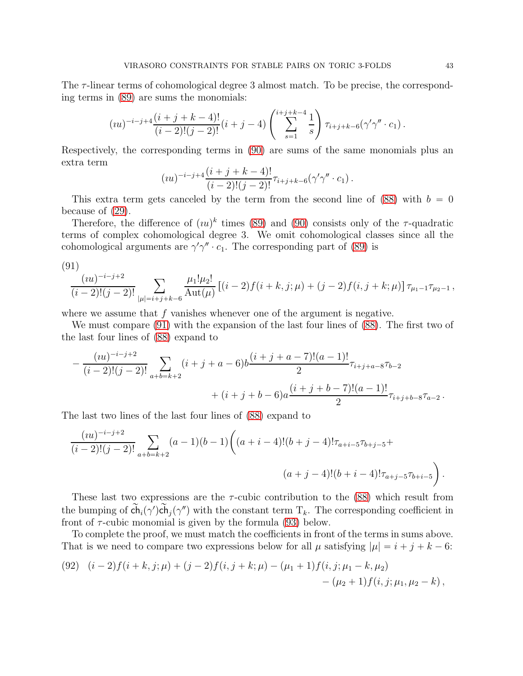The  $\tau$ -linear terms of cohomological degree 3 almost match. To be precise, the corresponding terms in [\(89\)](#page-41-1) are sums the monomials:

$$
(iu)^{-i-j+4}\frac{(i+j+k-4)!}{(i-2)!(j-2)!}(i+j-4)\left(\sum_{s=1}^{i+j+k-4}\frac{1}{s}\right)\tau_{i+j+k-6}(\gamma'\gamma''\cdot c_1).
$$

Respectively, the corresponding terms in [\(90\)](#page-41-2) are sums of the same monomials plus an extra term

$$
(iu)^{-i-j+4}\frac{(i+j+k-4)!}{(i-2)!(j-2)!}\tau_{i+j+k-6}(\gamma'\gamma'' \cdot c_1).
$$

This extra term gets canceled by the term from the second line of  $(88)$  with  $b = 0$ because of [\(29\)](#page-18-1).

Therefore, the difference of  $(uu)^k$  times [\(89\)](#page-41-1) and [\(90\)](#page-41-2) consists only of the  $\tau$ -quadratic terms of complex cohomological degree 3. We omit cohomological classes since all the cohomological arguments are  $\gamma' \gamma'' \cdot c_1$ . The corresponding part of [\(89\)](#page-41-1) is

<span id="page-42-0"></span>(91)

$$
\frac{(iu)^{-i-j+2}}{(i-2)!(j-2)!} \sum_{|\mu|=i+j+k-6} \frac{\mu_1! \mu_2!}{\mathrm{Aut}(\mu)} \left[ (i-2)f(i+k,j;\mu) + (j-2)f(i,j+k;\mu) \right] \tau_{\mu_1-1} \tau_{\mu_2-1},
$$

where we assume that  $f$  vanishes whenever one of the argument is negative.

We must compare [\(91\)](#page-42-0) with the expansion of the last four lines of [\(88\)](#page-41-3). The first two of the last four lines of [\(88\)](#page-41-3) expand to

$$
-\frac{(iu)^{-i-j+2}}{(i-2)!(j-2)!} \sum_{a+b=k+2} (i+j+a-6)b \frac{(i+j+a-7)!(a-1)!}{2} \tau_{i+j+a-8} \tau_{b-2} + (i+j+b-6)a \frac{(i+j+b-7)!(a-1)!}{2} \tau_{i+j+b-8} \tau_{a-2}.
$$

The last two lines of the last four lines of [\(88\)](#page-41-3) expand to

$$
\frac{(iu)^{-i-j+2}}{(i-2)!(j-2)!} \sum_{a+b=k+2} (a-1)(b-1) \bigg( (a+i-4)!(b+j-4)! \tau_{a+i-5} \tau_{b+j-5} +
$$
  

$$
(a+j-4)!(b+i-4)! \tau_{a+j-5} \tau_{b+i-5} \bigg).
$$

These last two expressions are the  $\tau$ -cubic contribution to the [\(88\)](#page-41-3) which result from the bumping of  $\mathsf{ch}_i(\gamma')\mathsf{ch}_j(\gamma'')$  with the constant term  $T_k$ . The corresponding coefficient in front of  $\tau$ -cubic monomial is given by the formula [\(93\)](#page-43-2) below.

To complete the proof, we must match the coefficients in front of the terms in sums above. That is we need to compare two expressions below for all  $\mu$  satisfying  $|\mu| = i + j + k - 6$ :

<span id="page-42-1"></span>(92) 
$$
(i-2)f(i+k, j; \mu) + (j-2)f(i, j+k; \mu) - (\mu_1 + 1)f(i, j; \mu_1 - k, \mu_2)
$$
  

$$
- (\mu_2 + 1)f(i, j; \mu_1, \mu_2 - k),
$$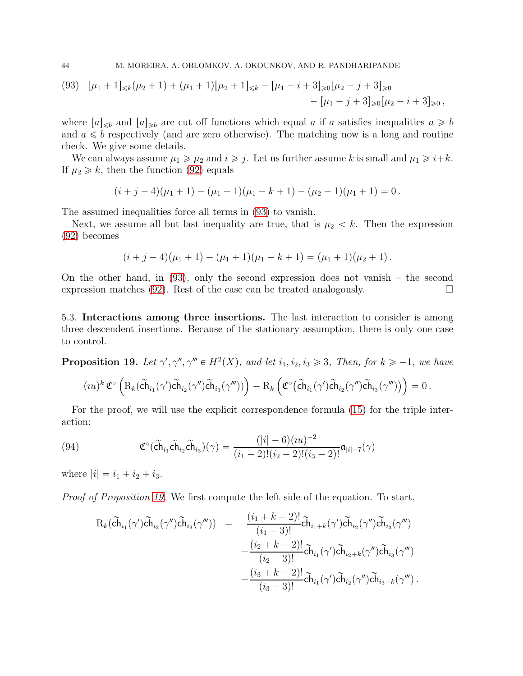44 M. MOREIRA, A. OBLOMKOV, A. OKOUNKOV, AND R. PANDHARIPANDE

<span id="page-43-2"></span>
$$
(93) \quad [\mu_1 + 1]_{\leq k}(\mu_2 + 1) + (\mu_1 + 1)[\mu_2 + 1]_{\leq k} - [\mu_1 - i + 3]_{\geq 0}[\mu_2 - j + 3]_{\geq 0} - [\mu_1 - j + 3]_{\geq 0}[\mu_2 - i + 3]_{\geq 0},
$$

where  $[a]_{\leq b}$  and  $[a]_{\geq b}$  are cut off functions which equal a if a satisfies inequalities  $a \geq b$ and  $a \leq b$  respectively (and are zero otherwise). The matching now is a long and routine check. We give some details.

We can always assume  $\mu_1 \ge \mu_2$  and  $i \ge j$ . Let us further assume k is small and  $\mu_1 \ge i+k$ . If  $\mu_2 \geq k$ , then the function [\(92\)](#page-42-1) equals

$$
(i+j-4)(\mu_1+1)-(\mu_1+1)(\mu_1-k+1)-(\mu_2-1)(\mu_1+1)=0.
$$

The assumed inequalities force all terms in [\(93\)](#page-43-2) to vanish.

Next, we assume all but last inequality are true, that is  $\mu_2 < k$ . Then the expression [\(92\)](#page-42-1) becomes

$$
(i+j-4)(\mu_1+1)-(\mu_1+1)(\mu_1-k+1)=(\mu_1+1)(\mu_2+1).
$$

On the other hand, in [\(93\)](#page-43-2), only the second expression does not vanish – the second expression matches [\(92\)](#page-42-1). Rest of the case can be treated analogously.  $\Box$ 

5.3. Interactions among three insertions. The last interaction to consider is among three descendent insertions. Because of the stationary assumption, there is only one case to control.

<span id="page-43-0"></span>**Proposition 19.** Let  $\gamma', \gamma'', \gamma''' \in H^2(X)$ , and let  $i_1, i_2, i_3 \geq 3$ , Then, for  $k \geq -1$ , we have

$$
(iu)^k \mathfrak{C}^\circ\left(\mathrm{R}_k(\tilde{\mathrm{ch}}_{i_1}(\gamma')\tilde{\mathrm{ch}}_{i_2}(\gamma'')\tilde{\mathrm{ch}}_{i_3}(\gamma'''))\right)-\mathrm{R}_k\left(\mathfrak{C}^\circ\big(\tilde{\mathrm{ch}}_{i_1}(\gamma')\tilde{\mathrm{ch}}_{i_2}(\gamma'')\tilde{\mathrm{ch}}_{i_3}(\gamma''')\big)\right)=0\,.
$$

For the proof, we will use the explicit correspondence formula [\(15\)](#page-8-1) for the triple interaction:

<span id="page-43-1"></span>(94) 
$$
\mathfrak{C}^{\circ}(\tilde{ch}_{i_1}\tilde{ch}_{i_2}\tilde{ch}_{i_3})(\gamma) = \frac{(|i|-6)(iu)^{-2}}{(i_1-2)!(i_2-2)!(i_3-2)!}\mathfrak{a}_{|i|-7}(\gamma)
$$

where  $|i| = i_1 + i_2 + i_3$ .

Proof of Proposition [19.](#page-43-0) We first compute the left side of the equation. To start,

$$
R_{k}(\tilde{ch}_{i_{1}}(\gamma')\tilde{ch}_{i_{2}}(\gamma'')\tilde{ch}_{i_{3}}(\gamma''')) = \frac{(i_{1} + k - 2)!}{(i_{1} - 3)!}\tilde{ch}_{i_{1}+k}(\gamma')\tilde{ch}_{i_{2}}(\gamma'')\tilde{ch}_{i_{3}}(\gamma''') + \frac{(i_{2} + k - 2)!}{(i_{2} - 3)!}\tilde{ch}_{i_{1}}(\gamma')\tilde{ch}_{i_{2}+k}(\gamma'')\tilde{ch}_{i_{3}}(\gamma''') + \frac{(i_{3} + k - 2)!}{(i_{3} - 3)!}\tilde{ch}_{i_{1}}(\gamma')\tilde{ch}_{i_{2}}(\gamma'')\tilde{ch}_{i_{3}+k}(\gamma''').
$$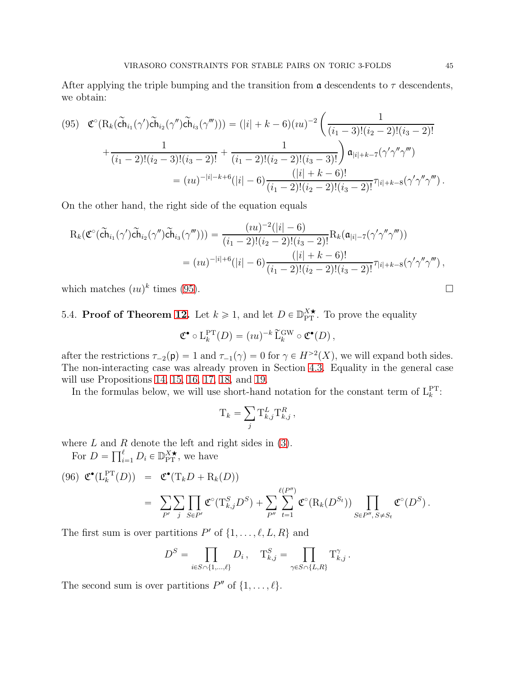After applying the triple bumping and the transition from  $\alpha$  descendents to  $\tau$  descendents, we obtain:

<span id="page-44-0"></span>
$$
(95) \quad \mathfrak{C}^{\circ}(\mathrm{R}_{k}(\tilde{\mathrm{ch}}_{i_{1}}(\gamma')\tilde{\mathrm{ch}}_{i_{2}}(\gamma'')\tilde{\mathrm{ch}}_{i_{3}}(\gamma''))) = (|i| + k - 6)(iu)^{-2} \left(\frac{1}{(i_{1} - 3)!(i_{2} - 2)!(i_{3} - 2)!} + \frac{1}{(i_{1} - 2)!(i_{2} - 3)!(i_{3} - 2)!} + \frac{1}{(i_{1} - 2)!(i_{2} - 2)!(i_{2} - 2)!(i_{3} - 3)!}\right) \mathfrak{a}_{|i| + k - 7}(\gamma'\gamma''\gamma''') = (iu)^{-|i| - k + 6}(|i| - 6)\frac{(|i| + k - 6)!}{(i_{1} - 2)!(i_{2} - 2)!(i_{3} - 2)!}\tau_{|i| + k - 8}(\gamma'\gamma''\gamma''').
$$

On the other hand, the right side of the equation equals

$$
R_k(\mathfrak{C}^{\circ}(\tilde{ch}_{i_1}(\gamma')\tilde{ch}_{i_2}(\gamma'')\tilde{ch}_{i_3}(\gamma''))) = \frac{(iu)^{-2}(|i|-6)}{(i_1-2)!(i_2-2)!(i_3-2)!}R_k(\mathfrak{a}_{|i|-7}(\gamma'\gamma''\gamma'''))
$$
  

$$
= (iu)^{-|i|+6}(|i|-6)\frac{(|i|+k-6)!}{(i_1-2)!(i_2-2)!(i_3-2)!}\tau_{|i|+k-8}(\gamma'\gamma''\gamma'''),
$$

which matches  $(uu)^k$  times [\(95\)](#page-44-0).

## 5.4. **Proof of Theorem [12.](#page-17-0)** Let  $k \ge 1$ , and let  $D \in \mathbb{D}_{\text{PT}}^{X*}$ . To prove the equality

$$
\mathfrak{C}^{\bullet} \circ \mathcal{L}_{k}^{\mathrm{PT}}(D) = (iu)^{-k} \widetilde{\mathcal{L}}_{k}^{\mathrm{GW}} \circ \mathfrak{C}^{\bullet}(D) ,
$$

after the restrictions  $\tau_{-2}(\mathbf{p}) = 1$  and  $\tau_{-1}(\gamma) = 0$  for  $\gamma \in H^{>2}(X)$ , we will expand both sides. The non-interacting case was already proven in Section [4.3.](#page-39-0) Equality in the general case will use Propositions [14,](#page-25-0) [15,](#page-28-0) [16,](#page-28-1) [17,](#page-40-1) [18,](#page-41-0) and [19.](#page-43-0)

In the formulas below, we will use short-hand notation for the constant term of  $L_k^{\text{PT}}$ :

$$
\mathbf{T}_k = \sum_j \mathbf{T}_{k,j}^L \mathbf{T}_{k,j}^R,
$$

where  $L$  and  $R$  denote the left and right sides in  $(3)$ .

For  $D = \prod_{i=1}^{\ell} D_i \in \mathbb{D}_{\text{PT}}^{X \star}$ , we have

<span id="page-44-1"></span>
$$
(96) \mathfrak{C}^{\bullet}(\mathcal{L}_{k}^{\text{PT}}(D)) = \mathfrak{C}^{\bullet}(\mathcal{T}_{k}D + \mathcal{R}_{k}(D))
$$
  

$$
= \sum_{P'} \sum_{j} \prod_{S \in P'} \mathfrak{C}^{\circ}(\mathcal{T}_{k,j}^{S}D^{S}) + \sum_{P''} \sum_{t=1}^{\ell(P'')} \mathfrak{C}^{\circ}(\mathcal{R}_{k}(D^{S_{t}})) \prod_{S \in P'', S \neq S_{t}} \mathfrak{C}^{\circ}(D^{S}).
$$

The first sum is over partitions  $P'$  of  $\{1, \ldots, \ell, L, R\}$  and

$$
D^{S} = \prod_{i \in S \cap \{1, \dots, \ell\}} D_i, \quad T_{k,j}^{S} = \prod_{\gamma \in S \cap \{L,R\}} T_{k,j}^{\gamma}.
$$

The second sum is over partitions  $P''$  of  $\{1, \ldots, \ell\}.$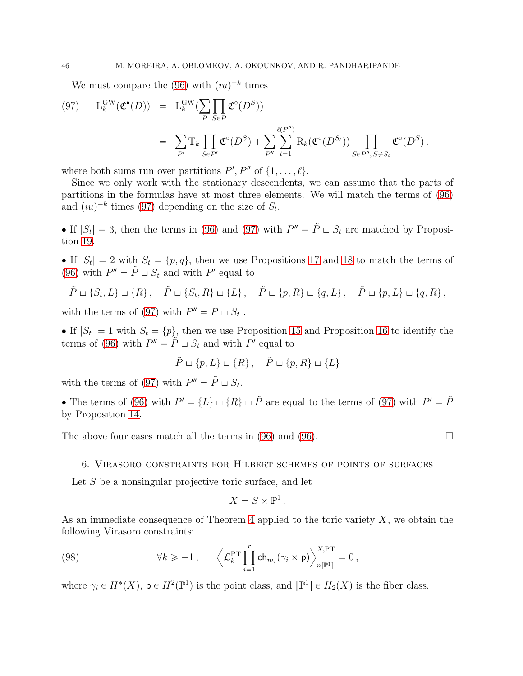<span id="page-45-1"></span>We must compare the  $(96)$  with  $(uu)^{-k}$  times

$$
(97) \qquad L_k^{\text{GW}}(\mathfrak{C}^{\bullet}(D)) = L_k^{\text{GW}}(\sum_{P} \prod_{S \in P} \mathfrak{C}^{\circ}(D^S))
$$
\n
$$
= \sum_{P'} \mathrm{T}_k \prod_{S \in P'} \mathfrak{C}^{\circ}(D^S) + \sum_{P''} \sum_{t=1}^{\ell(P'')} \mathrm{R}_k(\mathfrak{C}^{\circ}(D^{S_t})) \prod_{S \in P'', S \neq S_t} \mathfrak{C}^{\circ}(D^S).
$$

where both sums run over partitions  $P', P''$  of  $\{1, \ldots, \ell\}.$ 

Since we only work with the stationary descendents, we can assume that the parts of partitions in the formulas have at most three elements. We will match the terms of [\(96\)](#page-44-1) and  $(uu)^{-k}$  times [\(97\)](#page-45-1) depending on the size of  $S_t$ .

• If  $|S_t| = 3$ , then the terms in [\(96\)](#page-44-1) and [\(97\)](#page-45-1) with  $P'' = \tilde{P} \sqcup S_t$  are matched by Proposition [19.](#page-43-0)

If  $|S_t| = 2$  with  $S_t = \{p, q\}$ , then we use Propositions [17](#page-40-1) and [18](#page-41-0) to match the terms of [\(96\)](#page-44-1) with  $P'' = \tilde{P} \sqcup S_t$  and with P' equal to

$$
\tilde{P} \sqcup \{S_t, L\} \sqcup \{R\}, \quad \tilde{P} \sqcup \{S_t, R\} \sqcup \{L\}, \quad \tilde{P} \sqcup \{p, R\} \sqcup \{q, L\}, \quad \tilde{P} \sqcup \{p, L\} \sqcup \{q, R\},
$$

with the terms of [\(97\)](#page-45-1) with  $P'' = \tilde{P} \sqcup S_t$ .

If  $|S_t| = 1$  with  $S_t = \{p\}$ , then we use Proposition [15](#page-28-0) and Proposition [16](#page-28-1) to identify the terms of [\(96\)](#page-44-1) with  $P'' = \tilde{P} \sqcup S_t$  and with P' equal to

$$
\tilde{P} \sqcup \{p, L\} \sqcup \{R\}, \quad \tilde{P} \sqcup \{p, R\} \sqcup \{L\}
$$

with the terms of [\(97\)](#page-45-1) with  $P'' = \tilde{P} \sqcup S_t$ .

• The terms of [\(96\)](#page-44-1) with  $P' = \{L\} \sqcup \{R\} \sqcup \tilde{P}$  are equal to the terms of [\(97\)](#page-45-1) with  $P' = \tilde{P}$ by Proposition [14.](#page-25-0)

<span id="page-45-0"></span>The above four cases match all the terms in [\(96\)](#page-44-1) and (96).  $\Box$ 

#### 6. Virasoro constraints for Hilbert schemes of points of surfaces

Let S be a nonsingular projective toric surface, and let

<span id="page-45-2"></span>
$$
X=S\times\mathbb{P}^1.
$$

As an immediate consequence of Theorem [4](#page-4-0) applied to the toric variety  $X$ , we obtain the following Virasoro constraints:

(98) 
$$
\forall k \geqslant -1 , \qquad \left\langle \mathcal{L}_k^{\mathrm{PT}} \prod_{i=1}^r \mathrm{ch}_{m_i}(\gamma_i \times \mathsf{p}) \right\rangle_{n[\mathbb{P}^1]}^{X,\mathrm{PT}} = 0 ,
$$

where  $\gamma_i \in H^*(X)$ ,  $p \in H^2(\mathbb{P}^1)$  is the point class, and  $[\mathbb{P}^1] \in H_2(X)$  is the fiber class.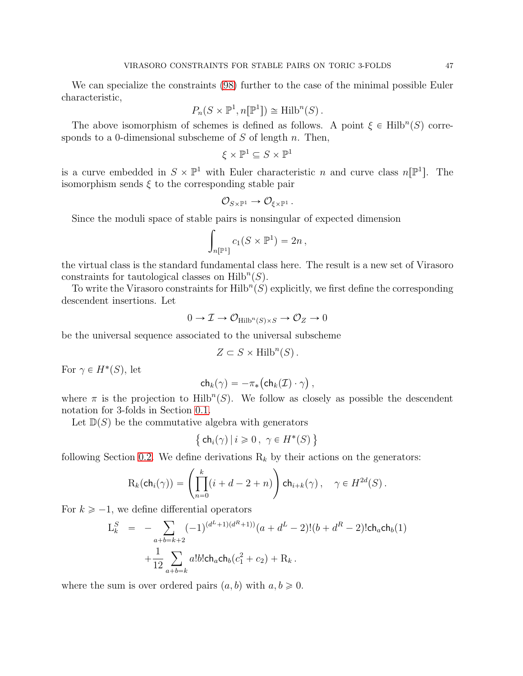We can specialize the constraints [\(98\)](#page-45-2) further to the case of the minimal possible Euler characteristic,

$$
P_n(S \times \mathbb{P}^1, n[\mathbb{P}^1]) \cong \text{Hilb}^n(S).
$$

The above isomorphism of schemes is defined as follows. A point  $\xi \in \text{Hilb}^n(S)$  corresponds to a 0-dimensional subscheme of  $S$  of length  $n$ . Then,

$$
\xi \times \mathbb{P}^1 \subseteq S \times \mathbb{P}^1
$$

is a curve embedded in  $S \times \mathbb{P}^1$  with Euler characteristic n and curve class  $n[\mathbb{P}^1]$ . The isomorphism sends  $\xi$  to the corresponding stable pair

$$
\mathcal{O}_{S\times \mathbb{P}^1}\to \mathcal{O}_{\xi\times \mathbb{P}^1}\,.
$$

Since the moduli space of stable pairs is nonsingular of expected dimension

$$
\int_{n[\mathbb{P}^1]} c_1(S \times \mathbb{P}^1) = 2n,
$$

the virtual class is the standard fundamental class here. The result is a new set of Virasoro constraints for tautological classes on  $\text{Hilb}^n(S)$ .

To write the Virasoro constraints for  $\text{Hilb}^n(S)$  explicitly, we first define the corresponding descendent insertions. Let

$$
0 \to \mathcal{I} \to \mathcal{O}_{\text{Hilb}^n(S) \times S} \to \mathcal{O}_Z \to 0
$$

be the universal sequence associated to the universal subscheme

$$
Z \subset S \times \text{Hilb}^n(S) .
$$

For  $\gamma \in H^*(S)$ , let

$$
\mathsf{ch}_k(\gamma) = -\pi_* \big( \mathsf{ch}_k(\mathcal{I}) \cdot \gamma \big) \, ,
$$

where  $\pi$  is the projection to  $\text{Hilb}^n(S)$ . We follow as closely as possible the descendent notation for 3-folds in Section [0.1.](#page-0-1)

Let  $\mathbb{D}(S)$  be the commutative algebra with generators

$$
\big\{\operatorname{ch}_i(\gamma)\,|\,i\geqslant 0\,,\,\,\gamma\in H^*(S)\,\big\}
$$

following Section [0.2.](#page-2-2) We define derivations  $R_k$  by their actions on the generators:

$$
\mathrm{R}_k(\mathsf{ch}_i(\gamma)) = \left(\prod_{n=0}^k (i+d-2+n)\right) \mathsf{ch}_{i+k}(\gamma)\,, \quad \gamma \in H^{2d}(S)\,.
$$

For  $k \ge -1$ , we define differential operators

$$
L_k^S = -\sum_{a+b=k+2} (-1)^{(d^L+1)(d^R+1)} (a+d^L-2)!(b+d^R-2)!ch_ach_b(1) + \frac{1}{12}\sum_{a+b=k} a!b!ch_ach_b(c_1^2+c_2) + R_k.
$$

where the sum is over ordered pairs  $(a, b)$  with  $a, b \geq 0$ .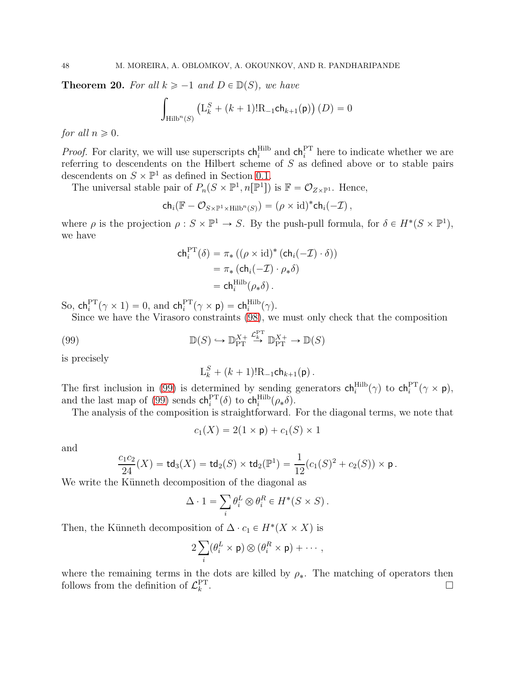**Theorem 20.** For all  $k \ge -1$  and  $D \in \mathbb{D}(S)$ , we have

$$
\int_{\mathrm{Hilb}^n(S)} \left( \mathrm{L}^S_k + (k+1)! \mathrm{R}_{-1} \mathrm{ch}_{k+1}(\mathsf{p}) \right) (D) = 0
$$

for all  $n \geqslant 0$ .

*Proof.* For clarity, we will use superscripts  $\mathsf{ch}_i^{\text{Hilb}}$  and  $\mathsf{ch}_i^{\text{PT}}$  here to indicate whether we are referring to descendents on the Hilbert scheme of S as defined above or to stable pairs descendents on  $S \times \mathbb{P}^1$  as defined in Section [0.1.](#page-0-1)

The universal stable pair of  $P_n(S \times \mathbb{P}^1, n[\mathbb{P}^1])$  is  $\mathbb{F} = \mathcal{O}_{Z \times \mathbb{P}^1}$ . Hence,

$$
\mathsf{ch}_i(\mathbb{F} - \mathcal{O}_{S \times \mathbb{P}^1 \times \mathrm{Hilb}^n(S)}) = (\rho \times \mathrm{id})^* \mathsf{ch}_i(-\mathcal{I}),
$$

where  $\rho$  is the projection  $\rho: S \times \mathbb{P}^1 \to S$ . By the push-pull formula, for  $\delta \in H^*(S \times \mathbb{P}^1)$ , we have

$$
\mathsf{ch}_{i}^{\mathrm{PT}}(\delta) = \pi_{*} ((\rho \times \mathrm{id})^{*} (\mathsf{ch}_{i}(-\mathcal{I}) \cdot \delta))
$$

$$
= \pi_{*} (\mathsf{ch}_{i}(-\mathcal{I}) \cdot \rho_{*} \delta)
$$

$$
= \mathsf{ch}_{i}^{\mathrm{Hilb}}(\rho_{*} \delta).
$$

So,  $\mathsf{ch}_i^{\mathrm{PT}}(\gamma \times 1) = 0$ , and  $\mathsf{ch}_i^{\mathrm{PT}}(\gamma \times \mathsf{p}) = \mathsf{ch}_i^{\mathrm{Hilb}}(\gamma)$ .

Since we have the Virasoro constraints [\(98\)](#page-45-2), we must only check that the composition

(99) 
$$
\mathbb{D}(S) \hookrightarrow \mathbb{D}_{\text{PT}}^{X+} \stackrel{\mathcal{L}_k^{\text{PT}}}{\longrightarrow} \mathbb{D}_{\text{PT}}^{X+} \longrightarrow \mathbb{D}(S)
$$

is precisely

<span id="page-47-0"></span>
$$
L_k^S + (k+1)!R_{-1}ch_{k+1}(p).
$$

The first inclusion in [\(99\)](#page-47-0) is determined by sending generators  $\mathsf{ch}_i^{\text{Hilb}}(\gamma)$  to  $\mathsf{ch}_i^{\text{PT}}(\gamma \times \mathsf{p})$ , and the last map of [\(99\)](#page-47-0) sends  $\mathsf{ch}_i^{\mathrm{PT}}(\delta)$  to  $\mathsf{ch}_i^{\mathrm{Hilb}}(\rho_*\delta)$ .

The analysis of the composition is straightforward. For the diagonal terms, we note that

$$
c_1(X) = 2(1 \times \mathsf{p}) + c_1(S) \times 1
$$

and

$$
\frac{c_1c_2}{24}(X) = \mathsf{td}_3(X) = \mathsf{td}_2(S) \times \mathsf{td}_2(\mathbb{P}^1) = \frac{1}{12}(c_1(S)^2 + c_2(S)) \times \mathsf{p} \, .
$$

We write the Künneth decomposition of the diagonal as

$$
\Delta \cdot 1 = \sum_{i} \theta_i^L \otimes \theta_i^R \in H^*(S \times S).
$$

Then, the Künneth decomposition of  $\Delta \cdot c_1 \in H^*(X \times X)$  is

$$
2\sum_i(\theta_i^L\times\mathbf{p})\otimes(\theta_i^R\times\mathbf{p})+\cdots,
$$

where the remaining terms in the dots are killed by  $\rho_{*}$ . The matching of operators then follows from the definition of  $\mathcal{L}_k^{\text{PT}}$ .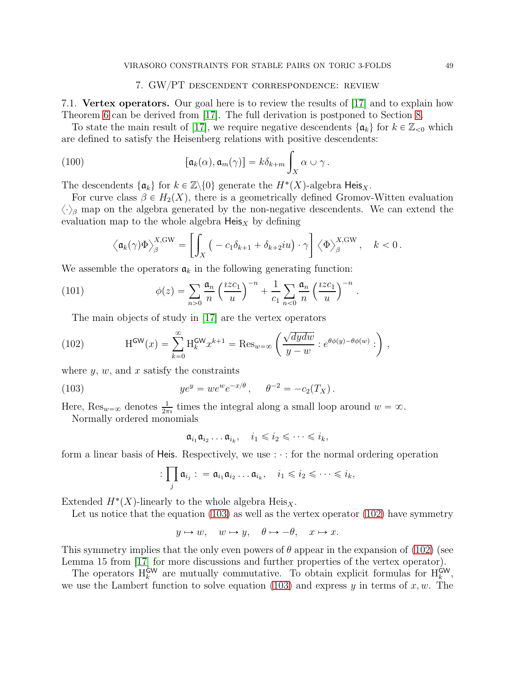#### <span id="page-48-1"></span>7. GW{PT descendent correspondence: review

<span id="page-48-4"></span><span id="page-48-0"></span>7.1. Vertex operators. Our goal here is to review the results of [\[17\]](#page-63-0) and to explain how Theorem [6](#page-8-3) can be derived from [\[17\]](#page-63-0). The full derivation is postponed to Section [8.](#page-53-0)

To state the main result of [\[17\]](#page-63-0), we require negative descendents  $\{\mathfrak{a}_k\}$  for  $k \in \mathbb{Z}_{\leq 0}$  which are defined to satisfy the Heisenberg relations with positive descendents:

(100) 
$$
[\mathfrak{a}_k(\alpha), \mathfrak{a}_m(\gamma)] = k \delta_{k+m} \int_X \alpha \cup \gamma.
$$

The descendents  $\{\mathfrak{a}_k\}$  for  $k \in \mathbb{Z}\backslash \{0\}$  generate the  $H^*(X)$ -algebra Heis<sub>X</sub>.

For curve class  $\beta \in H_2(X)$ , there is a geometrically defined Gromov-Witten evaluation  $\langle \cdot \rangle_{\beta}$  map on the algebra generated by the non-negative descendents. We can extend the evaluation map to the whole algebra  $\text{Heis}_X$  by defining

$$
\left\langle \mathfrak{a}_k(\gamma)\Phi \right\rangle_{\beta}^{X,\mathrm{GW}} = \left[ \int_X \left( -c_1 \delta_{k+1} + \delta_{k+2} i u \right) \cdot \gamma \right] \left\langle \Phi \right\rangle_{\beta}^{X,\mathrm{GW}}, \quad k < 0 \, .
$$

.

We assemble the operators  $a_k$  in the following generating function:

(101) 
$$
\phi(z) = \sum_{n>0} \frac{\mathfrak{a}_n}{n} \left(\frac{izc_1}{u}\right)^{-n} + \frac{1}{c_1} \sum_{n<0} \frac{\mathfrak{a}_n}{n} \left(\frac{izc_1}{u}\right)^{-n}
$$

<span id="page-48-3"></span>The main objects of study in [\[17\]](#page-63-0) are the vertex operators

(102) 
$$
H^{\text{GW}}(x) = \sum_{k=0}^{\infty} H_k^{\text{GW}} x^{k+1} = \text{Res}_{w=\infty} \left( \frac{\sqrt{dydw}}{y-w} : e^{\theta \phi(y) - \theta \phi(w)} : \right),
$$

where  $y, w$ , and  $x$  satisfy the constraints

(103) 
$$
ye^y = we^we^{-x/\theta}, \quad \theta^{-2} = -c_2(T_X).
$$

Here,  $\text{Res}_{w=\infty}$  denotes  $\frac{1}{2\pi i}$  times the integral along a small loop around  $w = \infty$ .

Normally ordered monomials

<span id="page-48-2"></span> $\mathfrak{a}_{i_1}\mathfrak{a}_{i_2}\ldots \mathfrak{a}_{i_k}, \quad i_1\leqslant i_2\leqslant \cdots \leqslant i_k,$ 

form a linear basis of Heis. Respectively, we use  $\cdots$  for the normal ordering operation

$$
:\prod_j \mathfrak{a}_{i_j}:\;=\mathfrak{a}_{i_1}\mathfrak{a}_{i_2}\ldots \mathfrak{a}_{i_k},\quad i_1\leqslant i_2\leqslant\cdots\leqslant i_k,
$$

Extended  $H^*(X)$ -linearly to the whole algebra  $\text{Heis}_X$ .

Let us notice that the equation [\(103\)](#page-48-2) as well as the vertex operator [\(102\)](#page-48-3) have symmetry

$$
y \mapsto w, \quad w \mapsto y, \quad \theta \mapsto -\theta, \quad x \mapsto x.
$$

This symmetry implies that the only even powers of  $\theta$  appear in the expansion of [\(102\)](#page-48-3) (see Lemma 15 from [\[17\]](#page-63-0) for more discussions and further properties of the vertex operator).

The operators  $H_k^{\text{GW}}$  are mutually commutative. To obtain explicit formulas for  $H_k^{\text{GW}}$ , we use the Lambert function to solve equation [\(103\)](#page-48-2) and express y in terms of  $x, w$ . The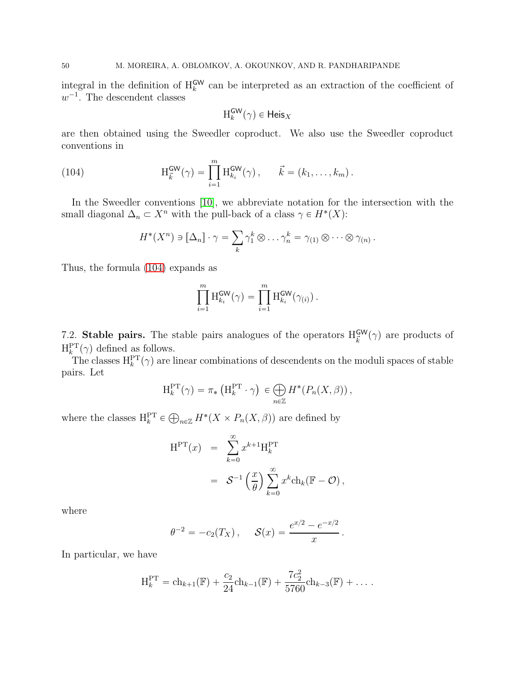integral in the definition of  $H_k^{\text{GW}}$  can be interpreted as an extraction of the coefficient of  $w^{-1}$ . The descendent classes

$$
\mathrm{H}_k^{\mathsf{GW}}(\gamma) \in \mathsf{Heis}_X
$$

are then obtained using the Sweedler coproduct. We also use the Sweedler coproduct conventions in

(104) 
$$
H_{\vec{k}}^{\text{GW}}(\gamma) = \prod_{i=1}^{m} H_{k_i}^{\text{GW}}(\gamma), \qquad \vec{k} = (k_1, ..., k_m).
$$

In the Sweedler conventions [\[10\]](#page-62-10), we abbreviate notation for the intersection with the small diagonal  $\Delta_n \subset X^n$  with the pull-back of a class  $\gamma \in H^*(X)$ :

<span id="page-49-0"></span>
$$
H^*(X^n) \ni [\Delta_n] \cdot \gamma = \sum_k \gamma_1^k \otimes \ldots \gamma_n^k = \gamma_{(1)} \otimes \cdots \otimes \gamma_{(n)}.
$$

Thus, the formula [\(104\)](#page-49-0) expands as

$$
\prod_{i=1}^m \mathrm{H}_{k_i}^{\mathsf{GW}}(\gamma) = \prod_{i=1}^m \mathrm{H}_{k_i}^{\mathsf{GW}}(\gamma_{(i)}).
$$

7.2. Stable pairs. The stable pairs analogues of the operators  $H^{\text{GW}}_{\vec{k}}(\gamma)$  are products of  $H_k^{\text{PT}}(\gamma)$  defined as follows.

The classes  $H_k^{\text{PT}}(\gamma)$  are linear combinations of descendents on the moduli spaces of stable pairs. Let

$$
\mathrm{H}_k^{\mathrm{PT}}(\gamma) = \pi_* \left( \mathrm{H}_k^{\mathrm{PT}} \cdot \gamma \right) \in \bigoplus_{n \in \mathbb{Z}} H^*(P_n(X, \beta)),
$$

where the classes  $H_k^{\text{PT}} \in \bigoplus_{n \in \mathbb{Z}} H^*(X \times P_n(X, \beta))$  are defined by

$$
H^{PT}(x) = \sum_{k=0}^{\infty} x^{k+1} H_k^{PT}
$$
  
=  $\mathcal{S}^{-1} \left(\frac{x}{\theta}\right) \sum_{k=0}^{\infty} x^k ch_k(\mathbb{F} - \mathcal{O}),$ 

where

$$
\theta^{-2} = -c_2(T_X), \quad \mathcal{S}(x) = \frac{e^{x/2} - e^{-x/2}}{x}.
$$

In particular, we have

$$
H_k^{\rm PT} = ch_{k+1}(\mathbb{F}) + \frac{c_2}{24}ch_{k-1}(\mathbb{F}) + \frac{7c_2^2}{5760}ch_{k-3}(\mathbb{F}) + \dots
$$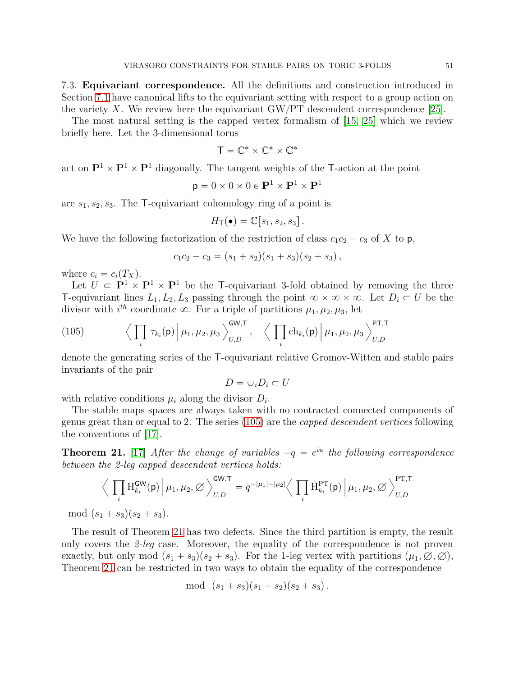7.3. Equivariant correspondence. All the definitions and construction introduced in Section [7.1](#page-48-4) have canonical lifts to the equivariant setting with respect to a group action on the variety X. We review here the equivariant  $\text{GW/PT}$  descendent correspondence [\[25\]](#page-63-8).

The most natural setting is the capped vertex formalism of [\[15,](#page-63-19) [25\]](#page-63-8) which we review briefly here. Let the 3-dimensional torus

$$
T=\mathbb{C}^*\times\mathbb{C}^*\times\mathbb{C}^*
$$

act on  $\mathbf{P}^1 \times \mathbf{P}^1 \times \mathbf{P}^1$  diagonally. The tangent weights of the T-action at the point

$$
\mathbf{p} = 0 \times 0 \times 0 \in \mathbf{P}^1 \times \mathbf{P}^1 \times \mathbf{P}^1
$$

are  $s_1, s_2, s_3$ . The T-equivariant cohomology ring of a point is

$$
H_{\mathsf{T}}(\bullet) = \mathbb{C}[s_1, s_2, s_3].
$$

We have the following factorization of the restriction of class  $c_1c_2 - c_3$  of X to p,

$$
c_1c_2-c_3=(s_1+s_2)(s_1+s_3)(s_2+s_3),
$$

where  $c_i = c_i(T_X)$ .

Let  $\hat{U} \subset \mathbf{P}^1 \times \mathbf{P}^1 \times \mathbf{P}^1$  be the T-equivariant 3-fold obtained by removing the three T-equivariant lines  $L_1, L_2, L_3$  passing through the point  $\infty \times \infty \times \infty$ . Let  $D_i \subset U$  be the divisor with  $i^{th}$  coordinate  $\infty$ . For a triple of partitions  $\mu_1, \mu_2, \mu_3$ , let

<span id="page-50-0"></span>(105) 
$$
\left\langle \prod_i \tau_{k_i}(\mathsf{p}) \middle| \mu_1, \mu_2, \mu_3 \right\rangle_{U,D}^{\mathsf{GW},\mathsf{T}}, \quad \left\langle \prod_i \mathrm{ch}_{k_i}(\mathsf{p}) \middle| \mu_1, \mu_2, \mu_3 \right\rangle_{U,D}^{\mathsf{PT},\mathsf{T}}
$$

denote the generating series of the T-equivariant relative Gromov-Witten and stable pairs invariants of the pair

$$
D=\cup_i D_i\subset U
$$

with relative conditions  $\mu_i$  along the divisor  $D_i$ .

The stable maps spaces are always taken with no contracted connected components of genus great than or equal to 2. The series [\(105\)](#page-50-0) are the capped descendent vertices following the conventions of [\[17\]](#page-63-0).

<span id="page-50-1"></span>**Theorem 21.** [\[17\]](#page-63-0) After the change of variables  $-q = e^{iu}$  the following correspondence between the 2-leg capped descendent vertices holds:

$$
\Big\langle \prod_i \mathcal{H}_{k_i}^{\mathsf{GW}}(\mathsf{p}) \Big| \mu_1, \mu_2, \varnothing \Big\rangle_{U,D}^{\mathsf{GW}, \mathsf{T}} = q^{-|\mu_1| - |\mu_2|} \Big\langle \prod_i \mathcal{H}_{k_i}^{\mathsf{PT}}(\mathsf{p}) \Big| \mu_1, \mu_2, \varnothing \Big\rangle_{U,D}^{\mathsf{PT}, \mathsf{T}}
$$
  
mod  $(s_1 + s_3)(s_2 + s_3)$ .

The result of Theorem [21](#page-50-1) has two defects. Since the third partition is empty, the result only covers the 2-leg case. Moreover, the equality of the correspondence is not proven exactly, but only mod  $(s_1 + s_3)(s_2 + s_3)$ . For the 1-leg vertex with partitions  $(\mu_1, \emptyset, \emptyset)$ ,

Theorem [21](#page-50-1) can be restricted in two ways to obtain the equality of the correspondence

$$
\mod (s_1 + s_3)(s_1 + s_2)(s_2 + s_3).
$$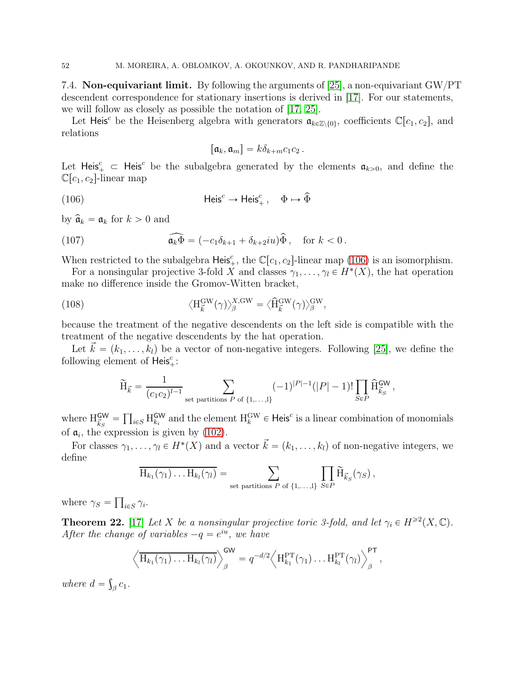7.4. **Non-equivariant limit.** By following the arguments of  $[25]$ , a non-equivariant GW/PT descendent correspondence for stationary insertions is derived in [\[17\]](#page-63-0). For our statements, we will follow as closely as possible the notation of [\[17,](#page-63-0) [25\]](#page-63-8).

Let Heis<sup>c</sup> be the Heisenberg algebra with generators  $\mathfrak{a}_{k\in\mathbb{Z}\setminus\{0\}}$ , coefficients  $\mathbb{C}[c_1, c_2]$ , and relations

<span id="page-51-2"></span><span id="page-51-0"></span>
$$
[\mathfrak{a}_k,\mathfrak{a}_m]=k\delta_{k+m}c_1c_2.
$$

Let Heis<sup>c</sup>  $\subset$  Heis<sup>c</sup> be the subalgebra generated by the elements  $a_{k>0}$ , and define the  $\mathbb{C}[c_1, c_2]$ -linear map

(106) 
$$
\mathsf{Heis}^c \to \mathsf{Heis}^c_+, \quad \Phi \mapsto \widehat{\Phi}
$$

by  $\hat{\mathfrak{a}}_k = \mathfrak{a}_k$  for  $k > 0$  and

(107) 
$$
\widehat{\mathfrak{a}_k \Phi} = (-c_1 \delta_{k+1} + \delta_{k+2} i u) \widehat{\Phi}, \quad \text{for } k < 0.
$$

When restricted to the subalgebra Heis<sup>c</sup><sub>+</sub>, the  $\mathbb{C}[c_1, c_2]$ -linear map [\(106\)](#page-51-0) is an isomorphism.

For a nonsingular projective 3-fold X and classes  $\gamma_1, \ldots, \gamma_l \in H^*(X)$ , the hat operation make no difference inside the Gromov-Witten bracket,

(108) 
$$
\langle H_{\vec{k}}^{\text{GW}}(\gamma) \rangle_{\beta}^{X,\text{GW}} = \langle \hat{H}_{\vec{k}}^{\text{GW}}(\gamma) \rangle_{\beta}^{\text{GW}},
$$

because the treatment of the negative descendents on the left side is compatible with the treatment of the negative descendents by the hat operation.

Let  $\vec{k} = (k_1, \ldots, k_l)$  be a vector of non-negative integers. Following [\[25\]](#page-63-8), we define the following element of  $\mathsf{Heis}^c_+$ :

$$
\widetilde{H}_{\vec{k}} = \frac{1}{(c_1 c_2)^{l-1}} \sum_{\text{set partitions } P \text{ of } \{1, \dots, l\}} (-1)^{|P|-1} (|P|-1)! \prod_{S \in P} \widehat{H}_{\vec{k}_S}^{\text{GW}},
$$

where  $H_{\vec{k}_S}^{\mathsf{GW}} = \prod_{i \in S} H_{k_i}^{\mathsf{GW}}$  and the element  $H_k^{\mathsf{GW}} \in \mathsf{Heis}^c$  is a linear combination of monomials of  $a_i$ , the expression is given by [\(102\)](#page-48-3).

For classes  $\gamma_1, \ldots, \gamma_l \in H^*(X)$  and a vector  $\vec{k} = (k_1, \ldots, k_l)$  of non-negative integers, we define

$$
\overline{H_{k_1}(\gamma_1)\ldots H_{k_l}(\gamma_l)} = \sum_{\text{set partitions } P \text{ of } \{1,\ldots,l\}} \prod_{S \in P} \widetilde{H}_{\vec{k}_S}(\gamma_S),
$$

where  $\gamma_S = \prod_{i \in S} \gamma_i$ .

<span id="page-51-1"></span>**Theorem 22.** [\[17\]](#page-63-0) Let X be a nonsingular projective toric 3-fold, and let  $\gamma_i \in H^{\geq 2}(X, \mathbb{C})$ . After the change of variables  $-q = e^{iu}$ , we have

$$
\left\langle \overline{\mathrm{H}_{k_1}(\gamma_1) \ldots \mathrm{H}_{k_l}(\gamma_l)} \right\rangle_{\beta}^{\mathsf{GW}} = q^{-d/2} \left\langle \mathrm{H}_{k_1}^{\mathsf{PT}}(\gamma_1) \ldots \mathrm{H}_{k_l}^{\mathsf{PT}}(\gamma_l) \right\rangle_{\beta}^{\mathsf{PT}},
$$

where  $d = \int_{\beta} c_1$ .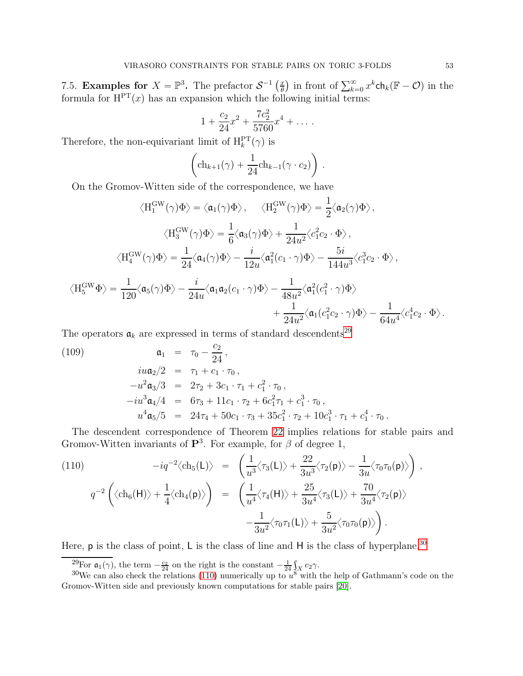7.5. **Examples for**  $X = \mathbb{P}^3$ . The prefactor  $\mathcal{S}^{-1} \left( \frac{x}{\theta} \right)$  $\frac{x}{\theta}$ ) in front of  $\sum_{k=0}^{\infty} x^k \mathsf{ch}_k(\mathbb{F} - \mathcal{O})$  in the formula for  $H<sup>PT</sup>(x)$  has an expansion which the following initial terms:

$$
1 + \frac{c_2}{24}x^2 + \frac{7c_2^2}{5760}x^4 + \dots
$$

Therefore, the non-equivariant limit of  $H_k^{\text{PT}}(\gamma)$  is

$$
\left(\mathrm{ch}_{k+1}(\gamma) + \frac{1}{24}\mathrm{ch}_{k-1}(\gamma \cdot c_2)\right).
$$

On the Gromov-Witten side of the correspondence, we have

$$
\langle H_1^{\text{GW}}(\gamma)\Phi\rangle = \langle \mathfrak{a}_1(\gamma)\Phi \rangle, \quad \langle H_2^{\text{GW}}(\gamma)\Phi \rangle = \frac{1}{2} \langle \mathfrak{a}_2(\gamma)\Phi \rangle,
$$
  

$$
\langle H_3^{\text{GW}}(\gamma)\Phi \rangle = \frac{1}{6} \langle \mathfrak{a}_3(\gamma)\Phi \rangle + \frac{1}{24u^2} \langle c_1^2 c_2 \cdot \Phi \rangle,
$$
  

$$
\langle H_4^{\text{GW}}(\gamma)\Phi \rangle = \frac{1}{24} \langle \mathfrak{a}_4(\gamma)\Phi \rangle - \frac{i}{12u} \langle \mathfrak{a}_1^2(c_1 \cdot \gamma)\Phi \rangle - \frac{5i}{144u^3} \langle c_1^3 c_2 \cdot \Phi \rangle,
$$
  

$$
\langle H_5^{\text{GW}}\Phi \rangle = \frac{1}{120} \langle \mathfrak{a}_5(\gamma)\Phi \rangle - \frac{i}{24u} \langle \mathfrak{a}_1 \mathfrak{a}_2(c_1 \cdot \gamma)\Phi \rangle - \frac{1}{48u^2} \langle \mathfrak{a}_1^2(c_1^2 \cdot \gamma)\Phi \rangle - \frac{1}{64u^4} \langle c_1^4 c_2 \cdot \Phi \rangle.
$$

The operators  $a_k$  are expressed in terms of standard descendents<sup>[29](#page-52-0)</sup>

(109) 
$$
\mathfrak{a}_1 = \tau_0 - \frac{c_2}{24},
$$

$$
i u \mathfrak{a}_2 / 2 = \tau_1 + c_1 \cdot \tau_0,
$$

$$
-u^2 \mathfrak{a}_3 / 3 = 2 \tau_2 + 3 c_1 \cdot \tau_1 + c_1^2 \cdot \tau_0,
$$

$$
-i u^3 \mathfrak{a}_4 / 4 = 6 \tau_3 + 11 c_1 \cdot \tau_2 + 6 c_1^2 \tau_1 + c_1^3 \cdot \tau_0,
$$

$$
u^4 \mathfrak{a}_5 / 5 = 24 \tau_4 + 50 c_1 \cdot \tau_3 + 35 c_1^2 \cdot \tau_2 + 10 c_1^3 \cdot \tau_1 + c_1^4 \cdot \tau_0.
$$

The descendent correspondence of Theorem [22](#page-51-1) implies relations for stable pairs and Gromov-Witten invariants of  $\mathbf{P}^3$ . For example, for  $\beta$  of degree 1,

<span id="page-52-2"></span>(110) 
$$
-iq^{-2}\langle ch_5(\mathsf{L})\rangle = \left(\frac{1}{u^3}\langle \tau_3(\mathsf{L})\rangle + \frac{22}{3u^3}\langle \tau_2(\mathsf{p})\rangle - \frac{1}{3u}\langle \tau_0\tau_0(\mathsf{p})\rangle\right),
$$

$$
q^{-2}\left(\langle ch_6(\mathsf{H})\rangle + \frac{1}{4}\langle ch_4(\mathsf{p})\rangle\right) = \left(\frac{1}{u^4}\langle \tau_4(\mathsf{H})\rangle + \frac{25}{3u^4}\langle \tau_3(\mathsf{L})\rangle + \frac{70}{3u^4}\langle \tau_2(\mathsf{p})\rangle - \frac{1}{3u^2}\langle \tau_0\tau_1(\mathsf{L})\rangle + \frac{5}{3u^2}\langle \tau_0\tau_0(\mathsf{p})\rangle\right).
$$

Here,  $\sf p$  is the class of point,  $\sf L$  is the class of line and  $\sf H$  is the class of hyperplane.  $^{30}$  $^{30}$  $^{30}$ 

<span id="page-52-0"></span><sup>29</sup>For  $\mathfrak{a}_1(\gamma)$ , the term  $-\frac{c_2}{24}$  on the right is the constant  $-\frac{1}{24}\int_X c_2\gamma$ .

<span id="page-52-1"></span><sup>&</sup>lt;sup>30</sup>We can also check the relations [\(110\)](#page-52-2) numerically up to  $u^8$  with the help of Gathmann's code on the Gromov-Witten side and previously known computations for stable pairs [\[20\]](#page-63-2).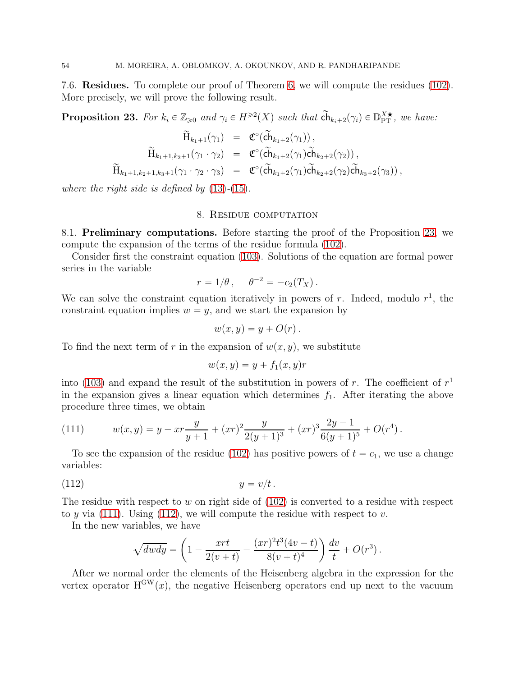7.6. Residues. To complete our proof of Theorem [6,](#page-8-3) we will compute the residues [\(102\)](#page-48-3). More precisely, we will prove the following result.

<span id="page-53-1"></span>**Proposition 23.** For  $k_i \in \mathbb{Z}_{\geqslant 0}$  and  $\gamma_i \in H^{\geqslant 2}(X)$  such that  $\widetilde{ch}_{k_i+2}(\gamma_i) \in \mathbb{D}_{\text{PT}}^{X \star}$ , we have:

$$
\widetilde{H}_{k_1+1}(\gamma_1) = \mathfrak{C}^\circ(\widetilde{ch}_{k_1+2}(\gamma_1)),
$$
\n
$$
\widetilde{H}_{k_1+1,k_2+1}(\gamma_1 \cdot \gamma_2) = \mathfrak{C}^\circ(\widetilde{ch}_{k_1+2}(\gamma_1)\widetilde{ch}_{k_2+2}(\gamma_2)),
$$
\n
$$
\widetilde{H}_{k_1+1,k_2+1,k_3+1}(\gamma_1 \cdot \gamma_2 \cdot \gamma_3) = \mathfrak{C}^\circ(\widetilde{ch}_{k_1+2}(\gamma_1)\widetilde{ch}_{k_2+2}(\gamma_2)\widetilde{ch}_{k_3+2}(\gamma_3)),
$$

<span id="page-53-0"></span>where the right side is defined by  $(13)-(15)$  $(13)-(15)$  $(13)-(15)$ .

#### 8. Residue computation

<span id="page-53-4"></span>8.1. Preliminary computations. Before starting the proof of the Proposition [23,](#page-53-1) we compute the expansion of the terms of the residue formula [\(102\)](#page-48-3).

Consider first the constraint equation [\(103\)](#page-48-2). Solutions of the equation are formal power series in the variable

$$
r = 1/\theta \,, \quad \theta^{-2} = -c_2(T_X) \,.
$$

We can solve the constraint equation iteratively in powers of r. Indeed, modulo  $r<sup>1</sup>$ , the constraint equation implies  $w = y$ , and we start the expansion by

$$
w(x,y) = y + O(r).
$$

To find the next term of r in the expansion of  $w(x, y)$ , we substitute

<span id="page-53-3"></span>
$$
w(x, y) = y + f_1(x, y)r
$$

into [\(103\)](#page-48-2) and expand the result of the substitution in powers of r. The coefficient of  $r<sup>1</sup>$ in the expansion gives a linear equation which determines  $f_1$ . After iterating the above procedure three times, we obtain

<span id="page-53-2"></span>(111) 
$$
w(x,y) = y - xr \frac{y}{y+1} + (xr)^2 \frac{y}{2(y+1)^3} + (xr)^3 \frac{2y-1}{6(y+1)^5} + O(r^4).
$$

To see the expansion of the residue [\(102\)](#page-48-3) has positive powers of  $t = c_1$ , we use a change variables:

$$
(112) \t\t y = v/t.
$$

The residue with respect to w on right side of  $(102)$  is converted to a residue with respect to y via [\(111\)](#page-53-2). Using [\(112\)](#page-53-3), we will compute the residue with respect to v.

In the new variables, we have

$$
\sqrt{dwdy} = \left(1 - \frac{xrt}{2(v+t)} - \frac{(xr)^2t^3(4v-t)}{8(v+t)^4}\right)\frac{dv}{t} + O(r^3).
$$

After we normal order the elements of the Heisenberg algebra in the expression for the vertex operator  $H^{GW}(x)$ , the negative Heisenberg operators end up next to the vacuum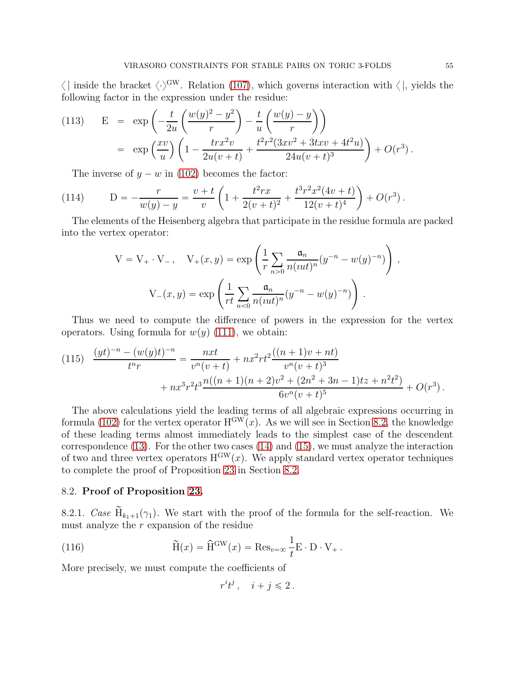$\langle \cdot \rangle^{\text{GW}}$ . Relation [\(107\)](#page-51-2), which governs interaction with  $\langle \cdot \rangle$ , yields the following factor in the expression under the residue:

<span id="page-54-1"></span>(113) 
$$
E = \exp\left(-\frac{t}{2u}\left(\frac{w(y)^2 - y^2}{r}\right) - \frac{t}{u}\left(\frac{w(y) - y}{r}\right)\right)
$$

$$
= \exp\left(\frac{xv}{u}\right)\left(1 - \frac{trx^2v}{2u(v+t)} + \frac{t^2r^2(3xv^2 + 3txv + 4t^2u)}{24u(v+t)^3}\right) + O(r^3).
$$

<span id="page-54-2"></span>The inverse of  $y - w$  in [\(102\)](#page-48-3) becomes the factor:

(114) 
$$
D = -\frac{r}{w(y) - y} = \frac{v + t}{v} \left( 1 + \frac{t^2 rx}{2(v + t)^2} + \frac{t^3 r^2 x^2 (4v + t)}{12(v + t)^4} \right) + O(r^3).
$$

The elements of the Heisenberg algebra that participate in the residue formula are packed into the vertex operator:

$$
V = V_{+} \cdot V_{-} , \quad V_{+}(x, y) = \exp \left( \frac{1}{r} \sum_{n>0} \frac{\mathfrak{a}_{n}}{n(u\omega t)^{n}} (y^{-n} - w(y)^{-n}) \right),
$$

$$
V_{-}(x, y) = \exp \left( \frac{1}{r} \sum_{n<0} \frac{\mathfrak{a}_{n}}{n(u\omega t)^{n}} (y^{-n} - w(y)^{-n}) \right).
$$

Thus we need to compute the difference of powers in the expression for the vertex operators. Using formula for  $w(y)$  [\(111\)](#page-53-2), we obtain:

<span id="page-54-3"></span>(115) 
$$
\frac{(yt)^{-n} - (w(y)t)^{-n}}{t^n r} = \frac{nxt}{v^n(v+t)} + nx^2rt^2\frac{((n+1)v + nt)}{v^n(v+t)^3} + nx^3r^2t^3\frac{n((n+1)(n+2)v^2 + (2n^2+3n-1)tz + n^2t^2)}{6v^n(v+t)^5} + O(r^3).
$$

The above calculations yield the leading terms of all algebraic expressions occurring in formula [\(102\)](#page-48-3) for the vertex operator  $H^{GW}(x)$ . As we will see in Section [8.2,](#page-54-0) the knowledge of these leading terms almost immediately leads to the simplest case of the descendent correspondence [\(13\)](#page-8-0). For the other two cases [\(14\)](#page-8-4) and [\(15\)](#page-8-1), we must analyze the interaction of two and three vertex operators  $H^{\text{GW}}(x)$ . We apply standard vertex operator techniques to complete the proof of Proposition [23](#page-53-1) in Section [8.2.](#page-54-0)

## <span id="page-54-5"></span><span id="page-54-0"></span>8.2. Proof of Proposition [23.](#page-53-1)

8.2.1. Case  $\widetilde{H}_{k_1+1}(\gamma_1)$ . We start with the proof of the formula for the self-reaction. We must analyze the  $r$  expansion of the residue

(116) 
$$
\widetilde{H}(x) = \widehat{H}^{GW}(x) = \text{Res}_{v=\infty} \frac{1}{t} E \cdot D \cdot V_{+}.
$$

More precisely, we must compute the coefficients of

<span id="page-54-4"></span> $r^i t^j$ ,  $i + j \leqslant 2$ .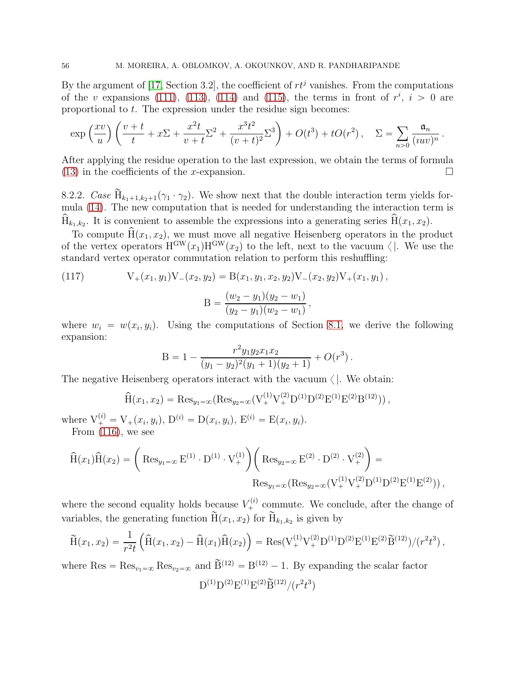By the argument of [\[17,](#page-63-0) Section 3.2], the coefficient of  $rt<sup>j</sup>$  vanishes. From the computations of the v expansions [\(111\)](#page-53-2), [\(113\)](#page-54-1), [\(114\)](#page-54-2) and [\(115\)](#page-54-3), the terms in front of  $r^i$ ,  $i > 0$  are proportional to t. The expression under the residue sign becomes:

$$
\exp\left(\frac{xv}{u}\right)\left(\frac{v+t}{t} + x\Sigma + \frac{x^2t}{v+t}\Sigma^2 + \frac{x^3t^2}{(v+t)^2}\Sigma^3\right) + O(t^3) + tO(r^2), \quad \Sigma = \sum_{n>0} \frac{\mathfrak{a}_n}{(uw)^n}.
$$

After applying the residue operation to the last expression, we obtain the terms of formula  $(13)$  in the coefficients of the x-expansion.

<span id="page-55-0"></span>8.2.2. Case  $\widetilde{H}_{k_1+1,k_2+1}(\gamma_1 \cdot \gamma_2)$ . We show next that the double interaction term yields formula [\(14\)](#page-8-4). The new computation that is needed for understanding the interaction term is  $H_{k_1,k_2}$ . It is convenient to assemble the expressions into a generating series  $H(x_1, x_2)$ .

To compute  $\hat{H}(x_1, x_2)$ , we must move all negative Heisenberg operators in the product of the vertex operators  $H^{GW}(x_1)H^{GW}(x_2)$  to the left, next to the vacuum  $\langle \cdot |$ . We use the standard vertex operator commutation relation to perform this reshuffling:

(117) 
$$
V_{+}(x_1, y_1)V_{-}(x_2, y_2) = B(x_1, y_1, x_2, y_2)V_{-}(x_2, y_2)V_{+}(x_1, y_1),
$$

$$
B = \frac{(w_2 - y_1)(y_2 - w_1)}{w_2 - w_1}
$$

$$
B = \frac{(w_2 - y_1)(y_2 - w_1)}{(y_2 - y_1)(w_2 - w_1)},
$$

where  $w_i = w(x_i, y_i)$ . Using the computations of Section [8.1,](#page-53-4) we derive the following expansion:

B = 
$$
1 - \frac{r^2 y_1 y_2 x_1 x_2}{(y_1 - y_2)^2 (y_1 + 1)(y_2 + 1)} + O(r^3)
$$
.

The negative Heisenberg operators interact with the vacuum  $\langle \cdot \rangle$ . We obtain:

$$
\widehat{H}(x_1, x_2) = \text{Res}_{y_1 = \infty}(\text{Res}_{y_2 = \infty}(V_+^{(1)}V_+^{(2)}D^{(1)}D^{(2)}E^{(1)}E^{(2)}B^{(12)})),
$$

where  $V_{+}^{(i)} = V_{+}(x_i, y_i), D^{(i)} = D(x_i, y_i), E^{(i)} = E(x_i, y_i).$ From [\(116\)](#page-54-4), we see

$$
\widehat{H}(x_1)\widehat{H}(x_2) = \left( Res_{y_1=\infty} E^{(1)} \cdot D^{(1)} \cdot V_+^{(1)} \right) \left( Res_{y_2=\infty} E^{(2)} \cdot D^{(2)} \cdot V_+^{(2)} \right) =
$$
  

$$
Res_{y_1=\infty} (Res_{y_2=\infty} (V_+^{(1)} V_+^{(2)} D^{(1)} D^{(2)} E^{(1)} E^{(2)})) ,
$$

where the second equality holds because  $V_+^{(i)}$  commute. We conclude, after the change of variables, the generating function  $H(x_1, x_2)$  for  $H_{k_1, k_2}$  is given by

$$
\widetilde{H}(x_1, x_2) = \frac{1}{r^2 t} \left( \widehat{H}(x_1, x_2) - \widehat{H}(x_1) \widehat{H}(x_2) \right) = \text{Res}(V^{(1)}_+ V^{(2)}_+ D^{(1)} D^{(2)} E^{(1)} E^{(2)} \widetilde{B}^{(12)}) / (r^2 t^3),
$$

where  $\text{Res} = \text{Res}_{v_1 = \infty} \text{Res}_{v_2 = \infty}$  and  $\widetilde{B}^{(12)} = B^{(12)} - 1$ . By expanding the scalar factor  ${\rm D}^{(1)}{\rm D}^{(2)}{\rm E}^{(1)}{\rm E}^{(2)}\widetilde{{\rm B}}^{(12)}/(r^2t^3)$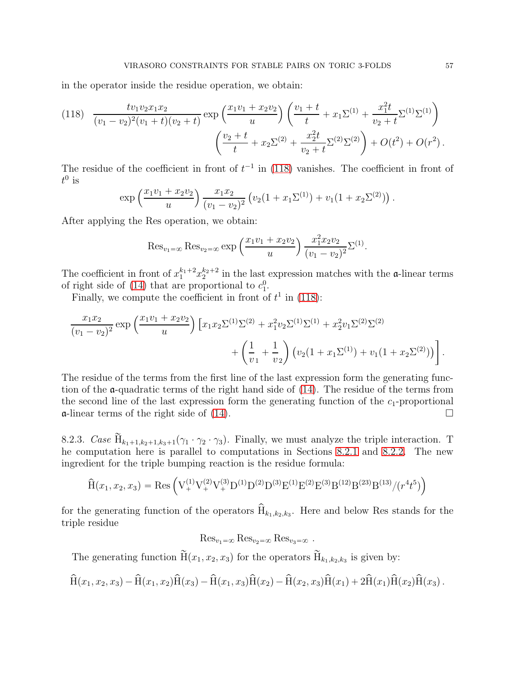in the operator inside the residue operation, we obtain:

<span id="page-56-0"></span>(118) 
$$
\frac{tv_1v_2x_1x_2}{(v_1-v_2)^2(v_1+t)(v_2+t)} \exp\left(\frac{x_1v_1+x_2v_2}{u}\right) \left(\frac{v_1+t}{t}+x_1\Sigma^{(1)}+\frac{x_1^2t}{v_2+t}\Sigma^{(1)}\Sigma^{(1)}\right)
$$

$$
\left(\frac{v_2+t}{t}+x_2\Sigma^{(2)}+\frac{x_2^2t}{v_2+t}\Sigma^{(2)}\Sigma^{(2)}\right) + O(t^2) + O(r^2).
$$

The residue of the coefficient in front of  $t^{-1}$  in [\(118\)](#page-56-0) vanishes. The coefficient in front of  $t^0$  is

$$
\exp\left(\frac{x_1v_1+x_2v_2}{u}\right)\frac{x_1x_2}{(v_1-v_2)^2}\left(v_2(1+x_1\Sigma^{(1)})+v_1(1+x_2\Sigma^{(2)})\right).
$$

After applying the Res operation, we obtain:

Res<sub>v<sub>1</sub>=\infty</sub> Res<sub>v<sub>2</sub>=\infty</sub> exp 
$$
\left(\frac{x_1v_1 + x_2v_2}{u}\right) \frac{x_1^2x_2v_2}{(v_1 - v_2)^2} \Sigma^{(1)}
$$
.

The coefficient in front of  $x_1^{k_1+2}x_2^{k_2+2}$  in the last expression matches with the  $\alpha$ -linear terms of right side of [\(14\)](#page-8-4) that are proportional to  $c_1^0$ .

Finally, we compute the coefficient in front of  $t^1$  in [\(118\)](#page-56-0):

$$
\frac{x_1 x_2}{(v_1 - v_2)^2} \exp\left(\frac{x_1 v_1 + x_2 v_2}{u}\right) \left[x_1 x_2 \Sigma^{(1)} \Sigma^{(2)} + x_1^2 v_2 \Sigma^{(1)} \Sigma^{(1)} + x_2^2 v_1 \Sigma^{(2)} \Sigma^{(2)} + \left(\frac{1}{v_1} + \frac{1}{v_2}\right) \left(v_2 (1 + x_1 \Sigma^{(1)}) + v_1 (1 + x_2 \Sigma^{(2)})\right)\right].
$$

The residue of the terms from the first line of the last expression form the generating function of the a-quadratic terms of the right hand side of [\(14\)](#page-8-4). The residue of the terms from the second line of the last expression form the generating function of the  $c_1$ -proportional  $\alpha$ -linear terms of the right side of [\(14\)](#page-8-4).

8.2.3. Case  $\widetilde{H}_{k_1+1,k_2+1,k_3+1}(\gamma_1 \cdot \gamma_2 \cdot \gamma_3)$ . Finally, we must analyze the triple interaction. T he computation here is parallel to computations in Sections [8.2.1](#page-54-5) and [8.2.2.](#page-55-0) The new ingredient for the triple bumping reaction is the residue formula:

$$
\widehat{H}(x_1, x_2, x_3) = \text{Res}\left(V_+^{(1)}V_+^{(2)}V_+^{(3)}D^{(1)}D^{(2)}D^{(3)}E^{(1)}E^{(2)}E^{(3)}B^{(12)}B^{(23)}B^{(13)}/(r^4t^5)\right)
$$

for the generating function of the operators  $H_{k_1,k_2,k_3}$ . Here and below Res stands for the triple residue

 $\text{Res}_{v_1=\infty} \text{Res}_{v_2=\infty} \text{Res}_{v_3=\infty}$ .

The generating function  $H(x_1, x_2, x_3)$  for the operators  $H_{k_1, k_2, k_3}$  is given by:

$$
\widehat{H}(x_1, x_2, x_3) - \widehat{H}(x_1, x_2)\widehat{H}(x_3) - \widehat{H}(x_1, x_3)\widehat{H}(x_2) - \widehat{H}(x_2, x_3)\widehat{H}(x_1) + 2\widehat{H}(x_1)\widehat{H}(x_2)\widehat{H}(x_3).
$$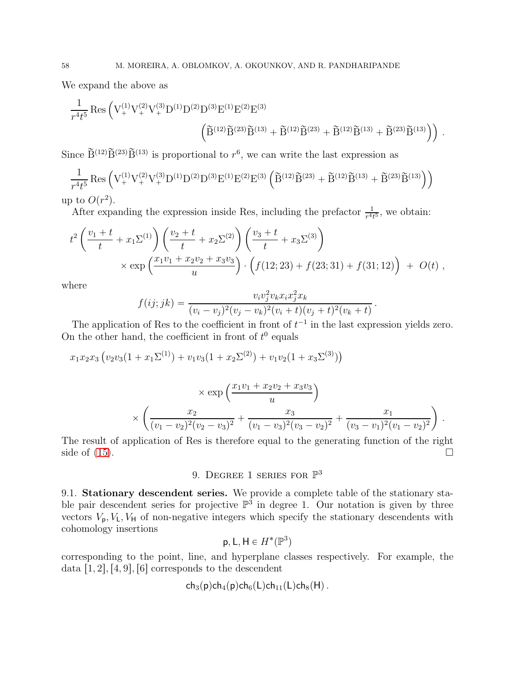We expand the above as

$$
\frac{1}{r^4t^5} \operatorname{Res} \left( V_+^{(1)} V_+^{(2)} V_+^{(3)} D^{(1)} D^{(2)} D^{(3)} E^{(1)} E^{(2)} E^{(3)} \right. \\ \left. \left( \widetilde{B}^{(12)} \widetilde{B}^{(23)} + \widetilde{B}^{(12)} \widetilde{B}^{(23)} + \widetilde{B}^{(12)} \widetilde{B}^{(13)} + \widetilde{B}^{(23)} \widetilde{B}^{(13)} \right) \right) \, .
$$

Since  $\widetilde{B}^{(12)}\widetilde{B}^{(23)}\widetilde{B}^{(13)}$  is proportional to  $r^6$ , we can write the last expression as

$$
\frac{1}{r^4t^5} \operatorname{Res} \left( V^{(1)}_+ V^{(2)}_+ V^{(3)}_+ D^{(1)} D^{(2)} D^{(3)} E^{(1)} E^{(2)} E^{(3)} \left( \widetilde{B}^{(12)} \widetilde{B}^{(23)} + \widetilde{B}^{(12)} \widetilde{B}^{(13)} + \widetilde{B}^{(23)} \widetilde{B}^{(13)} \right) \right)
$$

up to  $O(r^2)$ .

After expanding the expression inside Res, including the prefactor  $\frac{1}{r^4t^5}$ , we obtain:

$$
t^{2}\left(\frac{v_{1}+t}{t}+x_{1}\Sigma^{(1)}\right)\left(\frac{v_{2}+t}{t}+x_{2}\Sigma^{(2)}\right)\left(\frac{v_{3}+t}{t}+x_{3}\Sigma^{(3)}\right) \times \exp\left(\frac{x_{1}v_{1}+x_{2}v_{2}+x_{3}v_{3}}{u}\right) \cdot \left(f(12;23)+f(23;31)+f(31;12)\right) + O(t) ,
$$

where

$$
f(ij; jk) = \frac{v_i v_j^2 v_k x_i x_j^2 x_k}{(v_i - v_j)^2 (v_j - v_k)^2 (v_i + t)(v_j + t)^2 (v_k + t)}.
$$

The application of Res to the coefficient in front of  $t^{-1}$  in the last expression yields zero. On the other hand, the coefficient in front of  $t^0$  equals

$$
x_1x_2x_3(v_2v_3(1+x_1\Sigma^{(1)})+v_1v_3(1+x_2\Sigma^{(2)})+v_1v_2(1+x_3\Sigma^{(3)}))
$$

$$
\times \exp\left(\frac{x_1v_1 + x_2v_2 + x_3v_3}{u}\right)
$$

$$
\times \left(\frac{x_2}{(v_1 - v_2)^2(v_2 - v_3)^2} + \frac{x_3}{(v_1 - v_3)^2(v_3 - v_2)^2} + \frac{x_1}{(v_3 - v_1)^2(v_1 - v_2)^2}\right).
$$

<span id="page-57-0"></span>The result of application of Res is therefore equal to the generating function of the right side of  $(15)$ .

## 9. DEGREE 1 SERIES FOR  $\mathbb{P}^3$

9.1. Stationary descendent series. We provide a complete table of the stationary stable pair descendent series for projective  $\mathbb{P}^3$  in degree 1. Our notation is given by three vectors  $V_p$ ,  $V_l$ ,  $V_H$  of non-negative integers which specify the stationary descendents with cohomology insertions

$$
\mathsf{p},\mathsf{L},\mathsf{H}\in H^*(\mathbb{P}^3)
$$

corresponding to the point, line, and hyperplane classes respectively. For example, the data  $\lbrack 1, 2 \rbrack, \lbrack 4, 9 \rbrack, \lbrack 6 \rbrack$  corresponds to the descendent

$$
\mathsf{ch}_3(\mathsf{p})\mathsf{ch}_4(\mathsf{p})\mathsf{ch}_6(\mathsf{L})\mathsf{ch}_{11}(\mathsf{L})\mathsf{ch}_8(\mathsf{H})\,.
$$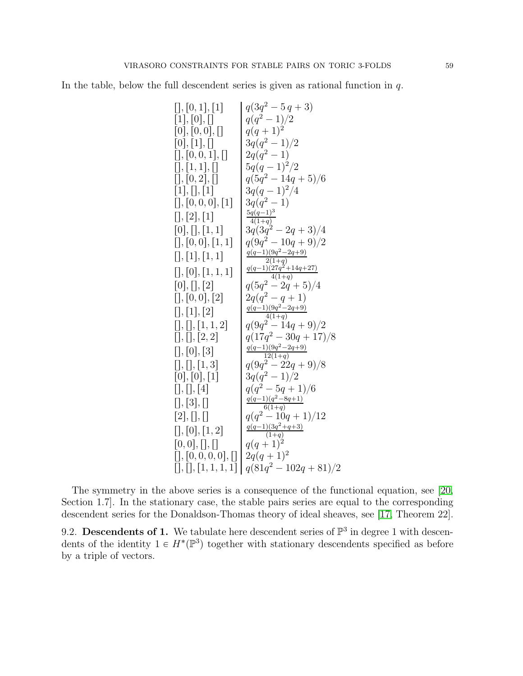In the table, below the full descendent series is given as rational function in  $q$ .

$$
[0, [0, 1], [1]
$$
\n
$$
[0, [0, 0], [1]
$$
\n
$$
[0, [0, 0], [1]
$$
\n
$$
[0, [0, 0, 1], [1]
$$
\n
$$
[0, [0, 0, 1], [1]
$$
\n
$$
[0, [0, 2], [1]
$$
\n
$$
[1, [1, 1], [1]
$$
\n
$$
[0, 0, 0], [1]
$$
\n
$$
[1, [0, 0, 0], [1]
$$
\n
$$
[0, 0, 0], [1]
$$
\n
$$
[0, 0, 0], [1, 1]
$$
\n
$$
[0, 0, 0], [1, 1]
$$
\n
$$
[0, 0, 0], [1, 1]
$$
\n
$$
[0, 0, 0], [1, 1]
$$
\n
$$
[0, 0, 0], [1, 1]
$$
\n
$$
[0, 0, 0], [1, 1]
$$
\n
$$
[0, 0, 0], [1, 1]
$$
\n
$$
[0, 0, 0], [1, 1]
$$
\n
$$
[0, 0, 0], [1, 1, 1]
$$
\n
$$
[0, 0, 0], [1, 1, 1]
$$
\n
$$
[0, 0, 0], [2]
$$
\n
$$
[0, 0, 1, 1, 1]
$$
\n
$$
[0, 0, 0], [2]
$$
\n
$$
[0, 0, 1, 2]
$$
\n
$$
[0, 0, 1, 2]
$$
\n
$$
[0, 0, 0, 1, 2]
$$
\n
$$
[0, 0, 1, 2]
$$
\n
$$
[0, 0, 1, 2]
$$
\n
$$
[0, 0, 1, 2]
$$
\n
$$
[0, 0, 1, 2]
$$
\n
$$
[0, 0, 1, 2]
$$
\n
$$
[0, 0, 1, 2]
$$
\n
$$
[0, 0, 1, 2]
$$
\n
$$
[0, 0, 1, 2]
$$
\n

The symmetry in the above series is a consequence of the functional equation, see [\[20,](#page-63-2) Section 1.7]. In the stationary case, the stable pairs series are equal to the corresponding descendent series for the Donaldson-Thomas theory of ideal sheaves, see [\[17,](#page-63-0) Theorem 22].

9.2. Descendents of 1. We tabulate here descendent series of  $\mathbb{P}^3$  in degree 1 with descendents of the identity  $1 \in H^*(\mathbb{P}^3)$  together with stationary descendents specified as before by a triple of vectors.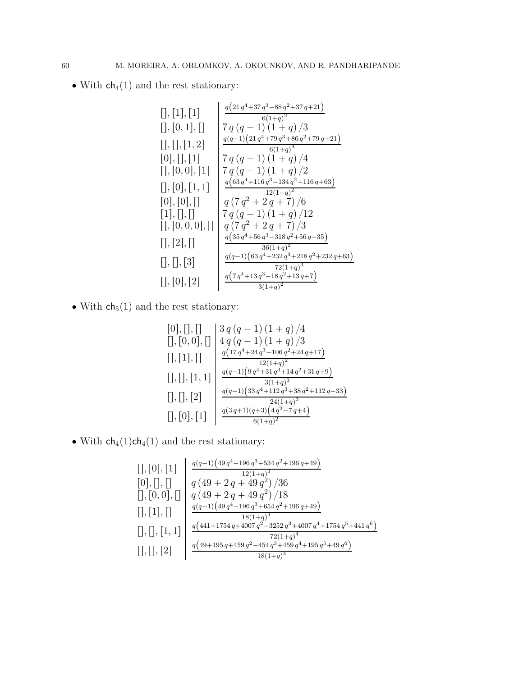• With  $\mathsf{ch}_4(1)$  and the rest stationary:

| [1, [1], [1]                                   | $q(21q^4+37q^3-88q^2+37q+21)$<br>$6(1+q)^2$      |
|------------------------------------------------|--------------------------------------------------|
| [1, [0, 1],                                    | $7q(q-1)(1+q)/3$                                 |
| ,  , 1,2                                       | $q(q-1)(21q^4+79q^3+86q^2+79q+21)$<br>$6(1+q)^3$ |
| [0], [] , [1]                                  | $7q(q-1)(1+q)/4$                                 |
| [1, [0, 0], [1]                                | $7q(q-1)(1+q)/2$                                 |
| ,  0 ,  1, 1                                   | $q(63q^4+116q^3-134q^2+116q+63)$<br>$12(1+q)^2$  |
| [0], [0], [                                    | $q(7q^2+2q+7)/6$                                 |
| [1],   ,                                       | $7q(q-1)(1+q)/12$                                |
| [1, [0, 0, 0], [1]                             | $q(7q^2+2q+7)/3$                                 |
| [1, [2], [1]                                   | $q(35q^4+56q^3-318q^2+56q+35)$<br>$36(1+q)^2$    |
| $\left[\right], \left[\right], \left[3\right]$ | $q(q-1)(63q^4+232q^3+218q^2+232q+63)$            |
| [1, [0], [2]                                   | $72(1+q)^3$<br>$q(7q^4+13q^3-18q^2+13q+7)$       |
|                                                | $3(1+q)^2$                                       |

• With  $\mathsf{ch}_5(1)$  and the rest stationary:

r0s, rs, rs 3 q pq ´ 1q p1 ` qq {4 rs, r0, 0s, rs 4 q pq ´ 1q p1 ` qq {3 rs, <sup>r</sup>1s, rs <sup>q</sup>p<sup>17</sup> <sup>q</sup> `24 q ´106 q `<sup>24</sup> <sup>q</sup>`<sup>17</sup>q p1`qq rs, rs, r1, 1s <sup>q</sup>pq´1<sup>q</sup>p<sup>9</sup> <sup>q</sup> `31 q `14 q `<sup>31</sup> <sup>q</sup>`<sup>9</sup>q p1`qq rs, rs, r2s <sup>q</sup>pq´1<sup>q</sup>p<sup>33</sup> <sup>q</sup> `112 q `38 q `<sup>112</sup> <sup>q</sup>`<sup>33</sup>q p1`qq rs, r0s, r1s <sup>q</sup>p<sup>3</sup> <sup>q</sup>`1qpq`3<sup>q</sup>p<sup>4</sup> <sup>q</sup> ´<sup>7</sup> <sup>q</sup>`<sup>4</sup>q p1`qq 

• With  $\mathsf{ch}_4(1)\mathsf{ch}_4(1)$  and the rest stationary:

$$
\begin{bmatrix}\n[., [0], [1] & \frac{q(q-1)(49 q^4 + 196 q^3 + 534 q^2 + 196 q + 49)}{12(1+q)^3} \\
[0], [], [0], \n[ \end{bmatrix}\n\begin{bmatrix}\nq(49 + 2 q + 49 q^2)/36 \\
q(49 + 2 q + 49 q^2)/18 \\
\frac{q(q-1)(49 q^4 + 196 q^3 + 654 q^2 + 196 q + 49)}{18(1+q)^3} \\
[0, [1], [1, 1]\n\end{bmatrix}\n\begin{bmatrix}\nq(441 + 1754 q + 4007 q^2 - 3252 q^3 + 4007 q^4 + 1754 q^5 + 441 q^6) \\
\frac{q(441 + 1754 q + 4007 q^2 - 3252 q^3 + 4007 q^4 + 1754 q^5 + 441 q^6)}{72(1+q)^4} \\
[0, [1, [2]\n\end{bmatrix}\n\begin{bmatrix}\nq(49 + 195 q + 459 q^2 - 454 q^3 + 459 q^4 + 195 q^5 + 49 q^6) \\
\frac{q(49 + 195 q + 459 q^2 - 454 q^3 + 459 q^4 + 195 q^5 + 49 q^6)}{18(1+q)^4}\n\end{bmatrix}
$$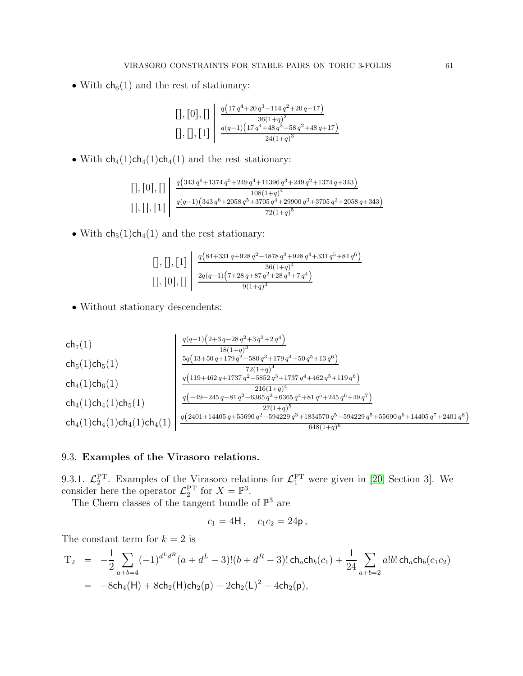• With  $ch_6(1)$  and the rest of stationary:

$$
\left[ \left[ , [0], [0], \right] \right] \left| \frac{q(17 q^4 + 20 q^3 - 114 q^2 + 20 q + 17)}{36(1+q)^2} \right|
$$
  

$$
\left[ \left[ , [], [1] \right] \right| \frac{q(q-1) (17 q^4 + 48 q^3 - 58 q^2 + 48 q + 17)}{24(1+q)^3}
$$

• With  $\mathsf{ch}_4(1)\mathsf{ch}_4(1)\mathsf{ch}_4(1)$  and the rest stationary:

$$
\left[ \left[ , \left[ 0 \right], \left[ \right] \right] \right] \left[ \frac{q \left( 343 \, q^{6} + 1374 \, q^{5} + 249 \, q^{4} + 11396 \, q^{3} + 249 \, q^{2} + 1374 \, q + 343 \right)}{108 (1 + q)^{4}} \right] \nonumber \\ \left[ \left[ , \left[ \right], \left[ \left[ 1 \right] \right] \right] \left[ \frac{q (q - 1) \left( 343 \, q^{6} + 2058 \, q^{5} + 3705 \, q^{4} + 29900 \, q^{3} + 3705 \, q^{2} + 2058 \, q + 343 \right)}{72 (1 + q)^{5}} \right]
$$

• With  $\mathsf{ch}_5(1)\mathsf{ch}_4(1)$  and the rest stationary:

$$
\left[\left],\left[1\right],\left[1\right]\right] \left\{\n \begin{array}{c}\n \frac{q(84+331q+928q^2-1878q^3+928q^4+331q^5+84q^6)}{36(1+q)^4} \\
 \frac{2q(q-1)(7+28q+87q^2+28q^3+7q^4)}{9(1+q)^3}\n \end{array}\n \right.
$$

' Without stationary descendents:

$$
\begin{array}{|c|c|} \hline \text{ch}_7(1) & \frac{q(q-1)\left(2+3\,q-28\,q^2+3\,q^3+2\,q^4\right)}{18(1+q)^3} \\ \hline \text{ch}_5(1)\text{ch}_5(1) & \frac{5q\left(13+50\,q+179\,q^2-580\,q^3+179\,q^4+50\,q^5+13\,q^6\right)}{72(1+q)^4} \\ \hline \text{ch}_4(1)\text{ch}_6(1) & \frac{q\left(119+462\,q+1737\,q^2-5852\,q^3+1737\,q^4+462\,q^5+119\,q^6\right)}{216(1+q)^4} \\ \hline \text{ch}_4(1)\text{ch}_4(1)\text{ch}_5(1) & \frac{q\left(-49-245\,q-81\,q^2-6365\,q^3+6365\,q^4+81\,q^5+245\,q^6+49\,q^7\right)}{27(1+q)^5} \\ \hline \text{ch}_4(1)\text{ch}_4(1)\text{ch}_4(1)\text{ch}_4(1) & \frac{q\left(2401+14405\,q+55690\,q^2-594229\,q^3+1834570\,q^5-594229\,q^5+55690\,q^6+14405\,q^7+2401\,q^8\right)}{648(1+q)^6} \hline \end{array}
$$

## 9.3. Examples of the Virasoro relations.

9.3.1.  $\mathcal{L}_2^{\text{PT}}$ . Examples of the Virasoro relations for  $\mathcal{L}_1^{\text{PT}}$  were given in [\[20,](#page-63-2) Section 3]. We consider here the operator  $\mathcal{L}_2^{\text{PT}}$  for  $X = \mathbb{P}^3$ .

The Chern classes of the tangent bundle of  $\mathbb{P}^3$  are

$$
c_1 = 4H, \quad c_1c_2 = 24p,
$$

The constant term for  $k = 2$  is

$$
T_2 = -\frac{1}{2} \sum_{a+b=4} (-1)^{d^L d^R} (a + d^L - 3)!(b + d^R - 3)! \operatorname{ch}_a \operatorname{ch}_b(c_1) + \frac{1}{24} \sum_{a+b=2} a!b! \operatorname{ch}_a \operatorname{ch}_b(c_1 c_2)
$$
  
= -8\operatorname{ch}\_4(H) + 8\operatorname{ch}\_2(H)\operatorname{ch}\_2(p) - 2\operatorname{ch}\_2(L)^2 - 4\operatorname{ch}\_2(p),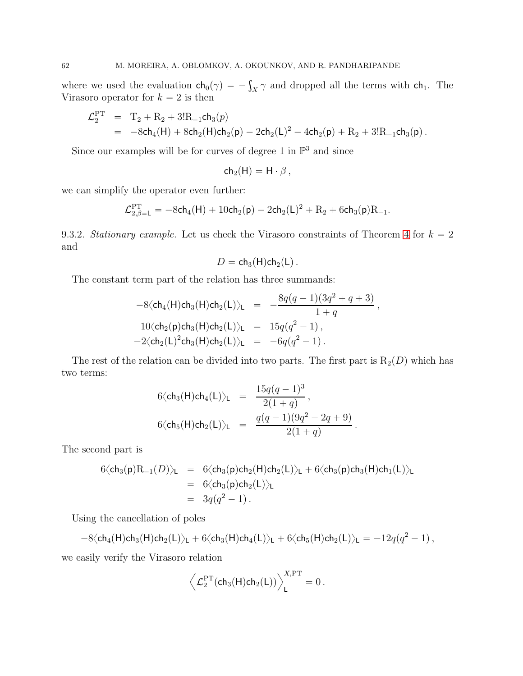where we used the evaluation  $ch_0(\gamma) = -\int_X \gamma$  and dropped all the terms with  $ch_1$ . The Virasoro operator for  $k = 2$  is then

$$
\mathcal{L}_2^{\text{PT}} = T_2 + R_2 + 3!R_{-1}ch_3(p)
$$
  
= -8ch<sub>4</sub>(H) + 8ch<sub>2</sub>(H)ch<sub>2</sub>(p) - 2ch<sub>2</sub>(L)<sup>2</sup> - 4ch<sub>2</sub>(p) + R<sub>2</sub> + 3!R<sub>-1</sub>ch<sub>3</sub>(p).

Since our examples will be for curves of degree 1 in  $\mathbb{P}^3$  and since

$$
ch_2(H) = H \cdot \beta \,,
$$

we can simplify the operator even further:

$$
\mathcal{L}_{2,\beta=L}^{\rm PT} = -8\mathsf{ch}_4(\mathsf{H}) + 10\mathsf{ch}_2(\mathsf{p}) - 2\mathsf{ch}_2(\mathsf{L})^2 + R_2 + 6\mathsf{ch}_3(\mathsf{p})R_{-1}.
$$

9.3.2. Stationary example. Let us check the Virasoro constraints of Theorem [4](#page-4-0) for  $k = 2$ and

$$
D=\mathsf{ch}_3(\mathsf{H})\mathsf{ch}_2(\mathsf{L}).
$$

The constant term part of the relation has three summands:

$$
-8\langle ch_4(H)ch_3(H)ch_2(L)\rangle_L = -\frac{8q(q-1)(3q^2+q+3)}{1+q},
$$
  
\n
$$
10\langle ch_2(p)ch_3(H)ch_2(L)\rangle_L = 15q(q^2-1),
$$
  
\n
$$
-2\langle ch_2(L)^2ch_3(H)ch_2(L)\rangle_L = -6q(q^2-1).
$$

The rest of the relation can be divided into two parts. The first part is  $R_2(D)$  which has two terms:

$$
6\langle ch_3(H)ch_4(L)\rangle_L = \frac{15q(q-1)^3}{2(1+q)},
$$
  
\n
$$
6\langle ch_5(H)ch_2(L)\rangle_L = \frac{q(q-1)(9q^2-2q+9)}{2(1+q)}.
$$

The second part is

$$
6\langle ch_3(p)R_{-1}(D)\rangle_L = 6\langle ch_3(p)ch_2(H)ch_2(L)\rangle_L + 6\langle ch_3(p)ch_3(H)ch_1(L)\rangle_L
$$
  
= 6\langle ch\_3(p)ch\_2(L)\rangle\_L  
= 3q(q^2 - 1).

Using the cancellation of poles

$$
-8\langle ch_4(H)ch_3(H)ch_2(L)\rangle_L + 6\langle ch_3(H)ch_4(L)\rangle_L + 6\langle ch_5(H)ch_2(L)\rangle_L = -12q(q^2-1),
$$

we easily verify the Virasoro relation

$$
\left\langle \mathcal{L}_2^{\mathrm{PT}}(\mathsf{ch}_3(\mathsf{H})\mathsf{ch}_2(\mathsf{L})) \right\rangle_{\mathsf{L}}^{X,\mathrm{PT}} = 0.
$$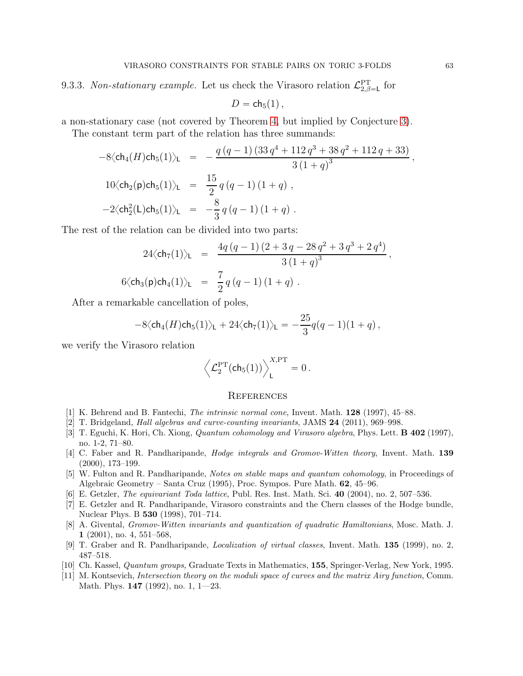## 9.3.3. Non-stationary example. Let us check the Virasoro relation  $\mathcal{L}_{2,\beta=1}^{\text{PT}}$  for

$$
D=\mathsf{ch}_5(1)\,,
$$

a non-stationary case (not covered by Theorem [4,](#page-4-0) but implied by Conjecture [3\)](#page-4-2).

The constant term part of the relation has three summands:

$$
-8\langle ch_4(H)ch_5(1)\rangle_{\mathsf{L}} = -\frac{q (q-1) (33 q^4 + 112 q^3 + 38 q^2 + 112 q + 33)}{3 (1+q)^3},
$$
  
\n
$$
10\langle ch_2(p)ch_5(1)\rangle_{\mathsf{L}} = \frac{15}{2} q (q-1) (1+q) ,
$$
  
\n
$$
-2\langle ch_2^2(\mathsf{L})ch_5(1)\rangle_{\mathsf{L}} = -\frac{8}{3} q (q-1) (1+q) .
$$

The rest of the relation can be divided into two parts:

$$
24\langle ch_7(1)\rangle_{\mathsf{L}} = \frac{4q(q-1)(2+3q-28q^2+3q^3+2q^4)}{3(1+q)^3},
$$
  
6 $\langle ch_3(\mathsf{p})ch_4(1)\rangle_{\mathsf{L}} = \frac{7}{2}q(q-1)(1+q).$ 

After a remarkable cancellation of poles,

$$
-8\langle ch_4(H)ch_5(1)\rangle_{\rm L} + 24\langle ch_7(1)\rangle_{\rm L} = -\frac{25}{3}q(q-1)(1+q) \,,
$$

we verify the Virasoro relation

$$
\left\langle \mathcal{L}^{PT}_2(\text{ch}_5(1)) \right\rangle^{X,PT}_L = 0\,.
$$

#### <span id="page-62-0"></span>**REFERENCES**

- <span id="page-62-5"></span><span id="page-62-1"></span>[1] K. Behrend and B. Fantechi, The intrinsic normal cone, Invent. Math. 128 (1997), 45–88.
- <span id="page-62-3"></span>[2] T. Bridgeland, Hall algebras and curve-counting invariants, JAMS 24 (2011), 969-998.
- [3] T. Eguchi, K. Hori, Ch. Xiong, *Quantum cohomology and Virasoro algebra*, Phys. Lett. **B 402** (1997), no. 1-2, 71–80.
- <span id="page-62-7"></span>[4] C. Faber and R. Pandharipande, *Hodge integrals and Gromov-Witten theory*, Invent. Math. 139 (2000), 173–199.
- <span id="page-62-6"></span>[5] W. Fulton and R. Pandharipande, Notes on stable maps and quantum cohomology, in Proceedings of Algebraic Geometry – Santa Cruz (1995), Proc. Sympos. Pure Math. 62, 45–96.
- <span id="page-62-4"></span>[6] E. Getzler, The equivariant Toda lattice, Publ. Res. Inst. Math. Sci. 40 (2004), no. 2, 507–536.
- [7] E. Getzler and R. Pandharipande, Virasoro constraints and the Chern classes of the Hodge bundle, Nuclear Phys. B 530 (1998), 701–714.
- <span id="page-62-2"></span>[8] A. Givental, Gromov-Witten invariants and quantization of quadratic Hamiltonians, Mosc. Math. J. 1 (2001), no. 4, 551–568,
- <span id="page-62-10"></span><span id="page-62-8"></span>[9] T. Graber and R. Pandharipande, Localization of virtual classes, Invent. Math. 135 (1999), no. 2, 487–518.
- <span id="page-62-9"></span>[10] Ch. Kassel, Quantum groups, Graduate Texts in Mathematics, 155, Springer-Verlag, New York, 1995.
- [11] M. Kontsevich, Intersection theory on the moduli space of curves and the matrix Airy function, Comm. Math. Phys. 147 (1992), no. 1, 1—23.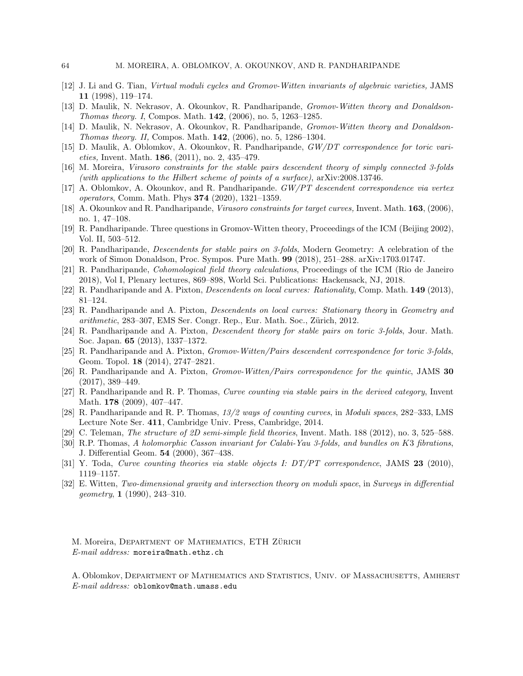- <span id="page-63-15"></span><span id="page-63-14"></span>[12] J. Li and G. Tian, Virtual moduli cycles and Gromov-Witten invariants of algebraic varieties, JAMS 11 (1998), 119–174.
- [13] D. Maulik, N. Nekrasov, A. Okounkov, R. Pandharipande, Gromov-Witten theory and Donaldson-Thomas theory. I, Compos. Math. 142, (2006), no. 5, 1263–1285.
- <span id="page-63-16"></span>[14] D. Maulik, N. Nekrasov, A. Okounkov, R. Pandharipande, Gromov-Witten theory and Donaldson-Thomas theory. II, Compos. Math. 142, (2006), no. 5, 1286–1304.
- <span id="page-63-19"></span>[15] D. Maulik, A. Oblomkov, A. Okounkov, R. Pandharipande, GW/DT correspondence for toric varieties, Invent. Math. 186, (2011), no. 2, 435–479.
- <span id="page-63-10"></span><span id="page-63-0"></span>[16] M. Moreira, Virasoro constraints for the stable pairs descendent theory of simply connected 3-folds (with applications to the Hilbert scheme of points of a surface), arXiv:2008.13746.
- <span id="page-63-12"></span>[17] A. Oblomkov, A. Okounkov, and R. Pandharipande. GW/PT descendent correspondence via vertex operators, Comm. Math. Phys 374 (2020), 1321–1359.
- <span id="page-63-11"></span>[18] A. Okounkov and R. Pandharipande, Virasoro constraints for target curves, Invent. Math. 163, (2006), no. 1, 47–108.
- <span id="page-63-2"></span>[19] R. Pandharipande. Three questions in Gromov-Witten theory, Proceedings of the ICM (Beijing 2002), Vol. II, 503–512.
- <span id="page-63-18"></span>[20] R. Pandharipande, Descendents for stable pairs on 3-folds, Modern Geometry: A celebration of the work of Simon Donaldson, Proc. Sympos. Pure Math. 99 (2018), 251–288. arXiv:1703.01747.
- [21] R. Pandharipande, Cohomological field theory calculations, Proceedings of the ICM (Rio de Janeiro 2018), Vol I, Plenary lectures, 869–898, World Sci. Publications: Hackensack, NJ, 2018.
- <span id="page-63-6"></span><span id="page-63-5"></span>[22] R. Pandharipande and A. Pixton, *Descendents on local curves: Rationality*, Comp. Math. **149** (2013), 81–124.
- <span id="page-63-7"></span>[23] R. Pandharipande and A. Pixton, Descendents on local curves: Stationary theory in Geometry and arithmetic, 283–307, EMS Ser. Congr. Rep., Eur. Math. Soc., Zürich, 2012.
- [24] R. Pandharipande and A. Pixton, Descendent theory for stable pairs on toric 3-folds, Jour. Math. Soc. Japan. 65 (2013), 1337–1372.
- <span id="page-63-8"></span>[25] R. Pandharipande and A. Pixton, Gromov-Witten/Pairs descendent correspondence for toric 3-folds, Geom. Topol. 18 (2014), 2747–2821.
- <span id="page-63-9"></span>[26] R. Pandharipande and A. Pixton, Gromov-Witten/Pairs correspondence for the quintic, JAMS 30 (2017), 389–449.
- <span id="page-63-1"></span>[27] R. Pandharipande and R. P. Thomas, Curve counting via stable pairs in the derived category, Invent Math. **178** (2009), 407-447.
- <span id="page-63-3"></span>[28] R. Pandharipande and R. P. Thomas, 13/2 ways of counting curves, in Moduli spaces, 282–333, LMS Lecture Note Ser. 411, Cambridge Univ. Press, Cambridge, 2014.
- <span id="page-63-13"></span>[29] C. Teleman, *The structure of 2D semi-simple field theories*, Invent. Math. 188 (2012), no. 3, 525–588.
- [30] R.P. Thomas, A holomorphic Casson invariant for Calabi-Yau 3-folds, and bundles on K3 fibrations, J. Differential Geom. 54 (2000), 367–438.
- <span id="page-63-17"></span><span id="page-63-4"></span>[31] Y. Toda, Curve counting theories via stable objects I: DT/PT correspondence, JAMS 23 (2010), 1119–1157.
- [32] E. Witten, Two-dimensional gravity and intersection theory on moduli space, in Surveys in differential geometry, 1 (1990), 243–310.

M. Moreira, DEPARTMENT OF MATHEMATICS, ETH ZÜRICH E-mail address: moreira@math.ethz.ch

A. Oblomkov, Department of Mathematics and Statistics, Univ. of Massachusetts, Amherst E-mail address: oblomkov@math.umass.edu